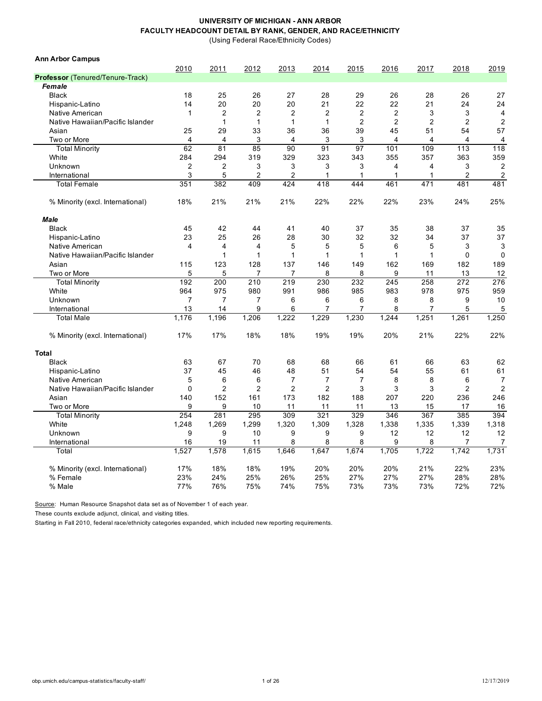(Using Federal Race/Ethnicity Codes)

| <b>Ann Arbor Campus</b>                 |                         |                |                |                |                |                |                |       |                |                |
|-----------------------------------------|-------------------------|----------------|----------------|----------------|----------------|----------------|----------------|-------|----------------|----------------|
|                                         | 2010                    | 2011           | 2012           | 2013           | 2014           | 2015           | 2016           | 2017  | 2018           | 2019           |
| <b>Professor</b> (Tenured/Tenure-Track) |                         |                |                |                |                |                |                |       |                |                |
| Female                                  |                         |                |                |                |                |                |                |       |                |                |
| <b>Black</b>                            | 18                      | 25             | 26             | 27             | 28             | 29             | 26             | 28    | 26             | 27             |
| Hispanic-Latino                         | 14                      | 20             | 20             | 20             | 21             | 22             | 22             | 21    | 24             | 24             |
| Native American                         | 1                       | $\overline{2}$ | $\overline{2}$ | $\overline{2}$ | $\overline{2}$ | $\overline{2}$ | $\overline{2}$ | 3     | 3              | 4              |
| Native Hawaiian/Pacific Islander        |                         | 1              | $\mathbf{1}$   | $\mathbf{1}$   | 1              | $\overline{2}$ | $\overline{2}$ | 2     | $\overline{2}$ | $\overline{c}$ |
| Asian                                   | 25                      | 29             | 33             | 36             | 36             | 39             | 45             | 51    | 54             | 57             |
| Two or More                             | $\overline{4}$          | 4              | 3              | $\overline{4}$ | 3              | 3              | $\overline{4}$ | 4     | 4              | 4              |
| <b>Total Minority</b>                   | 62                      | 81             | 85             | 90             | 91             | 97             | 101            | 109   | 113            | 118            |
| White                                   | 284                     | 294            | 319            | 329            | 323            | 343            | 355            | 357   | 363            | 359            |
| Unknown                                 | $\overline{2}$          | 2              | 3              | 3              | 3              | 3              | 4              | 4     | 3              | $\overline{c}$ |
| International                           | 3                       | 5              | $\overline{2}$ | $\overline{c}$ | $\mathbf{1}$   | 1              | $\mathbf{1}$   | 1     | $\overline{2}$ | $\overline{c}$ |
| <b>Total Female</b>                     | 351                     | 382            | 409            | 424            | 418            | 444            | 461            | 471   | 481            | 481            |
| % Minority (excl. International)        | 18%                     | 21%            | 21%            | 21%            | 22%            | 22%            | 22%            | 23%   | 24%            | 25%            |
| <b>Male</b>                             |                         |                |                |                |                |                |                |       |                |                |
| <b>Black</b>                            | 45                      | 42             | 44             | 41             | 40             | 37             | 35             | 38    | 37             | 35             |
| Hispanic-Latino                         | 23                      | 25             | 26             | 28             | 30             | 32             | 32             | 34    | 37             | 37             |
| Native American                         | $\overline{\mathbf{4}}$ | 4              | $\overline{4}$ | 5              | 5              | 5              | 6              | 5     | 3              | 3              |
| Native Hawaiian/Pacific Islander        |                         | 1              | 1              | 1              | 1              | 1              | $\mathbf{1}$   | 1     | $\mathbf 0$    | $\mathbf{0}$   |
| Asian                                   | 115                     | 123            | 128            | 137            | 146            | 149            | 162            | 169   | 182            | 189            |
| Two or More                             | 5                       | 5              | 7              | 7              | 8              | 8              | 9              | 11    | 13             | 12             |
| <b>Total Minority</b>                   | 192                     | 200            | 210            | 219            | 230            | 232            | 245            | 258   | 272            | 276            |
| White                                   | 964                     | 975            | 980            | 991            | 986            | 985            | 983            | 978   | 975            | 959            |
| Unknown                                 | $\overline{7}$          | $\overline{7}$ | $\overline{7}$ | 6              | 6              | 6              | 8              | 8     | 9              | 10             |
| International                           | 13                      | 14             | 9              | 6              | 7              | 7              | 8              | 7     | 5              | 5              |
| <b>Total Male</b>                       | 1.176                   | 1,196          | 1.206          | 1.222          | 1.229          | 1,230          | 1,244          | 1,251 | 1,261          | 1,250          |
| % Minority (excl. International)        | 17%                     | 17%            | 18%            | 18%            | 19%            | 19%            | 20%            | 21%   | 22%            | 22%            |
| <b>Total</b>                            |                         |                |                |                |                |                |                |       |                |                |
| <b>Black</b>                            | 63                      | 67             | 70             | 68             | 68             | 66             | 61             | 66    | 63             | 62             |
| Hispanic-Latino                         | 37                      | 45             | 46             | 48             | 51             | 54             | 54             | 55    | 61             | 61             |
| Native American                         | 5                       | 6              | 6              | $\overline{7}$ | 7              | $\overline{7}$ | 8              | 8     | 6              | 7              |
| Native Hawaiian/Pacific Islander        | $\Omega$                | $\overline{2}$ | $\overline{2}$ | $\overline{2}$ | $\overline{2}$ | 3              | 3              | 3     | $\overline{2}$ | $\overline{2}$ |
| Asian                                   | 140                     | 152            | 161            | 173            | 182            | 188            | 207            | 220   | 236            | 246            |
| Two or More                             | 9                       | 9              | 10             | 11             | 11             | 11             | 13             | 15    | 17             | 16             |
| <b>Total Minority</b>                   | 254                     | 281            | 295            | 309            | 321            | 329            | 346            | 367   | 385            | 394            |
| White                                   | 1,248                   | 1,269          | 1,299          | 1,320          | 1,309          | 1,328          | 1,338          | 1,335 | 1,339          | 1,318          |
| Unknown                                 | 9                       | 9              | 10             | 9              | 9              | 9              | 12             | 12    | 12             | 12             |
| International                           | 16                      | 19             | 11             | 8              | 8              | 8              | 9              | 8     | 7              | 7              |
| Total                                   | 1,527                   | 1,578          | 1,615          | 1,646          | 1,647          | 1,674          | 1,705          | 1,722 | 1,742          | 1,731          |
| % Minority (excl. International)        | 17%                     | 18%            | 18%            | 19%            | 20%            | 20%            | 20%            | 21%   | 22%            | 23%            |
| % Female                                | 23%                     | 24%            | 25%            | 26%            | 25%            | 27%            | 27%            | 27%   | 28%            | 28%            |
| % Male                                  | 77%                     | 76%            | 75%            | 74%            | 75%            | 73%            | 73%            | 73%   | 72%            | 72%            |

Source: Human Resource Snapshot data set as of November 1 of each year.

These counts exclude adjunct, clinical, and visiting titles.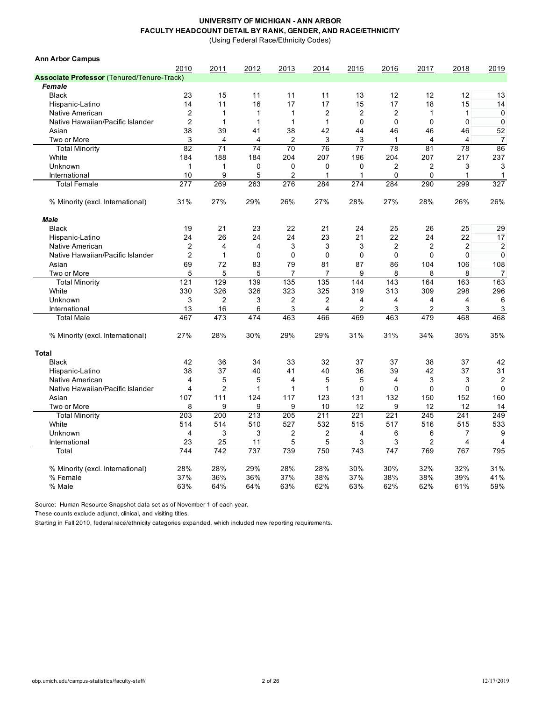(Using Federal Race/Ethnicity Codes)

| <b>Ann Arbor Campus</b>                           |                |                |                |                |                |                |                |                |                  |                |
|---------------------------------------------------|----------------|----------------|----------------|----------------|----------------|----------------|----------------|----------------|------------------|----------------|
|                                                   | 2010           | 2011           | 2012           | 2013           | 2014           | 2015           | 2016           | 2017           | 2018             | 2019           |
| <b>Associate Professor (Tenured/Tenure-Track)</b> |                |                |                |                |                |                |                |                |                  |                |
| Female                                            |                |                |                |                |                |                |                |                |                  |                |
| <b>Black</b>                                      | 23             | 15             | 11             | 11             | 11             | 13             | 12             | 12             | 12               | 13             |
| Hispanic-Latino                                   | 14             | 11             | 16             | 17             | 17             | 15             | 17             | 18             | 15               | 14             |
| Native American                                   | $\overline{2}$ | 1              | $\mathbf{1}$   | $\mathbf 1$    | $\overline{2}$ | $\overline{2}$ | $\overline{2}$ | 1              | 1                | $\mathbf 0$    |
| Native Hawaiian/Pacific Islander                  | $\overline{2}$ | 1              | $\mathbf{1}$   | $\mathbf{1}$   | 1              | $\Omega$       | $\Omega$       | $\Omega$       | 0                | $\mathbf 0$    |
| Asian                                             | 38             | 39             | 41             | 38             | 42             | 44             | 46             | 46             | 46               | 52             |
| Two or More                                       | 3              | 4              | $\overline{4}$ | $\overline{2}$ | 3              | 3              | $\mathbf{1}$   | $\overline{4}$ | $\overline{4}$   | $\overline{7}$ |
| <b>Total Minority</b>                             | 82             | 71             | 74             | 70             | 76             | 77             | 78             | 81             | 78               | 86             |
| White                                             | 184            | 188            | 184            | 204            | 207            | 196            | 204            | 207            | 217              | 237            |
| Unknown                                           | $\mathbf{1}$   | 1              | $\mathbf 0$    | $\mathbf 0$    | 0              | $\mathbf 0$    | $\overline{2}$ | 2              | 3                | 3              |
| International                                     | 10             | 9              | 5              | $\overline{c}$ | 1              | 1              | $\mathbf 0$    | 0              | $\mathbf{1}$     | $\mathbf{1}$   |
| <b>Total Female</b>                               | 277            | 269            | 263            | 276            | 284            | 274            | 284            | 290            | 299              | 327            |
| % Minority (excl. International)                  | 31%            | 27%            | 29%            | 26%            | 27%            | 28%            | 27%            | 28%            | 26%              | 26%            |
| <b>Male</b>                                       |                |                |                |                |                |                |                |                |                  |                |
| <b>Black</b>                                      | 19             | 21             | 23             | 22             | 21             | 24             | 25             | 26             | 25               | 29             |
| Hispanic-Latino                                   | 24             | 26             | 24             | 24             | 23             | 21             | 22             | 24             | 22               | 17             |
| Native American                                   | $\overline{2}$ | 4              | $\overline{4}$ | 3              | 3              | 3              | $\overline{2}$ | 2              | $\boldsymbol{2}$ | $\overline{2}$ |
| Native Hawaiian/Pacific Islander                  | $\overline{2}$ | 1              | $\Omega$       | $\Omega$       | $\mathbf 0$    | $\Omega$       | $\Omega$       | $\Omega$       | $\mathbf 0$      | $\mathbf{0}$   |
| Asian                                             | 69             | 72             | 83             | 79             | 81             | 87             | 86             | 104            | 106              | 108            |
| Two or More                                       | 5              | 5              | 5              | 7              | 7              | 9              | 8              | 8              | 8                | 7              |
| <b>Total Minority</b>                             | 121            | 129            | 139            | 135            | 135            | 144            | 143            | 164            | 163              | 163            |
| White                                             | 330            | 326            | 326            | 323            | 325            | 319            | 313            | 309            | 298              | 296            |
| Unknown                                           | 3              | $\overline{2}$ | 3              | $\overline{2}$ | 2              | 4              | 4              | 4              | 4                | 6              |
| International                                     | 13             | 16             | 6              | 3              | $\overline{4}$ | 2              | 3              | 2              | 3                | 3              |
| <b>Total Male</b>                                 | 467            | 473            | 474            | 463            | 466            | 469            | 463            | 479            | 468              | 468            |
| % Minority (excl. International)                  | 27%            | 28%            | 30%            | 29%            | 29%            | 31%            | 31%            | 34%            | 35%              | 35%            |
| <b>Total</b>                                      |                |                |                |                |                |                |                |                |                  |                |
| <b>Black</b>                                      | 42             | 36             | 34             | 33             | 32             | 37             | 37             | 38             | 37               | 42             |
| Hispanic-Latino                                   | 38             | 37             | 40             | 41             | 40             | 36             | 39             | 42             | 37               | 31             |
| Native American                                   | 4              | 5              | 5              | 4              | 5              | 5              | 4              | 3              | 3                | $\overline{2}$ |
| Native Hawaiian/Pacific Islander                  | $\overline{4}$ | $\overline{2}$ | $\mathbf{1}$   | 1              | $\mathbf{1}$   | $\Omega$       | $\mathbf 0$    | $\Omega$       | $\mathbf 0$      | $\Omega$       |
| Asian                                             | 107            | 111            | 124            | 117            | 123            | 131            | 132            | 150            | 152              | 160            |
| Two or More                                       | 8              | 9              | 9              | 9              | 10             | 12             | 9              | 12             | 12               | 14             |
| <b>Total Minority</b>                             | 203            | 200            | 213            | 205            | 211            | 221            | 221            | 245            | 241              | 249            |
| White                                             | 514            | 514            | 510            | 527            | 532            | 515            | 517            | 516            | 515              | 533            |
| Unknown                                           | $\overline{4}$ | 3              | 3              | $\overline{2}$ | $\overline{2}$ | $\overline{4}$ | 6              | 6              | $\overline{7}$   | 9              |
| International                                     | 23             | 25             | 11             | 5              | 5              | 3              | 3              | 2              | 4                | 4              |
| Total                                             | 744            | 742            | 737            | 739            | 750            | 743            | 747            | 769            | 767              | 795            |
| % Minority (excl. International)                  | 28%            | 28%            | 29%            | 28%            | 28%            | 30%            | 30%            | 32%            | 32%              | 31%            |
| % Female                                          | 37%            | 36%            | 36%            | 37%            | 38%            | 37%            | 38%            | 38%            | 39%              | 41%            |
| % Male                                            | 63%            | 64%            | 64%            | 63%            | 62%            | 63%            | 62%            | 62%            | 61%              | 59%            |

Source: Human Resource Snapshot data set as of November 1 of each year.

These counts exclude adjunct, clinical, and visiting titles.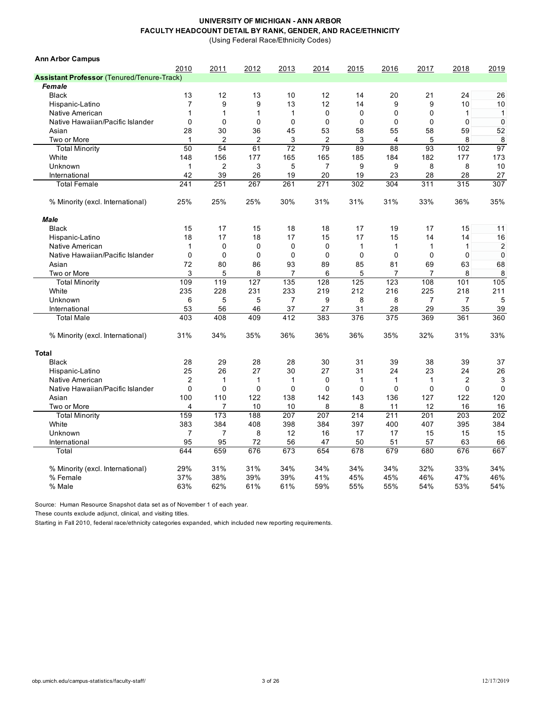(Using Federal Race/Ethnicity Codes)

| <b>Ann Arbor Campus</b>                           |                |                |              |                |                |              |                |                |                |                |
|---------------------------------------------------|----------------|----------------|--------------|----------------|----------------|--------------|----------------|----------------|----------------|----------------|
|                                                   | 2010           | 2011           | 2012         | 2013           | 2014           | 2015         | 2016           | 2017           | 2018           | 2019           |
| <b>Assistant Professor (Tenured/Tenure-Track)</b> |                |                |              |                |                |              |                |                |                |                |
| Female                                            |                |                |              |                |                |              |                |                |                |                |
| <b>Black</b>                                      | 13             | 12             | 13           | 10             | 12             | 14           | 20             | 21             | 24             | 26             |
| Hispanic-Latino                                   | $\overline{7}$ | 9              | 9            | 13             | 12             | 14           | 9              | 9              | 10             | 10             |
| Native American                                   | $\mathbf{1}$   | 1              | $\mathbf{1}$ | $\mathbf{1}$   | 0              | $\mathbf 0$  | $\mathbf 0$    | $\mathbf 0$    | 1              | $\mathbf{1}$   |
| Native Hawaiian/Pacific Islander                  | 0              | $\Omega$       | $\mathbf{0}$ | 0              | 0              | $\Omega$     | $\Omega$       | $\mathbf{0}$   | 0              | $\mathbf 0$    |
| Asian                                             | 28             | 30             | 36           | 45             | 53             | 58           | 55             | 58             | 59             | 52             |
| Two or More                                       | $\mathbf{1}$   | 2              | 2            | 3              | $\overline{2}$ | 3            | $\overline{4}$ | 5              | 8              | 8              |
| <b>Total Minority</b>                             | 50             | 54             | 61           | 72             | 79             | 89           | 88             | 93             | 102            | 97             |
| White                                             | 148            | 156            | 177          | 165            | 165            | 185          | 184            | 182            | 177            | 173            |
| Unknown                                           | $\mathbf{1}$   | $\overline{2}$ | 3            | 5              | $\overline{7}$ | 9            | 9              | 8              | 8              | 10             |
| International                                     | 42             | 39             | 26           | 19             | 20             | 19           | 23             | 28             | 28             | 27             |
| <b>Total Female</b>                               | 241            | 251            | 267          | 261            | 271            | 302          | 304            | 311            | 315            | 307            |
| % Minority (excl. International)                  | 25%            | 25%            | 25%          | 30%            | 31%            | 31%          | 31%            | 33%            | 36%            | 35%            |
| <b>Male</b>                                       |                |                |              |                |                |              |                |                |                |                |
| <b>Black</b>                                      | 15             | 17             | 15           | 18             | 18             | 17           | 19             | 17             | 15             | 11             |
| Hispanic-Latino                                   | 18             | 17             | 18           | 17             | 15             | 17           | 15             | 14             | 14             | 16             |
| Native American                                   | $\mathbf{1}$   | $\mathbf 0$    | $\mathbf 0$  | $\mathbf 0$    | $\mathbf 0$    | $\mathbf{1}$ | $\mathbf{1}$   | $\mathbf{1}$   | $\mathbf{1}$   | $\overline{2}$ |
| Native Hawaiian/Pacific Islander                  | $\mathbf{0}$   | $\mathbf{0}$   | $\mathbf{0}$ | $\Omega$       | $\Omega$       | $\Omega$     | $\Omega$       | $\Omega$       | $\mathbf 0$    | $\mathbf 0$    |
| Asian                                             | 72             | 80             | 86           | 93             | 89             | 85           | 81             | 69             | 63             | 68             |
| Two or More                                       | 3              | 5              | 8            | 7              | 6              | 5            | 7              | 7              | 8              | 8              |
| <b>Total Minority</b>                             | 109            | 119            | 127          | 135            | 128            | 125          | 123            | 108            | 101            | 105            |
| White                                             | 235            | 228            | 231          | 233            | 219            | 212          | 216            | 225            | 218            | 211            |
| Unknown                                           | 6              | 5              | 5            | $\overline{7}$ | 9              | 8            | 8              | $\overline{7}$ | $\overline{7}$ | 5              |
| International                                     | 53             | 56             | 46           | 37             | 27             | 31           | 28             | 29             | 35             | 39             |
| <b>Total Male</b>                                 | 403            | 408            | 409          | 412            | 383            | 376          | 375            | 369            | 361            | 360            |
| % Minority (excl. International)                  | 31%            | 34%            | 35%          | 36%            | 36%            | 36%          | 35%            | 32%            | 31%            | 33%            |
| <b>Total</b>                                      |                |                |              |                |                |              |                |                |                |                |
| <b>Black</b>                                      | 28             | 29             | 28           | 28             | 30             | 31           | 39             | 38             | 39             | 37             |
| Hispanic-Latino                                   | 25             | 26             | 27           | 30             | 27             | 31           | 24             | 23             | 24             | 26             |
| Native American                                   | $\overline{2}$ | 1              | 1            | 1              | $\Omega$       | 1            | $\mathbf{1}$   | 1              | $\overline{2}$ | 3              |
| Native Hawaiian/Pacific Islander                  | $\Omega$       | $\mathbf 0$    | $\mathbf{0}$ | $\Omega$       | $\mathbf 0$    | $\Omega$     | $\Omega$       | $\Omega$       | 0              | $\Omega$       |
| Asian                                             | 100            | 110            | 122          | 138            | 142            | 143          | 136            | 127            | 122            | 120            |
| Two or More                                       | 4              | 7              | 10           | 10             | 8              | 8            | 11             | 12             | 16             | 16             |
| <b>Total Minority</b>                             | 159            | 173            | 188          | 207            | 207            | 214          | 211            | 201            | 203            | 202            |
| White                                             | 383            | 384            | 408          | 398            | 384            | 397          | 400            | 407            | 395            | 384            |
| Unknown                                           | $\overline{7}$ | $\overline{7}$ | 8            | 12             | 16             | 17           | 17             | 15             | 15             | 15             |
| International                                     | 95             | 95             | 72           | 56             | 47             | 50           | 51             | 57             | 63             | 66             |
| Total                                             | 644            | 659            | 676          | 673            | 654            | 678          | 679            | 680            | 676            | 667            |
| % Minority (excl. International)                  | 29%            | 31%            | 31%          | 34%            | 34%            | 34%          | 34%            | 32%            | 33%            | 34%            |
| % Female                                          | 37%            | 38%            | 39%          | 39%            | 41%            | 45%          | 45%            | 46%            | 47%            | 46%            |
| % Male                                            | 63%            | 62%            | 61%          | 61%            | 59%            | 55%          | 55%            | 54%            | 53%            | 54%            |
|                                                   |                |                |              |                |                |              |                |                |                |                |

Source: Human Resource Snapshot data set as of November 1 of each year.

These counts exclude adjunct, clinical, and visiting titles.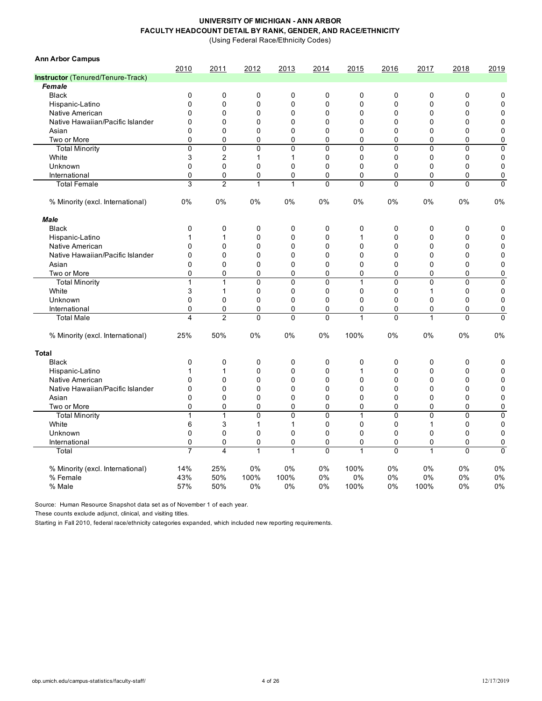(Using Federal Race/Ethnicity Codes)

| <b>Ann Arbor Campus</b>           |                         |                         |              |              |              |              |                |                |              |                |
|-----------------------------------|-------------------------|-------------------------|--------------|--------------|--------------|--------------|----------------|----------------|--------------|----------------|
|                                   | 2010                    | 2011                    | 2012         | 2013         | 2014         | 2015         | 2016           | 2017           | 2018         | 2019           |
| Instructor (Tenured/Tenure-Track) |                         |                         |              |              |              |              |                |                |              |                |
| Female                            |                         |                         |              |              |              |              |                |                |              |                |
| <b>Black</b>                      | $\mathbf 0$             | 0                       | $\mathbf 0$  | 0            | 0            | $\mathbf 0$  | $\mathbf 0$    | 0              | 0            | 0              |
| Hispanic-Latino                   | $\Omega$                | $\mathbf 0$             | $\mathbf 0$  | $\mathbf 0$  | $\pmb{0}$    | $\Omega$     | $\Omega$       | 0              | 0            | $\mathbf 0$    |
| Native American                   | $\Omega$                | 0                       | $\mathbf 0$  | 0            | $\pmb{0}$    | $\mathbf 0$  | $\mathbf 0$    | 0              | 0            | $\mathbf 0$    |
| Native Hawaiian/Pacific Islander  | $\mathbf 0$             | 0                       | 0            | $\mathbf 0$  | 0            | $\mathbf 0$  | $\mathbf 0$    | 0              | $\mathbf 0$  | $\mathbf 0$    |
| Asian                             | $\Omega$                | 0                       | 0            | $\mathbf 0$  | 0            | $\Omega$     | $\mathbf 0$    | 0              | 0            | $\mathbf 0$    |
| Two or More                       | $\mathbf 0$             | 0                       | 0            | 0            | 0            | 0            | $\mathbf 0$    | 0              | 0            | 0              |
| <b>Total Minority</b>             | $\Omega$                | 0                       | $\Omega$     | $\mathbf{0}$ | 0            | $\Omega$     | $\Omega$       | 0              | $\Omega$     | $\mathbf 0$    |
| White                             | 3                       | $\overline{2}$          | $\mathbf{1}$ | 1            | 0            | $\mathbf 0$  | $\mathbf 0$    | 0              | 0            | $\mathbf 0$    |
| Unknown                           | $\mathbf 0$             | 0                       | 0            | 0            | 0            | $\mathbf 0$  | $\mathbf 0$    | 0              | 0            | $\mathbf 0$    |
| International                     | $\mathbf 0$             | 0                       | 0            | 0            | 0            | 0            | $\mathbf 0$    | 0              | 0            | 0              |
| <b>Total Female</b>               | 3                       | $\overline{2}$          | $\mathbf{1}$ | $\mathbf{1}$ | $\mathbf 0$  | $\mathbf{0}$ | $\mathbf 0$    | $\mathbf 0$    | $\mathbf 0$  | $\mathbf 0$    |
| % Minority (excl. International)  | 0%                      | 0%                      | 0%           | 0%           | 0%           | 0%           | 0%             | 0%             | 0%           | 0%             |
| <b>Male</b>                       |                         |                         |              |              |              |              |                |                |              |                |
| <b>Black</b>                      | $\mathbf 0$             | 0                       | $\mathbf 0$  | $\mathbf 0$  | $\pmb{0}$    | $\mathbf 0$  | $\mathbf 0$    | 0              | $\mathbf 0$  | 0              |
| Hispanic-Latino                   |                         | 1                       | $\Omega$     | $\mathbf{0}$ | $\mathbf{0}$ | 1            | $\Omega$       | $\Omega$       | $\mathbf{0}$ | $\Omega$       |
| Native American                   | $\Omega$                | 0                       | $\Omega$     | $\mathbf{0}$ | 0            | $\mathbf{0}$ | $\Omega$       | $\Omega$       | $\mathbf 0$  | $\mathbf 0$    |
| Native Hawaiian/Pacific Islander  | $\Omega$                | 0                       | $\Omega$     | $\Omega$     | 0            | $\Omega$     | $\Omega$       | $\Omega$       | $\mathbf 0$  | $\mathbf 0$    |
| Asian                             | $\Omega$                | $\Omega$                | $\mathbf{0}$ | $\mathbf{0}$ | 0            | $\mathbf{0}$ | $\Omega$       | 0              | $\mathbf 0$  | $\overline{0}$ |
| Two or More                       | $\Omega$                | 0                       | $\Omega$     | 0            | 0            | $\mathbf{0}$ | 0              | $\Omega$       | $\mathbf 0$  | 0              |
| <b>Total Minority</b>             | $\overline{1}$          | $\overline{1}$          | $\Omega$     | $\mathbf{0}$ | $\mathbf 0$  | 1            | $\Omega$       | $\overline{0}$ | $\mathbf{0}$ | $\mathbf 0$    |
| White                             | 3                       | $\mathbf{1}$            | 0            | 0            | $\mathbf 0$  | $\Omega$     | 0              | 1              | $\mathbf 0$  | $\mathbf 0$    |
| Unknown                           | $\mathbf 0$             | 0                       | 0            | $\mathbf 0$  | 0            | $\mathbf 0$  | $\mathbf 0$    | 0              | 0            | $\mathbf 0$    |
| International                     | $\mathbf 0$             | 0                       | 0            | $\mathbf 0$  | 0            | 0            | 0              | 0              | 0            | 0              |
| <b>Total Male</b>                 | $\overline{\mathbf{4}}$ | $\overline{2}$          | $\Omega$     | $\mathbf{0}$ | 0            | 1            | $\mathbf{0}$   | 1              | $\mathbf{0}$ | $\Omega$       |
| % Minority (excl. International)  | 25%                     | 50%                     | 0%           | 0%           | $0\%$        | 100%         | 0%             | 0%             | 0%           | 0%             |
| Total                             |                         |                         |              |              |              |              |                |                |              |                |
| <b>Black</b>                      | $\mathbf 0$             | 0                       | $\mathbf 0$  | 0            | $\pmb{0}$    | 0            | 0              | 0              | 0            | 0              |
| Hispanic-Latino                   | $\mathbf{1}$            | $\mathbf{1}$            | $\Omega$     | $\Omega$     | $\Omega$     | 1            | $\Omega$       | $\Omega$       | 0            | $\mathbf{0}$   |
| Native American                   | $\Omega$                | 0                       | 0            | $\mathbf 0$  | 0            | $\mathbf 0$  | $\mathbf 0$    | 0              | 0            | $\mathbf 0$    |
| Native Hawaiian/Pacific Islander  | $\mathbf 0$             | $\mathbf 0$             | 0            | $\mathbf 0$  | $\mathbf 0$  | $\mathbf 0$  | $\mathbf 0$    | 0              | 0            | 0              |
| Asian                             | $\Omega$                | 0                       | $\mathbf{0}$ | $\mathbf 0$  | 0            | $\Omega$     | $\Omega$       | 0              | 0            | 0              |
| Two or More                       | $\mathbf 0$             | 0                       | 0            | 0            | $\mathbf 0$  | 0            | $\mathbf 0$    | 0              | 0            | 0              |
| <b>Total Minority</b>             | $\mathbf{1}$            | 1                       | $\Omega$     | $\mathbf{0}$ | $\mathbf{0}$ | 1            | $\mathbf{0}$   | $\mathbf 0$    | $\mathbf{0}$ | 0              |
| White                             | 6                       | 3                       | $\mathbf{1}$ | $\mathbf{1}$ | $\pmb{0}$    | $\mathbf 0$  | $\mathbf 0$    | 1              | 0            | $\mathbf 0$    |
| Unknown                           | $\mathbf 0$             | 0                       | $\mathbf 0$  | $\mathbf 0$  | $\pmb{0}$    | $\mathbf 0$  | $\mathbf 0$    | 0              | 0            | $\mathbf 0$    |
| International                     | $\mathbf 0$             | $\pmb{0}$               | 0            | $\mathbf 0$  | $\mathbf 0$  | 0            | $\mathbf 0$    | 0              | 0            | $\mathbf 0$    |
| Total                             | $\overline{7}$          | $\overline{\mathbf{4}}$ | 1            | 1            | 0            | 1            | $\overline{0}$ | 1              | $\mathbf{0}$ | $\overline{0}$ |
| % Minority (excl. International)  | 14%                     | 25%                     | 0%           | 0%           | 0%           | 100%         | 0%             | 0%             | 0%           | 0%             |
| % Female                          | 43%                     | 50%                     | 100%         | 100%         | 0%           | 0%           | 0%             | $0\%$          | 0%           | 0%             |
| % Male                            | 57%                     | 50%                     | 0%           | 0%           | 0%           | 100%         | 0%             | 100%           | 0%           | 0%             |

Source: Human Resource Snapshot data set as of November 1 of each year.

These counts exclude adjunct, clinical, and visiting titles.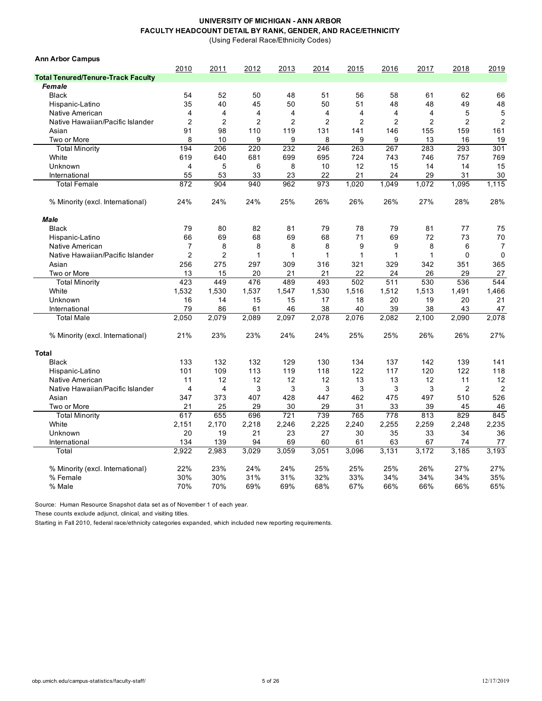(Using Federal Race/Ethnicity Codes)

| <b>Ann Arbor Campus</b>                   |                         |                |                |                |                |                |                |                |                |                |
|-------------------------------------------|-------------------------|----------------|----------------|----------------|----------------|----------------|----------------|----------------|----------------|----------------|
|                                           | 2010                    | 2011           | 2012           | 2013           | 2014           | 2015           | 2016           | 2017           | 2018           | 2019           |
| <b>Total Tenured/Tenure-Track Faculty</b> |                         |                |                |                |                |                |                |                |                |                |
| Female                                    |                         |                |                |                |                |                |                |                |                |                |
| <b>Black</b>                              | 54                      | 52             | 50             | 48             | 51             | 56             | 58             | 61             | 62             | 66             |
| Hispanic-Latino                           | 35                      | 40             | 45             | 50             | 50             | 51             | 48             | 48             | 49             | 48             |
| Native American                           | 4                       | 4              | $\overline{4}$ | 4              | 4              | $\overline{4}$ | 4              | 4              | 5              | 5              |
| Native Hawaiian/Pacific Islander          | $\overline{2}$          | $\overline{2}$ | $\overline{2}$ | $\overline{2}$ | $\overline{2}$ | $\overline{2}$ | $\overline{2}$ | $\overline{2}$ | $\overline{2}$ | $\overline{2}$ |
| Asian                                     | 91                      | 98             | 110            | 119            | 131            | 141            | 146            | 155            | 159            | 161            |
| Two or More                               | 8                       | 10             | 9              | 9              | 8              | 9              | 9              | 13             | 16             | 19             |
| <b>Total Minority</b>                     | 194                     | 206            | 220            | 232            | 246            | 263            | 267            | 283            | 293            | 301            |
| White                                     | 619                     | 640            | 681            | 699            | 695            | 724            | 743            | 746            | 757            | 769            |
| Unknown                                   | $\overline{\mathbf{4}}$ | 5              | 6              | 8              | 10             | 12             | 15             | 14             | 14             | 15             |
| International                             | 55                      | 53             | 33             | 23             | 22             | 21             | 24             | 29             | 31             | 30             |
| <b>Total Female</b>                       | 872                     | 904            | 940            | 962            | 973            | 1,020          | 1,049          | 1,072          | 1,095          | 1,115          |
| % Minority (excl. International)          | 24%                     | 24%            | 24%            | 25%            | 26%            | 26%            | 26%            | 27%            | 28%            | 28%            |
| <b>Male</b>                               |                         |                |                |                |                |                |                |                |                |                |
| <b>Black</b>                              | 79                      | 80             | 82             | 81             | 79             | 78             | 79             | 81             | 77             | 75             |
| Hispanic-Latino                           | 66                      | 69             | 68             | 69             | 68             | 71             | 69             | 72             | 73             | 70             |
| Native American                           | $\overline{7}$          | 8              | 8              | 8              | 8              | 9              | 9              | 8              | 6              | $\overline{7}$ |
| Native Hawaiian/Pacific Islander          | $\overline{2}$          | $\overline{2}$ | 1              | 1              | 1              | $\mathbf{1}$   | $\mathbf{1}$   | 1              | $\mathbf 0$    | $\mathbf 0$    |
| Asian                                     | 256                     | 275            | 297            | 309            | 316            | 321            | 329            | 342            | 351            | 365            |
| Two or More                               | 13                      | 15             | 20             | 21             | 21             | 22             | 24             | 26             | 29             | 27             |
| <b>Total Minority</b>                     | 423                     | 449            | 476            | 489            | 493            | 502            | 511            | 530            | 536            | 544            |
| White                                     | 1,532                   | 1,530          | 1,537          | 1,547          | 1,530          | 1,516          | 1,512          | 1,513          | 1,491          | 1,466          |
| Unknown                                   | 16                      | 14             | 15             | 15             | 17             | 18             | 20             | 19             | 20             | 21             |
| International                             | 79                      | 86             | 61             | 46             | 38             | 40             | 39             | 38             | 43             | 47             |
| <b>Total Male</b>                         | 2,050                   | 2,079          | 2,089          | 2,097          | 2,078          | 2,076          | 2,082          | 2,100          | 2,090          | 2,078          |
| % Minority (excl. International)          | 21%                     | 23%            | 23%            | 24%            | 24%            | 25%            | 25%            | 26%            | 26%            | 27%            |
| <b>Total</b>                              |                         |                |                |                |                |                |                |                |                |                |
| <b>Black</b>                              | 133                     | 132            | 132            | 129            | 130            | 134            | 137            | 142            | 139            | 141            |
| Hispanic-Latino                           | 101                     | 109            | 113            | 119            | 118            | 122            | 117            | 120            | 122            | 118            |
| Native American                           | 11                      | 12             | 12             | 12             | 12             | 13             | 13             | 12             | 11             | 12             |
| Native Hawaiian/Pacific Islander          | $\overline{4}$          | $\overline{4}$ | 3              | 3              | 3              | 3              | 3              | 3              | 2              | $\overline{2}$ |
| Asian                                     | 347                     | 373            | 407            | 428            | 447            | 462            | 475            | 497            | 510            | 526            |
| Two or More                               | 21                      | 25             | 29             | 30             | 29             | 31             | 33             | 39             | 45             | 46             |
| <b>Total Minority</b>                     | 617                     | 655            | 696            | 721            | 739            | 765            | 778            | 813            | 829            | 845            |
| White                                     | 2,151                   | 2,170          | 2,218          | 2,246          | 2,225          | 2,240          | 2,255          | 2,259          | 2,248          | 2,235          |
| Unknown                                   | 20                      | 19             | 21             | 23             | 27             | 30             | 35             | 33             | 34             | 36             |
| International                             | 134                     | 139            | 94             | 69             | 60             | 61             | 63             | 67             | 74             | 77             |
| Total                                     | 2.922                   | 2.983          | 3,029          | 3,059          | 3.051          | 3,096          | 3,131          | 3.172          | 3.185          | 3.193          |
|                                           |                         |                |                |                |                |                |                |                |                |                |
| % Minority (excl. International)          | 22%                     | 23%            | 24%            | 24%            | 25%            | 25%            | 25%            | 26%            | 27%            | 27%            |
| % Female                                  | 30%                     | 30%            | 31%            | 31%            | 32%            | 33%            | 34%            | 34%            | 34%            | 35%            |
| % Male                                    | 70%                     | 70%            | 69%            | 69%            | 68%            | 67%            | 66%            | 66%            | 66%            | 65%            |

Source: Human Resource Snapshot data set as of November 1 of each year.

These counts exclude adjunct, clinical, and visiting titles.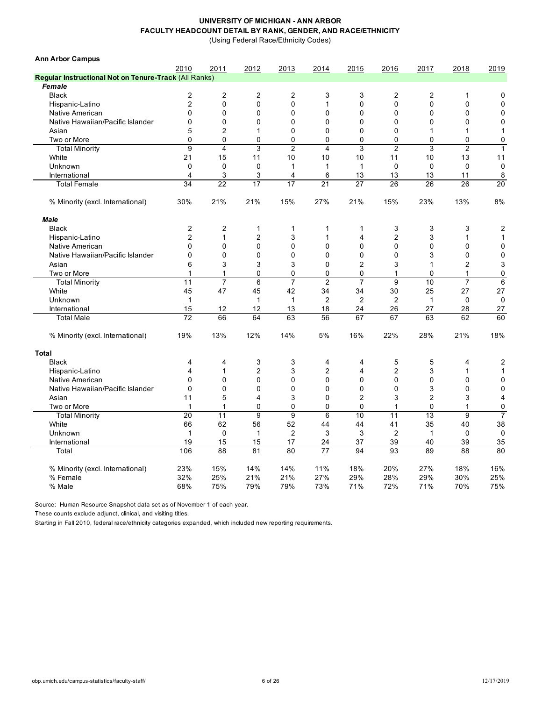(Using Federal Race/Ethnicity Codes)

| <b>Ann Arbor Campus</b>                               |                         |                         |                |                         |                         |                |                |              |                |                |
|-------------------------------------------------------|-------------------------|-------------------------|----------------|-------------------------|-------------------------|----------------|----------------|--------------|----------------|----------------|
|                                                       | 2010                    | 2011                    | 2012           | 2013                    | 2014                    | 2015           | 2016           | 2017         | 2018           | 2019           |
| Regular Instructional Not on Tenure-Track (All Ranks) |                         |                         |                |                         |                         |                |                |              |                |                |
| Female                                                |                         |                         |                |                         |                         |                |                |              |                |                |
| <b>Black</b>                                          | $\overline{c}$          | $\overline{c}$          | 2              | $\overline{c}$          | 3                       | 3              | $\overline{c}$ | 2            | 1              | 0              |
| Hispanic-Latino                                       | $\overline{2}$          | 0                       | 0              | $\mathbf 0$             | $\mathbf{1}$            | $\mathbf 0$    | $\Omega$       | 0            | $\mathbf 0$    | 0              |
| Native American                                       | $\mathbf{0}$            | 0                       | 0              | $\mathbf 0$             | 0                       | 0              | $\mathbf{0}$   | 0            | $\mathbf 0$    | 0              |
| Native Hawaiian/Pacific Islander                      | $\Omega$                | 0                       | 0              | $\mathbf 0$             | 0                       | 0              | $\Omega$       | 0            | $\mathbf 0$    | 0              |
| Asian                                                 | 5                       | $\overline{2}$          | 1              | $\mathbf 0$             | 0                       | 0              | $\mathbf 0$    | $\mathbf{1}$ | 1              | 1              |
| Two or More                                           | $\Omega$                | 0                       | $\mathbf{0}$   | 0                       | 0                       | 0              | $\mathbf 0$    | 0            | $\mathbf 0$    | 0              |
| <b>Total Minority</b>                                 | 9                       | $\overline{\mathbf{4}}$ | 3              | $\overline{2}$          | $\overline{\mathbf{4}}$ | 3              | $\overline{2}$ | 3            | $\overline{2}$ | $\mathbf{1}$   |
| White                                                 | 21                      | 15                      | 11             | 10                      | 10                      | 10             | 11             | 10           | 13             | 11             |
| Unknown                                               | $\Omega$                | $\Omega$                | $\Omega$       | 1                       | $\mathbf{1}$            | $\mathbf 1$    | $\Omega$       | $\Omega$     | $\mathbf 0$    | $\mathbf 0$    |
| International                                         | $\overline{\mathbf{4}}$ | 3                       | 3              | $\overline{\mathbf{4}}$ | 6                       | 13             | 13             | 13           | 11             | 8              |
| <b>Total Female</b>                                   | 34                      | $\overline{22}$         | 17             | 17                      | 21                      | 27             | 26             | 26           | 26             | 20             |
| % Minority (excl. International)                      | 30%                     | 21%                     | 21%            | 15%                     | 27%                     | 21%            | 15%            | 23%          | 13%            | 8%             |
| <b>Male</b>                                           |                         |                         |                |                         |                         |                |                |              |                |                |
| <b>Black</b>                                          | $\overline{2}$          | $\overline{2}$          | 1              | 1                       | 1                       | 1              | 3              | 3            | 3              | $\overline{c}$ |
| Hispanic-Latino                                       | $\overline{2}$          | $\mathbf{1}$            | 2              | 3                       | $\mathbf{1}$            | 4              | $\overline{c}$ | 3            | $\mathbf{1}$   | $\mathbf{1}$   |
| Native American                                       | $\Omega$                | 0                       | 0              | $\mathbf 0$             | 0                       | 0              | $\overline{0}$ | 0            | $\mathbf 0$    | 0              |
| Native Hawaiian/Pacific Islander                      | $\Omega$                | $\mathbf{0}$            | 0              | $\mathbf{0}$            | 0                       | 0              | $\Omega$       | 3            | 0              | 0              |
| Asian                                                 | 6                       | 3                       | 3              | 3                       | 0                       | $\overline{2}$ | 3              | $\mathbf{1}$ | $\overline{2}$ | 3              |
| Two or More                                           | $\mathbf{1}$            | $\mathbf{1}$            | 0              | $\mathbf 0$             | 0                       | 0              | 1              | 0            | $\mathbf{1}$   | 0              |
| <b>Total Minority</b>                                 | 11                      | $\overline{7}$          | 6              | $\overline{7}$          | $\overline{c}$          | $\overline{7}$ | 9              | 10           | $\overline{7}$ | 6              |
| White                                                 | 45                      | 47                      | 45             | 42                      | 34                      | 34             | 30             | 25           | 27             | 27             |
| Unknown                                               | $\mathbf{1}$            |                         | $\mathbf{1}$   | $\mathbf{1}$            | $\overline{c}$          | 2              | $\overline{2}$ | $\mathbf{1}$ | $\mathbf 0$    | $\mathbf 0$    |
| International                                         | 15                      | 12                      | 12             | 13                      | 18                      | 24             | 26             | 27           | 28             | 27             |
| <b>Total Male</b>                                     | 72                      | 66                      | 64             | 63                      | 56                      | 67             | 67             | 63           | 62             | 60             |
| % Minority (excl. International)                      | 19%                     | 13%                     | 12%            | 14%                     | 5%                      | 16%            | 22%            | 28%          | 21%            | 18%            |
| <b>Total</b>                                          |                         |                         |                |                         |                         |                |                |              |                |                |
| <b>Black</b>                                          | 4                       | 4                       | 3              | 3                       | 4                       | 4              | 5              | 5            | 4              | $\overline{c}$ |
| Hispanic-Latino                                       | $\overline{\mathbf{4}}$ | 1                       | $\overline{c}$ | 3                       | $\overline{c}$          | 4              | $\overline{2}$ | 3            | $\mathbf{1}$   | $\mathbf{1}$   |
| Native American                                       | $\Omega$                | $\mathbf{0}$            | 0              | $\overline{0}$          | $\mathbf 0$             | 0              | $\Omega$       | 0            | $\Omega$       | 0              |
| Native Hawaiian/Pacific Islander                      | $\Omega$                | 0                       | 0              | $\overline{0}$          | 0                       | 0              | $\mathbf 0$    | 3            | $\mathbf 0$    | 0              |
| Asian                                                 | 11                      | 5                       | 4              | 3                       | 0                       | 2              | 3              | 2            | 3              | 4              |
| Two or More                                           | $\mathbf{1}$            | $\mathbf{1}$            | 0              | 0                       | 0                       | 0              | 1              | 0            | 1              | 0              |
| <b>Total Minority</b>                                 | 20                      | 11                      | $\overline{9}$ | $\overline{9}$          | 6                       | 10             | 11             | 13           | 9              | $\overline{7}$ |
| White                                                 | 66                      | 62                      | 56             | 52                      | 44                      | 44             | 41             | 35           | 40             | 38             |
| Unknown                                               | $\mathbf{1}$            | $\mathbf 0$             | $\mathbf{1}$   | $\overline{2}$          | 3                       | 3              | $\overline{2}$ | $\mathbf{1}$ | $\mathbf 0$    | $\mathbf 0$    |
| International                                         | 19                      | 15                      | 15             | 17                      | 24                      | 37             | 39             | 40           | 39             | 35             |
| Total                                                 | 106                     | 88                      | 81             | 80                      | 77                      | 94             | 93             | 89           | 88             | 80             |
| % Minority (excl. International)                      | 23%                     | 15%                     | 14%            | 14%                     | 11%                     | 18%            | 20%            | 27%          | 18%            | 16%            |
| % Female                                              | 32%                     | 25%                     | 21%            | 21%                     | 27%                     | 29%            | 28%            | 29%          | 30%            | 25%            |
| % Male                                                | 68%                     | 75%                     | 79%            | 79%                     | 73%                     | 71%            | 72%            | 71%          | 70%            | 75%            |

Source: Human Resource Snapshot data set as of November 1 of each year.

These counts exclude adjunct, clinical, and visiting titles.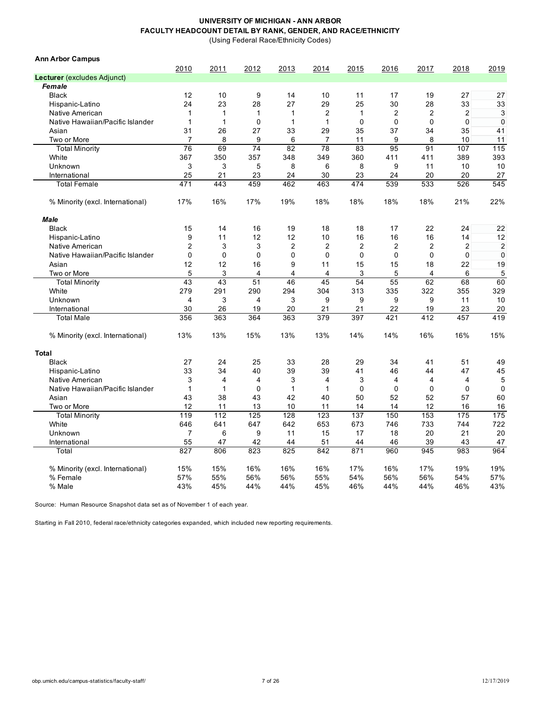(Using Federal Race/Ethnicity Codes)

| <b>Ann Arbor Campus</b>          |                         |                |                |                |                         |                |                |                |      |                |
|----------------------------------|-------------------------|----------------|----------------|----------------|-------------------------|----------------|----------------|----------------|------|----------------|
|                                  | 2010                    | 2011           | 2012           | 2013           | 2014                    | 2015           | 2016           | 2017           | 2018 | 2019           |
| Lecturer (excludes Adjunct)      |                         |                |                |                |                         |                |                |                |      |                |
| Female                           |                         |                |                |                |                         |                |                |                |      |                |
| <b>Black</b>                     | 12                      | 10             | 9              | 14             | 10                      | 11             | 17             | 19             | 27   | 27             |
| Hispanic-Latino                  | 24                      | 23             | 28             | 27             | 29                      | 25             | 30             | 28             | 33   | 33             |
| Native American                  | 1                       | 1              | $\mathbf{1}$   | $\mathbf{1}$   | $\overline{\mathbf{c}}$ | $\mathbf{1}$   | $\overline{2}$ | 2              | 2    | 3              |
| Native Hawaiian/Pacific Islander | 1                       | $\mathbf{1}$   | $\mathbf 0$    | $\mathbf{1}$   | $\mathbf{1}$            | $\mathbf 0$    | $\Omega$       | $\Omega$       | 0    | $\mathbf 0$    |
| Asian                            | 31                      | 26             | 27             | 33             | 29                      | 35             | 37             | 34             | 35   | 41             |
| Two or More                      | $\overline{7}$          | 8              | 9              | 6              | $\overline{7}$          | 11             | 9              | 8              | 10   | 11             |
| <b>Total Minority</b>            | 76                      | 69             | 74             | 82             | 78                      | 83             | 95             | 91             | 107  | 115            |
| White                            | 367                     | 350            | 357            | 348            | 349                     | 360            | 411            | 411            | 389  | 393            |
| Unknown                          | 3                       | 3              | 5              | 8              | 6                       | 8              | 9              | 11             | 10   | 10             |
| International                    | 25                      | 21             | 23             | 24             | 30                      | 23             | 24             | 20             | 20   | 27             |
| <b>Total Female</b>              | 471                     | 443            | 459            | 462            | 463                     | 474            | 539            | 533            | 526  | 545            |
| % Minority (excl. International) | 17%                     | 16%            | 17%            | 19%            | 18%                     | 18%            | 18%            | 18%            | 21%  | 22%            |
| <b>Male</b>                      |                         |                |                |                |                         |                |                |                |      |                |
| <b>Black</b>                     | 15                      | 14             | 16             | 19             | 18                      | 18             | 17             | 22             | 24   | 22             |
| Hispanic-Latino                  | 9                       | 11             | 12             | 12             | 10                      | 16             | 16             | 16             | 14   | 12             |
| Native American                  | 2                       | 3              | 3              | $\overline{c}$ | $\overline{c}$          | $\overline{c}$ | $\overline{2}$ | 2              | 2    | $\overline{2}$ |
| Native Hawaiian/Pacific Islander | $\mathbf{0}$            | $\mathbf 0$    | $\mathbf{0}$   | $\mathbf 0$    | $\mathbf 0$             | $\Omega$       | $\mathbf 0$    | 0              | 0    | $\mathbf 0$    |
| Asian                            | 12                      | 12             | 16             | 9              | 11                      | 15             | 15             | 18             | 22   | 19             |
| Two or More                      | 5                       | 3              | $\overline{4}$ | 4              | 4                       | 3              | 5              | 4              | 6    | 5              |
| <b>Total Minority</b>            | 43                      | 43             | 51             | 46             | 45                      | 54             | 55             | 62             | 68   | 60             |
| White                            | 279                     | 291            | 290            | 294            | 304                     | 313            | 335            | 322            | 355  | 329            |
| Unknown                          | $\overline{\mathbf{4}}$ | 3              | $\overline{4}$ | 3              | 9                       | 9              | 9              | 9              | 11   | 10             |
| International                    | 30                      | 26             | 19             | 20             | 21                      | 21             | 22             | 19             | 23   | 20             |
| <b>Total Male</b>                | 356                     | 363            | 364            | 363            | 379                     | 397            | 421            | 412            | 457  | 419            |
| % Minority (excl. International) | 13%                     | 13%            | 15%            | 13%            | 13%                     | 14%            | 14%            | 16%            | 16%  | 15%            |
| <b>Total</b>                     |                         |                |                |                |                         |                |                |                |      |                |
| <b>Black</b>                     | 27                      | 24             | 25             | 33             | 28                      | 29             | 34             | 41             | 51   | 49             |
| Hispanic-Latino                  | 33                      | 34             | 40             | 39             | 39                      | 41             | 46             | 44             | 47   | 45             |
| Native American                  | 3                       | $\overline{4}$ | $\overline{4}$ | 3              | 4                       | 3              | $\overline{4}$ | $\overline{4}$ | 4    | 5              |
| Native Hawaiian/Pacific Islander | $\mathbf{1}$            | 1              | $\Omega$       | $\mathbf{1}$   | 1                       | $\Omega$       | $\Omega$       | $\Omega$       | 0    | $\mathbf 0$    |
| Asian                            | 43                      | 38             | 43             | 42             | 40                      | 50             | 52             | 52             | 57   | 60             |
| Two or More                      | 12                      | 11             | 13             | 10             | 11                      | 14             | 14             | 12             | 16   | 16             |
| <b>Total Minority</b>            | 119                     | 112            | 125            | 128            | 123                     | 137            | 150            | 153            | 175  | 175            |
| White                            | 646                     | 641            | 647            | 642            | 653                     | 673            | 746            | 733            | 744  | 722            |
| Unknown                          | $\overline{7}$          | 6              | 9              | 11             | 15                      | 17             | 18             | 20             | 21   | 20             |
| International                    | 55                      | 47             | 42             | 44             | 51                      | 44             | 46             | 39             | 43   | 47             |
| Total                            | 827                     | 806            | 823            | 825            | 842                     | 871            | 960            | 945            | 983  | 964            |
| % Minority (excl. International) | 15%                     | 15%            | 16%            | 16%            | 16%                     | 17%            | 16%            | 17%            | 19%  | 19%            |
| % Female                         | 57%                     | 55%            | 56%            | 56%            | 55%                     | 54%            | 56%            | 56%            | 54%  | 57%            |
| % Male                           | 43%                     | 45%            | 44%            | 44%            | 45%                     | 46%            | 44%            | 44%            | 46%  | 43%            |

Source: Human Resource Snapshot data set as of November 1 of each year.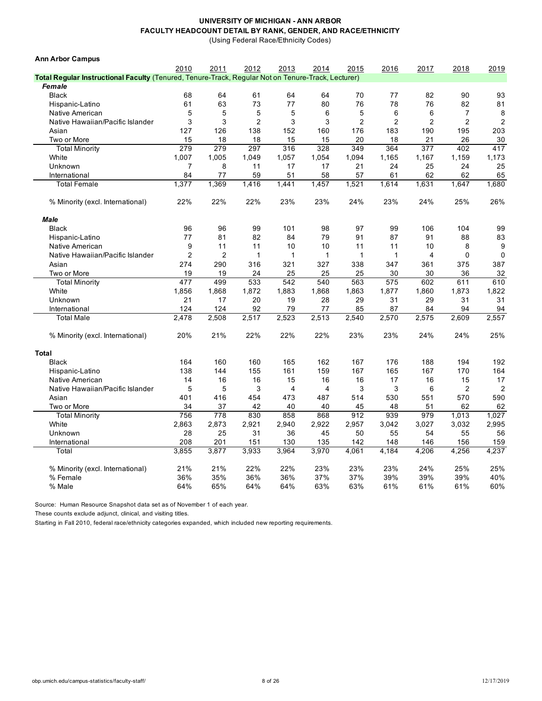(Using Federal Race/Ethnicity Codes)

| 2010<br>2011<br>2012<br>2013<br>2014<br>2015<br>2016<br>2017<br>2018<br>2019<br>Total Regular Instructional Faculty (Tenured, Tenure-Track, Regular Not on Tenure-Track, Lecturer)<br>Female<br><b>Black</b><br>68<br>64<br>61<br>64<br>64<br>70<br>77<br>82<br>90<br>93<br>73<br>61<br>63<br>77<br>80<br>76<br>78<br>76<br>82<br>81<br>Hispanic-Latino<br>5<br>5<br>5<br>5<br>6<br>5<br>6<br>8<br>Native American<br>6<br>7<br>3<br>$\overline{2}$<br>3<br>3<br>$\overline{2}$<br>$\overline{2}$<br>$\overline{2}$<br>$\overline{2}$<br>$\overline{2}$<br>3<br>Native Hawaiian/Pacific Islander<br>126<br>138<br>152<br>160<br>176<br>183<br>190<br>195<br>203<br>Asian<br>127<br>18<br>18<br>15<br>15<br>20<br>18<br>21<br>26<br>30<br>Two or More<br>15<br>417<br><b>Total Minority</b><br>279<br>279<br>297<br>316<br>328<br>349<br>364<br>377<br>402<br>White<br>1,007<br>1,005<br>1,049<br>1,057<br>1,094<br>1,167<br>1,159<br>1,173<br>1,054<br>1,165<br>Unknown<br>25<br>7<br>8<br>11<br>17<br>17<br>21<br>24<br>25<br>24<br>62<br>62<br>84<br>77<br>59<br>51<br>58<br>57<br>61<br>65<br>International<br>1,369<br>1,521<br><b>Total Female</b><br>1,377<br>1,416<br>1,441<br>1,457<br>1,614<br>1,631<br>1,647<br>1,680<br>22%<br>22%<br>22%<br>23%<br>23%<br>24%<br>23%<br>24%<br>25%<br>26%<br>% Minority (excl. International)<br><b>Male</b><br><b>Black</b><br>99<br>99<br>96<br>96<br>101<br>98<br>97<br>99<br>106<br>104<br>77<br>82<br>79<br>91<br>83<br>81<br>84<br>87<br>91<br>88<br>Hispanic-Latino<br>9<br>11<br>11<br>10<br>11<br>10<br>8<br>9<br>Native American<br>10<br>11<br>$\overline{2}$<br>$\overline{2}$<br>$\mathbf 0$<br>$\mathbf 0$<br>Native Hawaiian/Pacific Islander<br>$\mathbf{1}$<br>$\mathbf{1}$<br>$\mathbf{1}$<br>$\overline{\mathbf{4}}$<br>$\mathbf 1$<br>1<br>274<br>290<br>321<br>375<br>387<br>Asian<br>316<br>327<br>338<br>347<br>361<br>32<br>Two or More<br>19<br>25<br>25<br>30<br>36<br>19<br>24<br>25<br>30<br>477<br>499<br>610<br><b>Total Minority</b><br>533<br>542<br>540<br>563<br>575<br>602<br>611<br>White<br>1,856<br>1,822<br>1,868<br>1,872<br>1,883<br>1,868<br>1,863<br>1,877<br>1,860<br>1,873<br>Unknown<br>21<br>17<br>20<br>19<br>28<br>29<br>31<br>29<br>31<br>31<br>124<br>124<br>92<br>79<br>94<br>94<br>International<br>77<br>85<br>87<br>84<br>2,478<br>2,508<br>2,523<br>2,570<br>2,557<br><b>Total Male</b><br>2,517<br>2,513<br>2,540<br>2,575<br>2,609<br>21%<br>22%<br>22%<br>22%<br>23%<br>23%<br>25%<br>20%<br>24%<br>24%<br>% Minority (excl. International)<br><b>Total</b><br>188<br>194<br><b>Black</b><br>164<br>160<br>160<br>165<br>162<br>167<br>176<br>192<br>138<br>155<br>161<br>159<br>167<br>165<br>167<br>170<br>164<br>Hispanic-Latino<br>144<br>14<br>16<br>16<br>15<br>16<br>16<br>17<br>16<br>15<br>17<br>Native American<br>$\overline{c}$<br>5<br>5<br>3<br>4<br>3<br>3<br>6<br>$\overline{2}$<br>Native Hawaiian/Pacific Islander<br>4<br>570<br>Asian<br>401<br>416<br>454<br>473<br>487<br>514<br>530<br>551<br>590<br>34<br>37<br>40<br>51<br>62<br>62<br>Two or More<br>42<br>40<br>45<br>48<br>912<br>756<br>778<br>830<br>858<br>868<br>939<br>979<br>1,013<br>1,027<br><b>Total Minority</b><br>2,873<br>2,921<br>2,922<br>2,957<br>3,027<br>3,032<br>2,995<br>White<br>2,863<br>2,940<br>3,042<br>25<br>36<br>50<br>54<br>56<br>Unknown<br>28<br>31<br>45<br>55<br>55<br>208<br>201<br>142<br>146<br>156<br>159<br>International<br>151<br>130<br>135<br>148<br>3.855<br>3.877<br>3,933<br>3.964<br>3.970<br>4.061<br>4,184<br>4,206<br>4,256<br>4,237<br>Total<br>21%<br>21%<br>22%<br>22%<br>23%<br>24%<br>25%<br>25%<br>% Minority (excl. International)<br>23%<br>23%<br>37%<br>37%<br>39%<br>40%<br>% Female<br>36%<br>35%<br>36%<br>36%<br>39%<br>39%<br>63%<br>% Male<br>64%<br>65%<br>64%<br>64%<br>63%<br>61%<br>61%<br>61%<br>60% | <b>Ann Arbor Campus</b> |  |  |  |  |  |
|---------------------------------------------------------------------------------------------------------------------------------------------------------------------------------------------------------------------------------------------------------------------------------------------------------------------------------------------------------------------------------------------------------------------------------------------------------------------------------------------------------------------------------------------------------------------------------------------------------------------------------------------------------------------------------------------------------------------------------------------------------------------------------------------------------------------------------------------------------------------------------------------------------------------------------------------------------------------------------------------------------------------------------------------------------------------------------------------------------------------------------------------------------------------------------------------------------------------------------------------------------------------------------------------------------------------------------------------------------------------------------------------------------------------------------------------------------------------------------------------------------------------------------------------------------------------------------------------------------------------------------------------------------------------------------------------------------------------------------------------------------------------------------------------------------------------------------------------------------------------------------------------------------------------------------------------------------------------------------------------------------------------------------------------------------------------------------------------------------------------------------------------------------------------------------------------------------------------------------------------------------------------------------------------------------------------------------------------------------------------------------------------------------------------------------------------------------------------------------------------------------------------------------------------------------------------------------------------------------------------------------------------------------------------------------------------------------------------------------------------------------------------------------------------------------------------------------------------------------------------------------------------------------------------------------------------------------------------------------------------------------------------------------------------------------------------------------------------------------------------------------------------------------------------------------------------------------------------------------------------------------------------------------------------------------------------------------------------------------------------------------------------------------------------------------------------------------------------------------------------------------------------------------------------------------------------------------------------------------------------------------------------------------------------------------------------------------------------------------------------------------------------------------------------------------------------------------------------------------------|-------------------------|--|--|--|--|--|
|                                                                                                                                                                                                                                                                                                                                                                                                                                                                                                                                                                                                                                                                                                                                                                                                                                                                                                                                                                                                                                                                                                                                                                                                                                                                                                                                                                                                                                                                                                                                                                                                                                                                                                                                                                                                                                                                                                                                                                                                                                                                                                                                                                                                                                                                                                                                                                                                                                                                                                                                                                                                                                                                                                                                                                                                                                                                                                                                                                                                                                                                                                                                                                                                                                                                                                                                                                                                                                                                                                                                                                                                                                                                                                                                                                                                                                                               |                         |  |  |  |  |  |
|                                                                                                                                                                                                                                                                                                                                                                                                                                                                                                                                                                                                                                                                                                                                                                                                                                                                                                                                                                                                                                                                                                                                                                                                                                                                                                                                                                                                                                                                                                                                                                                                                                                                                                                                                                                                                                                                                                                                                                                                                                                                                                                                                                                                                                                                                                                                                                                                                                                                                                                                                                                                                                                                                                                                                                                                                                                                                                                                                                                                                                                                                                                                                                                                                                                                                                                                                                                                                                                                                                                                                                                                                                                                                                                                                                                                                                                               |                         |  |  |  |  |  |
|                                                                                                                                                                                                                                                                                                                                                                                                                                                                                                                                                                                                                                                                                                                                                                                                                                                                                                                                                                                                                                                                                                                                                                                                                                                                                                                                                                                                                                                                                                                                                                                                                                                                                                                                                                                                                                                                                                                                                                                                                                                                                                                                                                                                                                                                                                                                                                                                                                                                                                                                                                                                                                                                                                                                                                                                                                                                                                                                                                                                                                                                                                                                                                                                                                                                                                                                                                                                                                                                                                                                                                                                                                                                                                                                                                                                                                                               |                         |  |  |  |  |  |
|                                                                                                                                                                                                                                                                                                                                                                                                                                                                                                                                                                                                                                                                                                                                                                                                                                                                                                                                                                                                                                                                                                                                                                                                                                                                                                                                                                                                                                                                                                                                                                                                                                                                                                                                                                                                                                                                                                                                                                                                                                                                                                                                                                                                                                                                                                                                                                                                                                                                                                                                                                                                                                                                                                                                                                                                                                                                                                                                                                                                                                                                                                                                                                                                                                                                                                                                                                                                                                                                                                                                                                                                                                                                                                                                                                                                                                                               |                         |  |  |  |  |  |
|                                                                                                                                                                                                                                                                                                                                                                                                                                                                                                                                                                                                                                                                                                                                                                                                                                                                                                                                                                                                                                                                                                                                                                                                                                                                                                                                                                                                                                                                                                                                                                                                                                                                                                                                                                                                                                                                                                                                                                                                                                                                                                                                                                                                                                                                                                                                                                                                                                                                                                                                                                                                                                                                                                                                                                                                                                                                                                                                                                                                                                                                                                                                                                                                                                                                                                                                                                                                                                                                                                                                                                                                                                                                                                                                                                                                                                                               |                         |  |  |  |  |  |
|                                                                                                                                                                                                                                                                                                                                                                                                                                                                                                                                                                                                                                                                                                                                                                                                                                                                                                                                                                                                                                                                                                                                                                                                                                                                                                                                                                                                                                                                                                                                                                                                                                                                                                                                                                                                                                                                                                                                                                                                                                                                                                                                                                                                                                                                                                                                                                                                                                                                                                                                                                                                                                                                                                                                                                                                                                                                                                                                                                                                                                                                                                                                                                                                                                                                                                                                                                                                                                                                                                                                                                                                                                                                                                                                                                                                                                                               |                         |  |  |  |  |  |
|                                                                                                                                                                                                                                                                                                                                                                                                                                                                                                                                                                                                                                                                                                                                                                                                                                                                                                                                                                                                                                                                                                                                                                                                                                                                                                                                                                                                                                                                                                                                                                                                                                                                                                                                                                                                                                                                                                                                                                                                                                                                                                                                                                                                                                                                                                                                                                                                                                                                                                                                                                                                                                                                                                                                                                                                                                                                                                                                                                                                                                                                                                                                                                                                                                                                                                                                                                                                                                                                                                                                                                                                                                                                                                                                                                                                                                                               |                         |  |  |  |  |  |
|                                                                                                                                                                                                                                                                                                                                                                                                                                                                                                                                                                                                                                                                                                                                                                                                                                                                                                                                                                                                                                                                                                                                                                                                                                                                                                                                                                                                                                                                                                                                                                                                                                                                                                                                                                                                                                                                                                                                                                                                                                                                                                                                                                                                                                                                                                                                                                                                                                                                                                                                                                                                                                                                                                                                                                                                                                                                                                                                                                                                                                                                                                                                                                                                                                                                                                                                                                                                                                                                                                                                                                                                                                                                                                                                                                                                                                                               |                         |  |  |  |  |  |
|                                                                                                                                                                                                                                                                                                                                                                                                                                                                                                                                                                                                                                                                                                                                                                                                                                                                                                                                                                                                                                                                                                                                                                                                                                                                                                                                                                                                                                                                                                                                                                                                                                                                                                                                                                                                                                                                                                                                                                                                                                                                                                                                                                                                                                                                                                                                                                                                                                                                                                                                                                                                                                                                                                                                                                                                                                                                                                                                                                                                                                                                                                                                                                                                                                                                                                                                                                                                                                                                                                                                                                                                                                                                                                                                                                                                                                                               |                         |  |  |  |  |  |
|                                                                                                                                                                                                                                                                                                                                                                                                                                                                                                                                                                                                                                                                                                                                                                                                                                                                                                                                                                                                                                                                                                                                                                                                                                                                                                                                                                                                                                                                                                                                                                                                                                                                                                                                                                                                                                                                                                                                                                                                                                                                                                                                                                                                                                                                                                                                                                                                                                                                                                                                                                                                                                                                                                                                                                                                                                                                                                                                                                                                                                                                                                                                                                                                                                                                                                                                                                                                                                                                                                                                                                                                                                                                                                                                                                                                                                                               |                         |  |  |  |  |  |
|                                                                                                                                                                                                                                                                                                                                                                                                                                                                                                                                                                                                                                                                                                                                                                                                                                                                                                                                                                                                                                                                                                                                                                                                                                                                                                                                                                                                                                                                                                                                                                                                                                                                                                                                                                                                                                                                                                                                                                                                                                                                                                                                                                                                                                                                                                                                                                                                                                                                                                                                                                                                                                                                                                                                                                                                                                                                                                                                                                                                                                                                                                                                                                                                                                                                                                                                                                                                                                                                                                                                                                                                                                                                                                                                                                                                                                                               |                         |  |  |  |  |  |
|                                                                                                                                                                                                                                                                                                                                                                                                                                                                                                                                                                                                                                                                                                                                                                                                                                                                                                                                                                                                                                                                                                                                                                                                                                                                                                                                                                                                                                                                                                                                                                                                                                                                                                                                                                                                                                                                                                                                                                                                                                                                                                                                                                                                                                                                                                                                                                                                                                                                                                                                                                                                                                                                                                                                                                                                                                                                                                                                                                                                                                                                                                                                                                                                                                                                                                                                                                                                                                                                                                                                                                                                                                                                                                                                                                                                                                                               |                         |  |  |  |  |  |
|                                                                                                                                                                                                                                                                                                                                                                                                                                                                                                                                                                                                                                                                                                                                                                                                                                                                                                                                                                                                                                                                                                                                                                                                                                                                                                                                                                                                                                                                                                                                                                                                                                                                                                                                                                                                                                                                                                                                                                                                                                                                                                                                                                                                                                                                                                                                                                                                                                                                                                                                                                                                                                                                                                                                                                                                                                                                                                                                                                                                                                                                                                                                                                                                                                                                                                                                                                                                                                                                                                                                                                                                                                                                                                                                                                                                                                                               |                         |  |  |  |  |  |
|                                                                                                                                                                                                                                                                                                                                                                                                                                                                                                                                                                                                                                                                                                                                                                                                                                                                                                                                                                                                                                                                                                                                                                                                                                                                                                                                                                                                                                                                                                                                                                                                                                                                                                                                                                                                                                                                                                                                                                                                                                                                                                                                                                                                                                                                                                                                                                                                                                                                                                                                                                                                                                                                                                                                                                                                                                                                                                                                                                                                                                                                                                                                                                                                                                                                                                                                                                                                                                                                                                                                                                                                                                                                                                                                                                                                                                                               |                         |  |  |  |  |  |
|                                                                                                                                                                                                                                                                                                                                                                                                                                                                                                                                                                                                                                                                                                                                                                                                                                                                                                                                                                                                                                                                                                                                                                                                                                                                                                                                                                                                                                                                                                                                                                                                                                                                                                                                                                                                                                                                                                                                                                                                                                                                                                                                                                                                                                                                                                                                                                                                                                                                                                                                                                                                                                                                                                                                                                                                                                                                                                                                                                                                                                                                                                                                                                                                                                                                                                                                                                                                                                                                                                                                                                                                                                                                                                                                                                                                                                                               |                         |  |  |  |  |  |
|                                                                                                                                                                                                                                                                                                                                                                                                                                                                                                                                                                                                                                                                                                                                                                                                                                                                                                                                                                                                                                                                                                                                                                                                                                                                                                                                                                                                                                                                                                                                                                                                                                                                                                                                                                                                                                                                                                                                                                                                                                                                                                                                                                                                                                                                                                                                                                                                                                                                                                                                                                                                                                                                                                                                                                                                                                                                                                                                                                                                                                                                                                                                                                                                                                                                                                                                                                                                                                                                                                                                                                                                                                                                                                                                                                                                                                                               |                         |  |  |  |  |  |
|                                                                                                                                                                                                                                                                                                                                                                                                                                                                                                                                                                                                                                                                                                                                                                                                                                                                                                                                                                                                                                                                                                                                                                                                                                                                                                                                                                                                                                                                                                                                                                                                                                                                                                                                                                                                                                                                                                                                                                                                                                                                                                                                                                                                                                                                                                                                                                                                                                                                                                                                                                                                                                                                                                                                                                                                                                                                                                                                                                                                                                                                                                                                                                                                                                                                                                                                                                                                                                                                                                                                                                                                                                                                                                                                                                                                                                                               |                         |  |  |  |  |  |
|                                                                                                                                                                                                                                                                                                                                                                                                                                                                                                                                                                                                                                                                                                                                                                                                                                                                                                                                                                                                                                                                                                                                                                                                                                                                                                                                                                                                                                                                                                                                                                                                                                                                                                                                                                                                                                                                                                                                                                                                                                                                                                                                                                                                                                                                                                                                                                                                                                                                                                                                                                                                                                                                                                                                                                                                                                                                                                                                                                                                                                                                                                                                                                                                                                                                                                                                                                                                                                                                                                                                                                                                                                                                                                                                                                                                                                                               |                         |  |  |  |  |  |
|                                                                                                                                                                                                                                                                                                                                                                                                                                                                                                                                                                                                                                                                                                                                                                                                                                                                                                                                                                                                                                                                                                                                                                                                                                                                                                                                                                                                                                                                                                                                                                                                                                                                                                                                                                                                                                                                                                                                                                                                                                                                                                                                                                                                                                                                                                                                                                                                                                                                                                                                                                                                                                                                                                                                                                                                                                                                                                                                                                                                                                                                                                                                                                                                                                                                                                                                                                                                                                                                                                                                                                                                                                                                                                                                                                                                                                                               |                         |  |  |  |  |  |
|                                                                                                                                                                                                                                                                                                                                                                                                                                                                                                                                                                                                                                                                                                                                                                                                                                                                                                                                                                                                                                                                                                                                                                                                                                                                                                                                                                                                                                                                                                                                                                                                                                                                                                                                                                                                                                                                                                                                                                                                                                                                                                                                                                                                                                                                                                                                                                                                                                                                                                                                                                                                                                                                                                                                                                                                                                                                                                                                                                                                                                                                                                                                                                                                                                                                                                                                                                                                                                                                                                                                                                                                                                                                                                                                                                                                                                                               |                         |  |  |  |  |  |
|                                                                                                                                                                                                                                                                                                                                                                                                                                                                                                                                                                                                                                                                                                                                                                                                                                                                                                                                                                                                                                                                                                                                                                                                                                                                                                                                                                                                                                                                                                                                                                                                                                                                                                                                                                                                                                                                                                                                                                                                                                                                                                                                                                                                                                                                                                                                                                                                                                                                                                                                                                                                                                                                                                                                                                                                                                                                                                                                                                                                                                                                                                                                                                                                                                                                                                                                                                                                                                                                                                                                                                                                                                                                                                                                                                                                                                                               |                         |  |  |  |  |  |
|                                                                                                                                                                                                                                                                                                                                                                                                                                                                                                                                                                                                                                                                                                                                                                                                                                                                                                                                                                                                                                                                                                                                                                                                                                                                                                                                                                                                                                                                                                                                                                                                                                                                                                                                                                                                                                                                                                                                                                                                                                                                                                                                                                                                                                                                                                                                                                                                                                                                                                                                                                                                                                                                                                                                                                                                                                                                                                                                                                                                                                                                                                                                                                                                                                                                                                                                                                                                                                                                                                                                                                                                                                                                                                                                                                                                                                                               |                         |  |  |  |  |  |
|                                                                                                                                                                                                                                                                                                                                                                                                                                                                                                                                                                                                                                                                                                                                                                                                                                                                                                                                                                                                                                                                                                                                                                                                                                                                                                                                                                                                                                                                                                                                                                                                                                                                                                                                                                                                                                                                                                                                                                                                                                                                                                                                                                                                                                                                                                                                                                                                                                                                                                                                                                                                                                                                                                                                                                                                                                                                                                                                                                                                                                                                                                                                                                                                                                                                                                                                                                                                                                                                                                                                                                                                                                                                                                                                                                                                                                                               |                         |  |  |  |  |  |
|                                                                                                                                                                                                                                                                                                                                                                                                                                                                                                                                                                                                                                                                                                                                                                                                                                                                                                                                                                                                                                                                                                                                                                                                                                                                                                                                                                                                                                                                                                                                                                                                                                                                                                                                                                                                                                                                                                                                                                                                                                                                                                                                                                                                                                                                                                                                                                                                                                                                                                                                                                                                                                                                                                                                                                                                                                                                                                                                                                                                                                                                                                                                                                                                                                                                                                                                                                                                                                                                                                                                                                                                                                                                                                                                                                                                                                                               |                         |  |  |  |  |  |
|                                                                                                                                                                                                                                                                                                                                                                                                                                                                                                                                                                                                                                                                                                                                                                                                                                                                                                                                                                                                                                                                                                                                                                                                                                                                                                                                                                                                                                                                                                                                                                                                                                                                                                                                                                                                                                                                                                                                                                                                                                                                                                                                                                                                                                                                                                                                                                                                                                                                                                                                                                                                                                                                                                                                                                                                                                                                                                                                                                                                                                                                                                                                                                                                                                                                                                                                                                                                                                                                                                                                                                                                                                                                                                                                                                                                                                                               |                         |  |  |  |  |  |
|                                                                                                                                                                                                                                                                                                                                                                                                                                                                                                                                                                                                                                                                                                                                                                                                                                                                                                                                                                                                                                                                                                                                                                                                                                                                                                                                                                                                                                                                                                                                                                                                                                                                                                                                                                                                                                                                                                                                                                                                                                                                                                                                                                                                                                                                                                                                                                                                                                                                                                                                                                                                                                                                                                                                                                                                                                                                                                                                                                                                                                                                                                                                                                                                                                                                                                                                                                                                                                                                                                                                                                                                                                                                                                                                                                                                                                                               |                         |  |  |  |  |  |
|                                                                                                                                                                                                                                                                                                                                                                                                                                                                                                                                                                                                                                                                                                                                                                                                                                                                                                                                                                                                                                                                                                                                                                                                                                                                                                                                                                                                                                                                                                                                                                                                                                                                                                                                                                                                                                                                                                                                                                                                                                                                                                                                                                                                                                                                                                                                                                                                                                                                                                                                                                                                                                                                                                                                                                                                                                                                                                                                                                                                                                                                                                                                                                                                                                                                                                                                                                                                                                                                                                                                                                                                                                                                                                                                                                                                                                                               |                         |  |  |  |  |  |
|                                                                                                                                                                                                                                                                                                                                                                                                                                                                                                                                                                                                                                                                                                                                                                                                                                                                                                                                                                                                                                                                                                                                                                                                                                                                                                                                                                                                                                                                                                                                                                                                                                                                                                                                                                                                                                                                                                                                                                                                                                                                                                                                                                                                                                                                                                                                                                                                                                                                                                                                                                                                                                                                                                                                                                                                                                                                                                                                                                                                                                                                                                                                                                                                                                                                                                                                                                                                                                                                                                                                                                                                                                                                                                                                                                                                                                                               |                         |  |  |  |  |  |
|                                                                                                                                                                                                                                                                                                                                                                                                                                                                                                                                                                                                                                                                                                                                                                                                                                                                                                                                                                                                                                                                                                                                                                                                                                                                                                                                                                                                                                                                                                                                                                                                                                                                                                                                                                                                                                                                                                                                                                                                                                                                                                                                                                                                                                                                                                                                                                                                                                                                                                                                                                                                                                                                                                                                                                                                                                                                                                                                                                                                                                                                                                                                                                                                                                                                                                                                                                                                                                                                                                                                                                                                                                                                                                                                                                                                                                                               |                         |  |  |  |  |  |
|                                                                                                                                                                                                                                                                                                                                                                                                                                                                                                                                                                                                                                                                                                                                                                                                                                                                                                                                                                                                                                                                                                                                                                                                                                                                                                                                                                                                                                                                                                                                                                                                                                                                                                                                                                                                                                                                                                                                                                                                                                                                                                                                                                                                                                                                                                                                                                                                                                                                                                                                                                                                                                                                                                                                                                                                                                                                                                                                                                                                                                                                                                                                                                                                                                                                                                                                                                                                                                                                                                                                                                                                                                                                                                                                                                                                                                                               |                         |  |  |  |  |  |
|                                                                                                                                                                                                                                                                                                                                                                                                                                                                                                                                                                                                                                                                                                                                                                                                                                                                                                                                                                                                                                                                                                                                                                                                                                                                                                                                                                                                                                                                                                                                                                                                                                                                                                                                                                                                                                                                                                                                                                                                                                                                                                                                                                                                                                                                                                                                                                                                                                                                                                                                                                                                                                                                                                                                                                                                                                                                                                                                                                                                                                                                                                                                                                                                                                                                                                                                                                                                                                                                                                                                                                                                                                                                                                                                                                                                                                                               |                         |  |  |  |  |  |
|                                                                                                                                                                                                                                                                                                                                                                                                                                                                                                                                                                                                                                                                                                                                                                                                                                                                                                                                                                                                                                                                                                                                                                                                                                                                                                                                                                                                                                                                                                                                                                                                                                                                                                                                                                                                                                                                                                                                                                                                                                                                                                                                                                                                                                                                                                                                                                                                                                                                                                                                                                                                                                                                                                                                                                                                                                                                                                                                                                                                                                                                                                                                                                                                                                                                                                                                                                                                                                                                                                                                                                                                                                                                                                                                                                                                                                                               |                         |  |  |  |  |  |
|                                                                                                                                                                                                                                                                                                                                                                                                                                                                                                                                                                                                                                                                                                                                                                                                                                                                                                                                                                                                                                                                                                                                                                                                                                                                                                                                                                                                                                                                                                                                                                                                                                                                                                                                                                                                                                                                                                                                                                                                                                                                                                                                                                                                                                                                                                                                                                                                                                                                                                                                                                                                                                                                                                                                                                                                                                                                                                                                                                                                                                                                                                                                                                                                                                                                                                                                                                                                                                                                                                                                                                                                                                                                                                                                                                                                                                                               |                         |  |  |  |  |  |
|                                                                                                                                                                                                                                                                                                                                                                                                                                                                                                                                                                                                                                                                                                                                                                                                                                                                                                                                                                                                                                                                                                                                                                                                                                                                                                                                                                                                                                                                                                                                                                                                                                                                                                                                                                                                                                                                                                                                                                                                                                                                                                                                                                                                                                                                                                                                                                                                                                                                                                                                                                                                                                                                                                                                                                                                                                                                                                                                                                                                                                                                                                                                                                                                                                                                                                                                                                                                                                                                                                                                                                                                                                                                                                                                                                                                                                                               |                         |  |  |  |  |  |
|                                                                                                                                                                                                                                                                                                                                                                                                                                                                                                                                                                                                                                                                                                                                                                                                                                                                                                                                                                                                                                                                                                                                                                                                                                                                                                                                                                                                                                                                                                                                                                                                                                                                                                                                                                                                                                                                                                                                                                                                                                                                                                                                                                                                                                                                                                                                                                                                                                                                                                                                                                                                                                                                                                                                                                                                                                                                                                                                                                                                                                                                                                                                                                                                                                                                                                                                                                                                                                                                                                                                                                                                                                                                                                                                                                                                                                                               |                         |  |  |  |  |  |
|                                                                                                                                                                                                                                                                                                                                                                                                                                                                                                                                                                                                                                                                                                                                                                                                                                                                                                                                                                                                                                                                                                                                                                                                                                                                                                                                                                                                                                                                                                                                                                                                                                                                                                                                                                                                                                                                                                                                                                                                                                                                                                                                                                                                                                                                                                                                                                                                                                                                                                                                                                                                                                                                                                                                                                                                                                                                                                                                                                                                                                                                                                                                                                                                                                                                                                                                                                                                                                                                                                                                                                                                                                                                                                                                                                                                                                                               |                         |  |  |  |  |  |
|                                                                                                                                                                                                                                                                                                                                                                                                                                                                                                                                                                                                                                                                                                                                                                                                                                                                                                                                                                                                                                                                                                                                                                                                                                                                                                                                                                                                                                                                                                                                                                                                                                                                                                                                                                                                                                                                                                                                                                                                                                                                                                                                                                                                                                                                                                                                                                                                                                                                                                                                                                                                                                                                                                                                                                                                                                                                                                                                                                                                                                                                                                                                                                                                                                                                                                                                                                                                                                                                                                                                                                                                                                                                                                                                                                                                                                                               |                         |  |  |  |  |  |
|                                                                                                                                                                                                                                                                                                                                                                                                                                                                                                                                                                                                                                                                                                                                                                                                                                                                                                                                                                                                                                                                                                                                                                                                                                                                                                                                                                                                                                                                                                                                                                                                                                                                                                                                                                                                                                                                                                                                                                                                                                                                                                                                                                                                                                                                                                                                                                                                                                                                                                                                                                                                                                                                                                                                                                                                                                                                                                                                                                                                                                                                                                                                                                                                                                                                                                                                                                                                                                                                                                                                                                                                                                                                                                                                                                                                                                                               |                         |  |  |  |  |  |
|                                                                                                                                                                                                                                                                                                                                                                                                                                                                                                                                                                                                                                                                                                                                                                                                                                                                                                                                                                                                                                                                                                                                                                                                                                                                                                                                                                                                                                                                                                                                                                                                                                                                                                                                                                                                                                                                                                                                                                                                                                                                                                                                                                                                                                                                                                                                                                                                                                                                                                                                                                                                                                                                                                                                                                                                                                                                                                                                                                                                                                                                                                                                                                                                                                                                                                                                                                                                                                                                                                                                                                                                                                                                                                                                                                                                                                                               |                         |  |  |  |  |  |
|                                                                                                                                                                                                                                                                                                                                                                                                                                                                                                                                                                                                                                                                                                                                                                                                                                                                                                                                                                                                                                                                                                                                                                                                                                                                                                                                                                                                                                                                                                                                                                                                                                                                                                                                                                                                                                                                                                                                                                                                                                                                                                                                                                                                                                                                                                                                                                                                                                                                                                                                                                                                                                                                                                                                                                                                                                                                                                                                                                                                                                                                                                                                                                                                                                                                                                                                                                                                                                                                                                                                                                                                                                                                                                                                                                                                                                                               |                         |  |  |  |  |  |
|                                                                                                                                                                                                                                                                                                                                                                                                                                                                                                                                                                                                                                                                                                                                                                                                                                                                                                                                                                                                                                                                                                                                                                                                                                                                                                                                                                                                                                                                                                                                                                                                                                                                                                                                                                                                                                                                                                                                                                                                                                                                                                                                                                                                                                                                                                                                                                                                                                                                                                                                                                                                                                                                                                                                                                                                                                                                                                                                                                                                                                                                                                                                                                                                                                                                                                                                                                                                                                                                                                                                                                                                                                                                                                                                                                                                                                                               |                         |  |  |  |  |  |
|                                                                                                                                                                                                                                                                                                                                                                                                                                                                                                                                                                                                                                                                                                                                                                                                                                                                                                                                                                                                                                                                                                                                                                                                                                                                                                                                                                                                                                                                                                                                                                                                                                                                                                                                                                                                                                                                                                                                                                                                                                                                                                                                                                                                                                                                                                                                                                                                                                                                                                                                                                                                                                                                                                                                                                                                                                                                                                                                                                                                                                                                                                                                                                                                                                                                                                                                                                                                                                                                                                                                                                                                                                                                                                                                                                                                                                                               |                         |  |  |  |  |  |
|                                                                                                                                                                                                                                                                                                                                                                                                                                                                                                                                                                                                                                                                                                                                                                                                                                                                                                                                                                                                                                                                                                                                                                                                                                                                                                                                                                                                                                                                                                                                                                                                                                                                                                                                                                                                                                                                                                                                                                                                                                                                                                                                                                                                                                                                                                                                                                                                                                                                                                                                                                                                                                                                                                                                                                                                                                                                                                                                                                                                                                                                                                                                                                                                                                                                                                                                                                                                                                                                                                                                                                                                                                                                                                                                                                                                                                                               |                         |  |  |  |  |  |

Source: Human Resource Snapshot data set as of November 1 of each year.

These counts exclude adjunct, clinical, and visiting titles.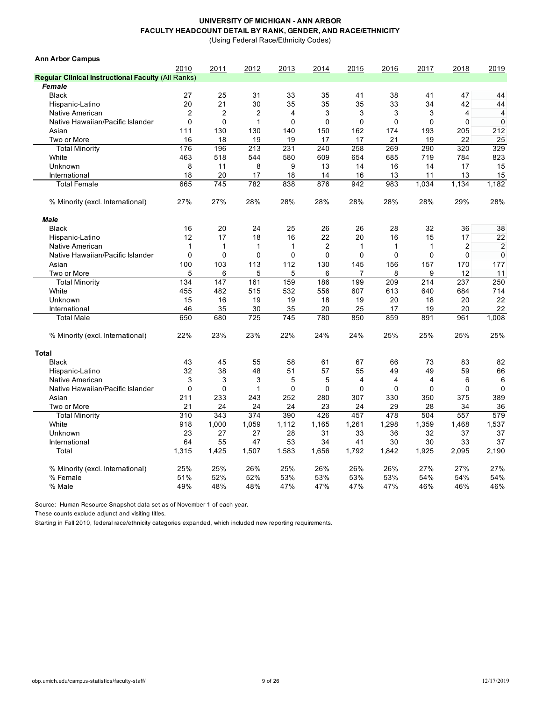(Using Federal Race/Ethnicity Codes)

| <b>Ann Arbor Campus</b>                                   |                |                |                |              |                |             |                |             |                |                |
|-----------------------------------------------------------|----------------|----------------|----------------|--------------|----------------|-------------|----------------|-------------|----------------|----------------|
|                                                           | 2010           | 2011           | 2012           | 2013         | 2014           | 2015        | 2016           | 2017        | 2018           | 2019           |
| <b>Regular Clinical Instructional Faculty (All Ranks)</b> |                |                |                |              |                |             |                |             |                |                |
| Female                                                    |                |                |                |              |                |             |                |             |                |                |
| <b>Black</b>                                              | 27             | 25             | 31             | 33           | 35             | 41          | 38             | 41          | 47             | 44             |
| Hispanic-Latino                                           | 20             | 21             | 30             | 35           | 35             | 35          | 33             | 34          | 42             | 44             |
| Native American                                           | $\overline{2}$ | $\overline{2}$ | $\overline{2}$ | 4            | 3              | 3           | 3              | 3           | 4              | 4              |
| Native Hawaiian/Pacific Islander                          | $\mathbf 0$    | 0              | $\mathbf{1}$   | 0            | 0              | $\mathbf 0$ | $\mathbf 0$    | $\mathbf 0$ | 0              | $\mathbf 0$    |
| Asian                                                     | 111            | 130            | 130            | 140          | 150            | 162         | 174            | 193         | 205            | 212            |
| Two or More                                               | 16             | 18             | 19             | 19           | 17             | 17          | 21             | 19          | 22             | 25             |
| <b>Total Minority</b>                                     | 176            | 196            | 213            | 231          | 240            | 258         | 269            | 290         | 320            | 329            |
| White                                                     | 463            | 518            | 544            | 580          | 609            | 654         | 685            | 719         | 784            | 823            |
| Unknown                                                   | 8              | 11             | 8              | 9            | 13             | 14          | 16             | 14          | 17             | 15             |
| International                                             | 18             | 20             | 17             | 18           | 14             | 16          | 13             | 11          | 13             | 15             |
| <b>Total Female</b>                                       | 665            | 745            | 782            | 838          | 876            | 942         | 983            | 1,034       | 1,134          | 1,182          |
| % Minority (excl. International)                          | 27%            | 27%            | 28%            | 28%          | 28%            | 28%         | 28%            | 28%         | 29%            | 28%            |
| Male                                                      |                |                |                |              |                |             |                |             |                |                |
| <b>Black</b>                                              | 16             | 20             | 24             | 25           | 26             | 26          | 28             | 32          | 36             | 38             |
| Hispanic-Latino                                           | 12             | 17             | 18             | 16           | 22             | 20          | 16             | 15          | 17             | 22             |
| Native American                                           | $\mathbf{1}$   | $\mathbf{1}$   | $\mathbf{1}$   | $\mathbf{1}$ | $\overline{c}$ | 1           | $\mathbf{1}$   | 1           | $\overline{2}$ | $\overline{2}$ |
| Native Hawaiian/Pacific Islander                          | $\Omega$       | $\mathbf 0$    | $\mathbf 0$    | 0            | 0              | $\mathbf 0$ | $\mathbf 0$    | $\mathbf 0$ | $\mathbf 0$    | $\mathbf 0$    |
| Asian                                                     | 100            | 103            | 113            | 112          | 130            | 145         | 156            | 157         | 170            | 177            |
| Two or More                                               | 5              | 6              | 5              | 5            | 6              | 7           | 8              | 9           | 12             | 11             |
| <b>Total Minority</b>                                     | 134            | 147            | 161            | 159          | 186            | 199         | 209            | 214         | 237            | 250            |
| White                                                     | 455            | 482            | 515            | 532          | 556            | 607         | 613            | 640         | 684            | 714            |
| Unknown                                                   | 15             | 16             | 19             | 19           | 18             | 19          | 20             | 18          | 20             | 22             |
| International                                             | 46             | 35             | 30             | 35           | 20             | 25          | 17             | 19          | 20             | 22             |
| <b>Total Male</b>                                         | 650            | 680            | 725            | 745          | 780            | 850         | 859            | 891         | 961            | 1,008          |
| % Minority (excl. International)                          | 22%            | 23%            | 23%            | 22%          | 24%            | 24%         | 25%            | 25%         | 25%            | 25%            |
| <b>Total</b>                                              |                |                |                |              |                |             |                |             |                |                |
| <b>Black</b>                                              | 43             | 45             | 55             | 58           | 61             | 67          | 66             | 73          | 83             | 82             |
| Hispanic-Latino                                           | 32             | 38             | 48             | 51           | 57             | 55          | 49             | 49          | 59             | 66             |
| Native American                                           | 3              | 3              | 3              | 5            | 5              | 4           | $\overline{4}$ | 4           | 6              | 6              |
| Native Hawaiian/Pacific Islander                          | $\mathbf 0$    | $\mathbf 0$    | $\mathbf{1}$   | 0            | 0              | 0           | $\mathbf 0$    | 0           | $\mathbf 0$    | $\mathbf 0$    |
| Asian                                                     | 211            | 233            | 243            | 252          | 280            | 307         | 330            | 350         | 375            | 389            |
| Two or More                                               | 21             | 24             | 24             | 24           | 23             | 24          | 29             | 28          | 34             | 36             |
| <b>Total Minority</b>                                     | 310            | 343            | 374            | 390          | 426            | 457         | 478            | 504         | 557            | 579            |
| White                                                     | 918            | 1,000          | 1,059          | 1,112        | 1,165          | 1,261       | 1,298          | 1,359       | 1,468          | 1,537          |
| Unknown                                                   | 23             | 27             | 27             | 28           | 31             | 33          | 36             | 32          | 37             | 37             |
| International                                             | 64             | 55             | 47             | 53           | 34             | 41          | 30             | 30          | 33             | 37             |
| Total                                                     | 1,315          | 1,425          | 1,507          | 1,583        | 1,656          | 1,792       | 1,842          | 1,925       | 2,095          | 2,190          |
| % Minority (excl. International)                          | 25%            | 25%            | 26%            | 25%          | 26%            | 26%         | 26%            | 27%         | 27%            | 27%            |
| % Female                                                  | 51%            | 52%            | 52%            | 53%          | 53%            | 53%         | 53%            | 54%         | 54%            | 54%            |
| % Male                                                    | 49%            | 48%            | 48%            | 47%          | 47%            | 47%         | 47%            | 46%         | 46%            | 46%            |
|                                                           |                |                |                |              |                |             |                |             |                |                |

Source: Human Resource Snapshot data set as of November 1 of each year.

These counts exclude adjunct and visiting titles.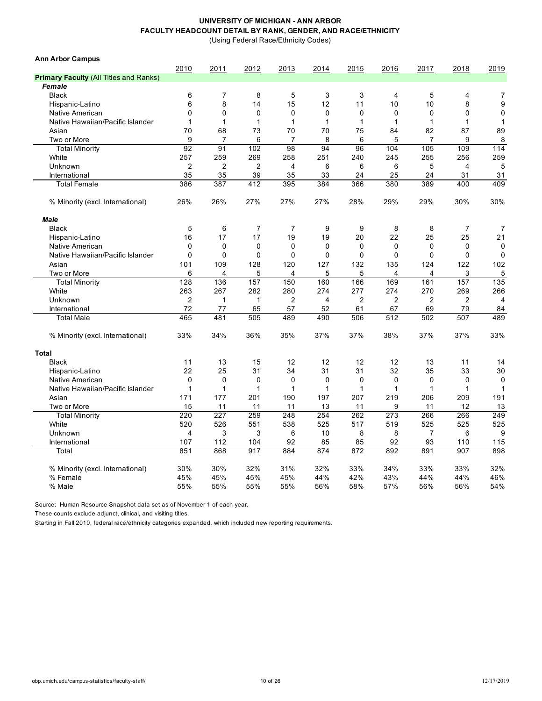(Using Federal Race/Ethnicity Codes)

| <b>Ann Arbor Campus</b>                       |                |                |                |                |              |                |                |                |             |                |
|-----------------------------------------------|----------------|----------------|----------------|----------------|--------------|----------------|----------------|----------------|-------------|----------------|
|                                               | 2010           | 2011           | 2012           | 2013           | 2014         | 2015           | 2016           | 2017           | 2018        | 2019           |
| <b>Primary Faculty (All Titles and Ranks)</b> |                |                |                |                |              |                |                |                |             |                |
| Female                                        |                |                |                |                |              |                |                |                |             |                |
| <b>Black</b>                                  | 6              | 7              | 8              | 5              | 3            | 3              | 4              | 5              | 4           | 7              |
| Hispanic-Latino                               | 6              | 8              | 14             | 15             | 12           | 11             | 10             | 10             | 8           | 9              |
| Native American                               | 0              | $\mathbf 0$    | 0              | 0              | 0            | 0              | 0              | 0              | 0           | $\mathbf 0$    |
| Native Hawaiian/Pacific Islander              | 1              | 1              | 1              | 1              | 1            | 1              | 1              | $\mathbf{1}$   | 1           | $\mathbf{1}$   |
| Asian                                         | 70             | 68             | 73             | 70             | 70           | 75             | 84             | 82             | 87          | 89             |
| Two or More                                   | 9              | $\overline{7}$ | 6              | 7              | 8            | 6              | 5              | $\overline{7}$ | 9           | 8              |
| <b>Total Minority</b>                         | 92             | 91             | 102            | 98             | 94           | 96             | 104            | 105            | 109         | 114            |
| White                                         | 257            | 259            | 269            | 258            | 251          | 240            | 245            | 255            | 256         | 259            |
| Unknown                                       | $\overline{2}$ | $\overline{2}$ | $\overline{2}$ | 4              | 6            | 6              | 6              | 5              | 4           | 5              |
| International                                 | 35             | 35             | 39             | 35             | 33           | 24             | 25             | 24             | 31          | 31             |
| <b>Total Female</b>                           | 386            | 387            | 412            | 395            | 384          | 366            | 380            | 389            | 400         | 409            |
| % Minority (excl. International)              | 26%            | 26%            | 27%            | 27%            | 27%          | 28%            | 29%            | 29%            | 30%         | 30%            |
| Male                                          |                |                |                |                |              |                |                |                |             |                |
| <b>Black</b>                                  | 5              | 6              | $\overline{7}$ | $\overline{7}$ | 9            | 9              | 8              | 8              | 7           | $\overline{7}$ |
| Hispanic-Latino                               | 16             | 17             | 17             | 19             | 19           | 20             | 22             | 25             | 25          | 21             |
| Native American                               | 0              | $\mathbf 0$    | 0              | 0              | $\mathbf 0$  | $\mathbf 0$    | 0              | $\mathbf 0$    | $\mathbf 0$ | $\mathbf 0$    |
| Native Hawaiian/Pacific Islander              | $\mathbf{0}$   | 0              | $\mathbf 0$    | $\Omega$       | $\mathbf{0}$ | $\Omega$       | $\Omega$       | $\Omega$       | 0           | 0              |
| Asian                                         | 101            | 109            | 128            | 120            | 127          | 132            | 135            | 124            | 122         | 102            |
| Two or More                                   | 6              | 4              | 5              | 4              | 5            | 5              | 4              | 4              | 3           | 5              |
| <b>Total Minority</b>                         | 128            | 136            | 157            | 150            | 160          | 166            | 169            | 161            | 157         | 135            |
| White                                         | 263            | 267            | 282            | 280            | 274          | 277            | 274            | 270            | 269         | 266            |
| Unknown                                       | $\overline{2}$ | 1              | 1              | 2              | 4            | $\overline{2}$ | $\overline{2}$ | $\overline{2}$ | 2           | 4              |
| International                                 | 72             | 77             | 65             | 57             | 52           | 61             | 67             | 69             | 79          | 84             |
| <b>Total Male</b>                             | 465            | 481            | 505            | 489            | 490          | 506            | 512            | 502            | 507         | 489            |
| % Minority (excl. International)              | 33%            | 34%            | 36%            | 35%            | 37%          | 37%            | 38%            | 37%            | 37%         | 33%            |
| <b>Total</b>                                  |                |                |                |                |              |                |                |                |             |                |
| <b>Black</b>                                  | 11             | 13             | 15             | 12             | 12           | 12             | 12             | 13             | 11          | 14             |
| Hispanic-Latino                               | 22             | 25             | 31             | 34             | 31           | 31             | 32             | 35             | 33          | 30             |
| Native American                               | 0              | $\mathbf 0$    | $\mathbf 0$    | 0              | $\mathbf 0$  | $\mathbf 0$    | 0              | $\mathbf 0$    | $\mathbf 0$ | $\mathbf 0$    |
| Native Hawaiian/Pacific Islander              | 1              | 1              | $\mathbf{1}$   | 1              | 1            | $\mathbf{1}$   | 1              | $\mathbf{1}$   | 1           | $\mathbf 1$    |
| Asian                                         | 171            | 177            | 201            | 190            | 197          | 207            | 219            | 206            | 209         | 191            |
| Two or More                                   | 15             | 11             | 11             | 11             | 13           | 11             | 9              | 11             | 12          | 13             |
| <b>Total Minority</b>                         | 220            | 227            | 259            | 248            | 254          | 262            | 273            | 266            | 266         | 249            |
| White                                         | 520            | 526            | 551            | 538            | 525          | 517            | 519            | 525            | 525         | 525            |
| Unknown                                       | 4              | 3              | 3              | 6              | 10           | 8              | 8              | $\overline{7}$ | 6           | 9              |
| International                                 | 107            | 112            | 104            | 92             | 85           | 85             | 92             | 93             | 110         | 115            |
| Total                                         | 851            | 868            | 917            | 884            | 874          | 872            | 892            | 891            | 907         | 898            |
| % Minority (excl. International)              | 30%            | 30%            | 32%            | 31%            | 32%          | 33%            | 34%            | 33%            | 33%         | 32%            |
| % Female                                      | 45%            | 45%            | 45%            | 45%            | 44%          | 42%            | 43%            | 44%            | 44%         | 46%            |
| % Male                                        | 55%            | 55%            | 55%            | 55%            | 56%          | 58%            | 57%            | 56%            | 56%         | 54%            |

Source: Human Resource Snapshot data set as of November 1 of each year.

These counts exclude adjunct, clinical, and visiting titles.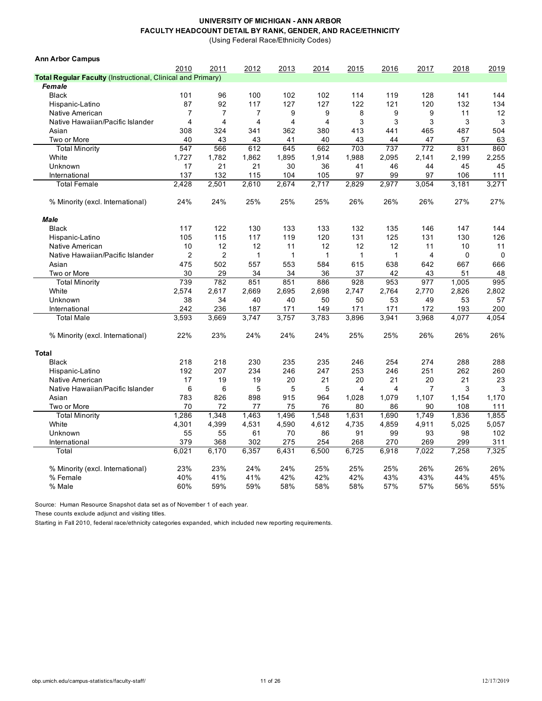(Using Federal Race/Ethnicity Codes)

| <b>Ann Arbor Campus</b>                                            |                |                |                |                |                |              |              |       |             |             |
|--------------------------------------------------------------------|----------------|----------------|----------------|----------------|----------------|--------------|--------------|-------|-------------|-------------|
|                                                                    | 2010           | 2011           | 2012           | 2013           | 2014           | 2015         | 2016         | 2017  | 2018        | 2019        |
| <b>Total Regular Faculty (Instructional, Clinical and Primary)</b> |                |                |                |                |                |              |              |       |             |             |
| Female                                                             |                |                |                |                |                |              |              |       |             |             |
| <b>Black</b>                                                       | 101            | 96             | 100            | 102            | 102            | 114          | 119          | 128   | 141         | 144         |
| Hispanic-Latino                                                    | 87             | 92             | 117            | 127            | 127            | 122          | 121          | 120   | 132         | 134         |
| Native American                                                    | 7              | $\overline{7}$ | $\overline{7}$ | 9              | 9              | 8            | 9            | 9     | 11          | 12          |
| Native Hawaiian/Pacific Islander                                   | $\overline{4}$ | 4              | 4              | $\overline{4}$ | $\overline{4}$ | 3            | 3            | 3     | 3           | 3           |
| Asian                                                              | 308            | 324            | 341            | 362            | 380            | 413          | 441          | 465   | 487         | 504         |
| Two or More                                                        | 40             | 43             | 43             | 41             | 40             | 43           | 44           | 47    | 57          | 63          |
| <b>Total Minority</b>                                              | 547            | 566            | 612            | 645            | 662            | 703          | 737          | 772   | 831         | 860         |
| White                                                              | 1,727          | 1,782          | 1,862          | 1,895          | 1,914          | 1,988        | 2,095        | 2,141 | 2,199       | 2,255       |
| Unknown                                                            | 17             | 21             | 21             | 30             | 36             | 41           | 46           | 44    | 45          | 45          |
| International                                                      | 137            | 132            | 115            | 104            | 105            | 97           | 99           | 97    | 106         | 111         |
| <b>Total Female</b>                                                | 2,428          | 2,501          | 2,610          | 2,674          | 2,717          | 2,829        | 2,977        | 3,054 | 3,181       | 3,271       |
| % Minority (excl. International)                                   | 24%            | 24%            | 25%            | 25%            | 25%            | 26%          | 26%          | 26%   | 27%         | 27%         |
| <b>Male</b>                                                        |                |                |                |                |                |              |              |       |             |             |
| <b>Black</b>                                                       | 117            | 122            | 130            | 133            | 133            | 132          | 135          | 146   | 147         | 144         |
| Hispanic-Latino                                                    | 105            | 115            | 117            | 119            | 120            | 131          | 125          | 131   | 130         | 126         |
| Native American                                                    | 10             | 12             | 12             | 11             | 12             | 12           | 12           | 11    | 10          | 11          |
| Native Hawaiian/Pacific Islander                                   | $\overline{2}$ | $\overline{c}$ | $\mathbf{1}$   | $\mathbf{1}$   | $\mathbf{1}$   | $\mathbf{1}$ | $\mathbf{1}$ | 4     | $\mathbf 0$ | $\mathbf 0$ |
| Asian                                                              | 475            | 502            | 557            | 553            | 584            | 615          | 638          | 642   | 667         | 666         |
| Two or More                                                        | 30             | 29             | 34             | 34             | 36             | 37           | 42           | 43    | 51          | 48          |
| <b>Total Minority</b>                                              | 739            | 782            | 851            | 851            | 886            | 928          | 953          | 977   | 1,005       | 995         |
| White                                                              | 2,574          | 2,617          | 2,669          | 2,695          | 2,698          | 2,747        | 2,764        | 2,770 | 2,826       | 2,802       |
| Unknown                                                            | 38             | 34             | 40             | 40             | 50             | 50           | 53           | 49    | 53          | 57          |
| International                                                      | 242            | 236            | 187            | 171            | 149            | 171          | 171          | 172   | 193         | 200         |
| <b>Total Male</b>                                                  | 3,593          | 3,669          | 3,747          | 3,757          | 3,783          | 3,896        | 3,941        | 3,968 | 4,077       | 4,054       |
| % Minority (excl. International)                                   | 22%            | 23%            | 24%            | 24%            | 24%            | 25%          | 25%          | 26%   | 26%         | 26%         |
| <b>Total</b>                                                       |                |                |                |                |                |              |              |       |             |             |
| <b>Black</b>                                                       | 218            | 218            | 230            | 235            | 235            | 246          | 254          | 274   | 288         | 288         |
| Hispanic-Latino                                                    | 192            | 207            | 234            | 246            | 247            | 253          | 246          | 251   | 262         | 260         |
| Native American                                                    | 17             | 19             | 19             | 20             | 21             | 20           | 21           | 20    | 21          | 23          |
| Native Hawaiian/Pacific Islander                                   | 6              | 6              | 5              | 5              | 5              | 4            | 4            | 7     | 3           | 3           |
| Asian                                                              | 783            | 826            | 898            | 915            | 964            | 1,028        | 1,079        | 1,107 | 1,154       | 1,170       |
| Two or More                                                        | 70             | 72             | 77             | 75             | 76             | 80           | 86           | 90    | 108         | 111         |
| <b>Total Minority</b>                                              | 1,286          | 1,348          | 1,463          | 1,496          | 1,548          | 1,631        | 1,690        | 1,749 | 1,836       | 1,855       |
| White                                                              | 4,301          | 4,399          | 4,531          | 4,590          | 4,612          | 4,735        | 4,859        | 4,911 | 5,025       | 5,057       |
| Unknown                                                            | 55             | 55             | 61             | 70             | 86             | 91           | 99           | 93    | 98          | 102         |
| International                                                      | 379            | 368            | 302            | 275            | 254            | 268          | 270          | 269   | 299         | 311         |
| Total                                                              | 6.021          | 6.170          | 6,357          | 6.431          | 6,500          | 6,725        | 6,918        | 7,022 | 7,258       | 7,325       |
| % Minority (excl. International)                                   | 23%            | 23%            | 24%            | 24%            | 25%            | 25%          | 25%          | 26%   | 26%         | 26%         |
| % Female                                                           | 40%            | 41%            | 41%            | 42%            | 42%            | 42%          | 43%          | 43%   | 44%         | 45%         |
| % Male                                                             | 60%            | 59%            | 59%            | 58%            | 58%            | 58%          | 57%          | 57%   | 56%         | 55%         |

Source: Human Resource Snapshot data set as of November 1 of each year.

These counts exclude adjunct and visiting titles.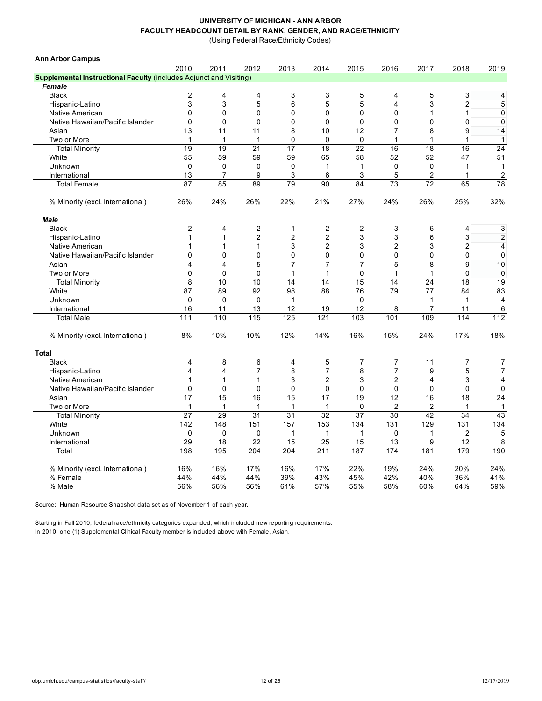(Using Federal Race/Ethnicity Codes)

| <b>Ann Arbor Campus</b>                                                   |                         |                |                |                |                         |                 |                |                |                |                |
|---------------------------------------------------------------------------|-------------------------|----------------|----------------|----------------|-------------------------|-----------------|----------------|----------------|----------------|----------------|
|                                                                           | 2010                    | 2011           | 2012           | 2013           | 2014                    | 2015            | 2016           | 2017           | 2018           | 2019           |
| <b>Supplemental Instructional Faculty (includes Adjunct and Visiting)</b> |                         |                |                |                |                         |                 |                |                |                |                |
| Female                                                                    |                         |                |                |                |                         |                 |                |                |                |                |
| <b>Black</b>                                                              | 2                       | 4              | 4              | 3              | 3                       | 5               | 4              | 5              | 3              | 4              |
| Hispanic-Latino                                                           | 3                       | 3              | 5              | 6              | 5                       | 5               | 4              | 3              | $\overline{c}$ | 5              |
| Native American                                                           | $\Omega$                | $\Omega$       | 0              | 0              | 0                       | 0               | 0              | 1              | 1              | $\pmb{0}$      |
| Native Hawaiian/Pacific Islander                                          | $\Omega$                | $\mathbf 0$    | $\Omega$       | $\mathbf 0$    | $\mathbf 0$             | $\mathbf 0$     | 0              | $\mathbf 0$    | 0              | $\pmb{0}$      |
| Asian                                                                     | 13                      | 11             | 11             | 8              | 10                      | 12              | 7              | 8              | 9              | 14             |
| Two or More                                                               | $\mathbf{1}$            | $\mathbf{1}$   | $\mathbf 1$    | 0              | 0                       | $\mathbf 0$     | 1              | 1              | 1              | $\mathbf{1}$   |
| <b>Total Minority</b>                                                     | 19                      | 19             | 21             | 17             | 18                      | $\overline{22}$ | 16             | 18             | 16             | 24             |
| White                                                                     | 55                      | 59             | 59             | 59             | 65                      | 58              | 52             | 52             | 47             | 51             |
| Unknown                                                                   | $\mathbf 0$             | 0              | $\mathbf 0$    | 0              | $\mathbf{1}$            | 1               | 0              | 0              | $\mathbf{1}$   | $\mathbf{1}$   |
| International                                                             | 13                      | $\overline{7}$ | 9              | 3              | 6                       | 3               | 5              | $\overline{c}$ | 1              | 2              |
| <b>Total Female</b>                                                       | 87                      | 85             | 89             | 79             | 90                      | 84              | 73             | 72             | 65             | 78             |
| % Minority (excl. International)                                          | 26%                     | 24%            | 26%            | 22%            | 21%                     | 27%             | 24%            | 26%            | 25%            | 32%            |
| <b>Male</b>                                                               |                         |                |                |                |                         |                 |                |                |                |                |
| <b>Black</b>                                                              | $\overline{2}$          | 4              | 2              | 1              | $\overline{\mathbf{c}}$ | 2               | 3              | 6              | 4              | 3              |
| Hispanic-Latino                                                           | 1                       | $\mathbf{1}$   | $\overline{c}$ | $\overline{c}$ | $\overline{c}$          | 3               | 3              | 6              | 3              | 2              |
| Native American                                                           | 1                       | 1              | 1              | 3              | 2                       | 3               | $\overline{2}$ | 3              | 2              | $\overline{4}$ |
| Native Hawaiian/Pacific Islander                                          | 0                       | $\Omega$       | 0              | 0              | 0                       | 0               | 0              | $\mathbf 0$    | 0              | $\mathbf 0$    |
| Asian                                                                     | 4                       | 4              | 5              | $\overline{7}$ | 7                       | 7               | 5              | 8              | 9              | 10             |
| Two or More                                                               | 0                       | $\mathbf 0$    | $\mathbf 0$    | $\mathbf{1}$   | 1                       | 0               | $\mathbf{1}$   | $\mathbf{1}$   | 0              | 0              |
| <b>Total Minority</b>                                                     | 8                       | 10             | 10             | 14             | 14                      | 15              | 14             | 24             | 18             | 19             |
| White                                                                     | 87                      | 89             | 92             | 98             | 88                      | 76              | 79             | 77             | 84             | 83             |
| Unknown                                                                   | $\mathbf 0$             | $\mathbf 0$    | $\mathbf 0$    | $\mathbf{1}$   |                         | $\mathbf 0$     |                | $\mathbf{1}$   | $\mathbf{1}$   | $\overline{4}$ |
| International                                                             | 16                      | 11             | 13             | 12             | 19                      | 12              | 8              | $\overline{7}$ | 11             | 6              |
| <b>Total Male</b>                                                         | 111                     | 110            | 115            | 125            | 121                     | 103             | 101            | 109            | 114            | 112            |
| % Minority (excl. International)                                          | 8%                      | 10%            | 10%            | 12%            | 14%                     | 16%             | 15%            | 24%            | 17%            | 18%            |
| <b>Total</b>                                                              |                         |                |                |                |                         |                 |                |                |                |                |
| <b>Black</b>                                                              | 4                       | 8              | 6              | 4              | 5                       | 7               | 7              | 11             | $\overline{7}$ | 7              |
| Hispanic-Latino                                                           | $\overline{\mathbf{4}}$ | $\overline{4}$ | $\overline{7}$ | 8              | $\overline{7}$          | 8               | $\overline{7}$ | 9              | 5              | $\overline{7}$ |
| Native American                                                           | 1                       | $\mathbf 1$    | 1              | 3              | $\overline{2}$          | 3               | 2              | 4              | 3              | 4              |
| Native Hawaiian/Pacific Islander                                          | $\mathbf 0$             | $\mathbf 0$    | 0              | 0              | $\mathbf 0$             | $\mathbf 0$     | 0              | $\mathbf 0$    | $\mathbf 0$    | $\mathbf 0$    |
| Asian                                                                     | 17                      | 15             | 16             | 15             | 17                      | 19              | 12             | 16             | 18             | 24             |
| Two or More                                                               | 1                       | $\mathbf{1}$   | $\mathbf{1}$   | $\mathbf{1}$   | $\mathbf{1}$            | $\mathbf 0$     | $\overline{2}$ | $\overline{2}$ | $\mathbf{1}$   | $\mathbf{1}$   |
| <b>Total Minority</b>                                                     | 27                      | 29             | 31             | 31             | 32                      | 37              | 30             | 42             | 34             | 43             |
| White                                                                     | 142                     | 148            | 151            | 157            | 153                     | 134             | 131            | 129            | 131            | 134            |
| Unknown                                                                   | $\Omega$                | $\Omega$       | $\Omega$       | $\mathbf{1}$   | $\mathbf{1}$            | $\mathbf{1}$    | $\Omega$       | $\mathbf{1}$   | $\overline{c}$ | 5              |
| International                                                             | 29                      | 18             | 22             | 15             | 25                      | 15              | 13             | 9              | 12             | 8              |
| Total                                                                     | 198                     | 195            | 204            | 204            | 211                     | 187             | 174            | 181            | 179            | 190            |
| % Minority (excl. International)                                          | 16%                     | 16%            | 17%            | 16%            | 17%                     | 22%             | 19%            | 24%            | 20%            | 24%            |
| % Female                                                                  | 44%                     | 44%            | 44%            | 39%            | 43%                     | 45%             | 42%            | 40%            | 36%            | 41%            |
| % Male                                                                    | 56%                     | 56%            | 56%            | 61%            | 57%                     | 55%             | 58%            | 60%            | 64%            | 59%            |

Source: Human Resource Snapshot data set as of November 1 of each year.

Starting in Fall 2010, federal race/ethnicity categories expanded, which included new reporting requirements. In 2010, one (1) Supplemental Clinical Faculty member is included above with Female, Asian.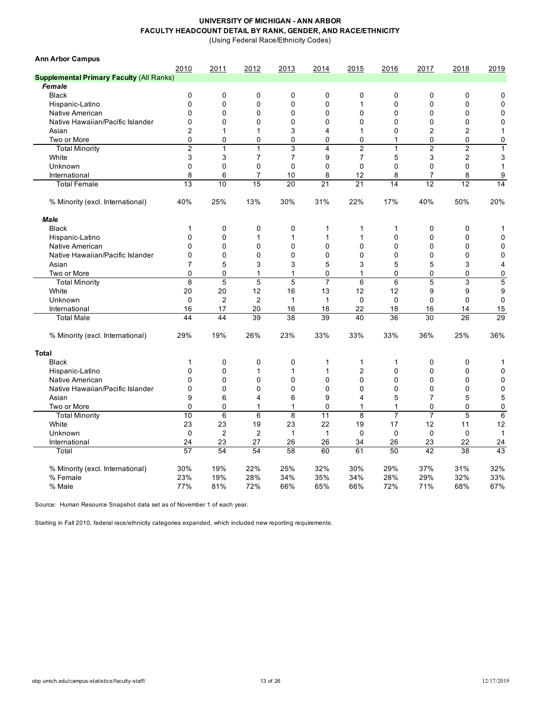(Using Federal Race/Ethnicity Codes)

| <b>Ann Arbor Campus</b>                         |                |                |                |                |                |                |                |                |                |                |
|-------------------------------------------------|----------------|----------------|----------------|----------------|----------------|----------------|----------------|----------------|----------------|----------------|
|                                                 | 2010           | 2011           | 2012           | 2013           | 2014           | 2015           | 2016           | 2017           | 2018           | 2019           |
| <b>Supplemental Primary Faculty (All Ranks)</b> |                |                |                |                |                |                |                |                |                |                |
| Female                                          |                |                |                |                |                |                |                |                |                |                |
| <b>Black</b>                                    | $\mathbf 0$    | 0              | $\mathbf 0$    | 0              | 0              | 0              | 0              | 0              | 0              | 0              |
| Hispanic-Latino                                 | $\overline{0}$ | 0              | $\overline{0}$ | $\mathbf 0$    | $\mathbf 0$    | 1              | $\Omega$       | 0              | 0              | $\mathbf 0$    |
| Native American                                 | $\mathbf 0$    | 0              | $\mathbf 0$    | $\mathbf 0$    | 0              | $\mathbf 0$    | $\mathbf 0$    | 0              | 0              | $\mathbf 0$    |
| Native Hawaiian/Pacific Islander                | $\mathbf 0$    | $\mathbf 0$    | $\mathbf 0$    | $\mathbf 0$    | 0              | $\mathbf{0}$   | $\Omega$       | 0              | $\mathbf 0$    | $\mathbf 0$    |
| Asian                                           | $\overline{2}$ | $\mathbf{1}$   | 1              | 3              | 4              | 1              | $\mathbf 0$    | $\overline{2}$ | $\overline{2}$ | $\mathbf{1}$   |
| Two or More                                     | $\Omega$       | 0              | 0              | 0              | 0              | 0              | $\mathbf{1}$   | $\Omega$       | 0              | 0              |
| <b>Total Minority</b>                           | $\overline{2}$ | $\mathbf{1}$   | 1              | $\mathbf{3}$   | 4              | $\overline{2}$ | $\mathbf{1}$   | $\overline{2}$ | $\overline{2}$ | $\mathbf{1}$   |
| White                                           | 3              | 3              | $\overline{7}$ | $\overline{7}$ | 9              | $\overline{7}$ | 5              | 3              | 2              | 3              |
| Unknown                                         | $\mathbf 0$    | 0              | $\mathbf 0$    | $\mathbf 0$    | 0              | $\Omega$       | $\mathbf 0$    | 0              | 0              | 1              |
| International                                   | 8              | 6              | $\overline{7}$ | 10             | 8              | 12             | 8              | $\overline{7}$ | 8              | 9              |
| <b>Total Female</b>                             | 13             | 10             | 15             | 20             | 21             | 21             | 14             | 12             | 12             | 14             |
| % Minority (excl. International)                | 40%            | 25%            | 13%            | 30%            | 31%            | 22%            | 17%            | 40%            | 50%            | 20%            |
| <b>Male</b>                                     |                |                |                |                |                |                |                |                |                |                |
| <b>Black</b>                                    | 1              | 0              | $\mathbf 0$    | $\mathbf 0$    | 1              | 1              | 1              | 0              | $\mathbf 0$    | 1              |
| Hispanic-Latino                                 | $\mathbf 0$    | 0              | 1              | $\mathbf{1}$   | 1              | 1              | $\mathbf 0$    | 0              | $\mathbf 0$    | $\mathbf 0$    |
| Native American                                 | 0              | 0              | $\mathbf 0$    | $\mathbf 0$    | 0              | $\mathbf 0$    | $\Omega$       | $\mathbf 0$    | $\mathbf 0$    | $\mathbf{0}$   |
| Native Hawaiian/Pacific Islander                | $\mathbf 0$    | 0              | $\Omega$       | 0              | 0              | $\Omega$       | $\Omega$       | $\mathbf 0$    | $\mathbf 0$    | $\mathbf 0$    |
| Asian                                           | $\overline{7}$ | 5              | 3              | 3              | 5              | 3              | 5              | 5              | 3              | 4              |
| Two or More                                     | $\mathbf 0$    | 0              | 1              | 1              | 0              | 1              | $\mathbf 0$    | 0              | 0              | 0              |
| <b>Total Minority</b>                           | 8              | 5              | 5              | 5              | $\overline{7}$ | 6              | 6              | 5              | 3              | $\overline{5}$ |
| White                                           | 20             | 20             | 12             | 16             | 13             | 12             | 12             | 9              | 9              | 9              |
| Unknown                                         | 0              | 2              | $\overline{2}$ | $\mathbf{1}$   | $\mathbf{1}$   | $\mathbf 0$    | $\mathbf 0$    | 0              | 0              | $\mathbf 0$    |
| International                                   | 16             | 17             | 20             | 16             | 18             | 22             | 18             | 16             | 14             | 15             |
| <b>Total Male</b>                               | 44             | 44             | 39             | 38             | 39             | 40             | 36             | 30             | 26             | 29             |
| % Minority (excl. International)                | 29%            | 19%            | 26%            | 23%            | 33%            | 33%            | 33%            | 36%            | 25%            | 36%            |
| <b>Total</b>                                    |                |                |                |                |                |                |                |                |                |                |
| <b>Black</b>                                    | 1              | 0              | 0              | 0              | 1              | $\mathbf{1}$   | $\mathbf{1}$   | 0              | $\mathbf 0$    | 1              |
| Hispanic-Latino                                 | $\mathbf{0}$   | $\overline{0}$ | 1              | 1              | 1              | $\overline{c}$ | $\mathbf 0$    | 0              | 0              | $\mathbf 0$    |
| Native American                                 | $\mathbf{0}$   | $\mathbf 0$    | 0              | $\mathbf 0$    | $\mathbf 0$    | $\mathbf 0$    | $\mathbf 0$    | 0              | $\mathbf 0$    | $\mathbf 0$    |
| Native Hawaiian/Pacific Islander                | $\mathbf{0}$   | $\overline{0}$ | 0              | $\mathbf 0$    | $\mathbf 0$    | $\Omega$       | $\Omega$       | $\mathbf{0}$   | $\mathbf 0$    | $\mathbf 0$    |
| Asian                                           | 9              | 6              | 4              | 6              | 9              | 4              | 5              | $\overline{7}$ | 5              | 5              |
| Two or More                                     | $\mathbf{0}$   | 0              | 1              | 1              | $\mathbf 0$    | 1              | $\mathbf{1}$   | 0              | $\mathbf 0$    | $\mathbf 0$    |
| <b>Total Minority</b>                           | 10             | $\overline{6}$ | $\overline{6}$ | $\overline{8}$ | 11             | 8              | $\overline{7}$ | $\overline{7}$ | $\overline{5}$ | $\overline{6}$ |
| White                                           | 23             | 23             | 19             | 23             | 22             | 19             | 17             | 12             | 11             | 12             |
| Unknown                                         | $\mathbf 0$    | $\overline{2}$ | $\overline{c}$ | $\mathbf{1}$   | $\mathbf{1}$   | $\mathbf 0$    | $\mathbf 0$    | 0              | $\mathbf 0$    | $\mathbf 1$    |
| International                                   | 24             | 23             | 27             | 26             | 26             | 34             | 26             | 23             | 22             | 24             |
| Total                                           | 57             | 54             | 54             | 58             | 60             | 61             | 50             | 42             | 38             | 43             |
| % Minority (excl. International)                | 30%            | 19%            | 22%            | 25%            | 32%            | 30%            | 29%            | 37%            | 31%            | 32%            |
| % Female                                        | 23%            | 19%            | 28%            | 34%            | 35%            | 34%            | 28%            | 29%            | 32%            | 33%            |
| % Male                                          | 77%            | 81%            | 72%            | 66%            | 65%            | 66%            | 72%            | 71%            | 68%            | 67%            |
|                                                 |                |                |                |                |                |                |                |                |                |                |

Source: Human Resource Snapshot data set as of November 1 of each year.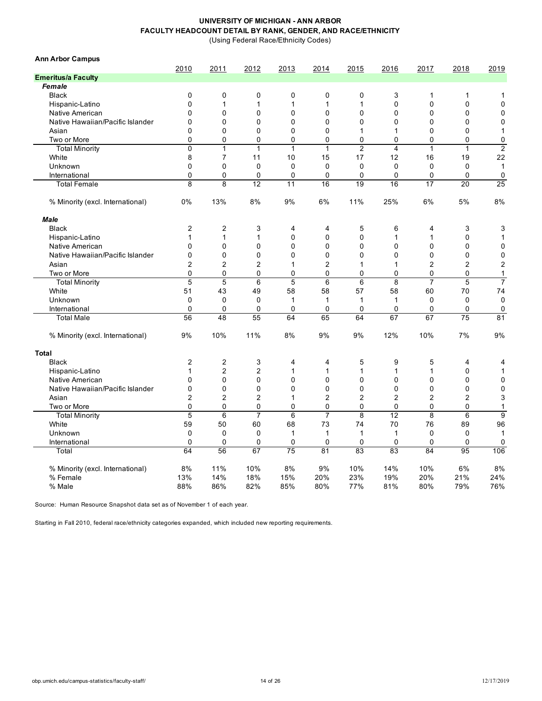(Using Federal Race/Ethnicity Codes)

| <b>Ann Arbor Campus</b>          |                |                         |                |                |                |                |                |                |                  |                |
|----------------------------------|----------------|-------------------------|----------------|----------------|----------------|----------------|----------------|----------------|------------------|----------------|
|                                  | 2010           | 2011                    | 2012           | 2013           | 2014           | 2015           | 2016           | 2017           | 2018             | 2019           |
| <b>Emeritus/a Faculty</b>        |                |                         |                |                |                |                |                |                |                  |                |
| Female                           |                |                         |                |                |                |                |                |                |                  |                |
| <b>Black</b>                     | $\mathbf 0$    | 0                       | $\mathbf 0$    | 0              | 0              | 0              | 3              | 1              | 1                | 1              |
| Hispanic-Latino                  | $\mathbf{0}$   | $\mathbf{1}$            | 1              | 1              | 1              | 1              | $\mathbf 0$    | 0              | $\mathbf 0$      | $\mathbf 0$    |
| Native American                  | $\mathbf 0$    | 0                       | $\mathbf 0$    | $\mathbf 0$    | 0              | $\mathbf 0$    | $\mathbf 0$    | 0              | 0                | $\mathbf 0$    |
| Native Hawaiian/Pacific Islander | $\mathbf 0$    | 0                       | $\Omega$       | $\mathbf 0$    | $\mathbf 0$    | $\mathbf{0}$   | $\Omega$       | 0              | $\mathbf 0$      | $\mathbf 0$    |
| Asian                            | $\mathbf 0$    | 0                       | 0              | $\mathbf 0$    | $\mathbf 0$    | 1              | $\mathbf{1}$   | 0              | $\mathbf 0$      | $\mathbf{1}$   |
| Two or More                      | $\Omega$       | 0                       | 0              | 0              | 0              | $\Omega$       | $\Omega$       | 0              | 0                | 0              |
| <b>Total Minority</b>            | 0              | $\mathbf{1}$            | $\mathbf{1}$   | $\mathbf{1}$   | $\mathbf{1}$   | $\overline{2}$ | $\overline{4}$ | $\mathbf{1}$   | $\mathbf{1}$     | $\overline{2}$ |
| White                            | 8              | $\overline{7}$          | 11             | 10             | 15             | 17             | 12             | 16             | 19               | 22             |
| Unknown                          | $\mathbf 0$    | 0                       | $\mathbf 0$    | $\mathbf 0$    | $\mathbf 0$    | $\mathbf 0$    | $\mathbf 0$    | $\mathbf 0$    | $\mathbf 0$      | 1              |
| International                    | 0              | 0                       | $\mathbf 0$    | $\mathbf 0$    | 0              | $\mathbf 0$    | $\mathbf 0$    | 0              | $\mathbf 0$      | 0              |
| <b>Total Female</b>              | 8              | 8                       | 12             | 11             | 16             | 19             | 16             | 17             | 20               | 25             |
| % Minority (excl. International) | 0%             | 13%                     | 8%             | 9%             | 6%             | 11%            | 25%            | 6%             | 5%               | 8%             |
| <b>Male</b>                      |                |                         |                |                |                |                |                |                |                  |                |
| <b>Black</b>                     | $\overline{2}$ | $\overline{c}$          | 3              | 4              | 4              | 5              | 6              | 4              | 3                | 3              |
| Hispanic-Latino                  | 1              | $\mathbf{1}$            | 1              | $\mathbf 0$    | $\pmb{0}$      | $\mathbf 0$    | $\mathbf{1}$   | 1              | $\mathbf 0$      | 1              |
| Native American                  | $\mathbf{0}$   | 0                       | 0              | $\mathbf 0$    | $\mathbf 0$    | $\mathbf 0$    | $\Omega$       | $\mathbf{0}$   | $\mathbf 0$      | $\overline{0}$ |
| Native Hawaiian/Pacific Islander | $\mathbf{0}$   | 0                       | 0              | 0              | $\mathbf 0$    | $\Omega$       | $\Omega$       | $\mathbf{0}$   | $\mathbf 0$      | $\pmb{0}$      |
| Asian                            | $\overline{2}$ | $\overline{2}$          | $\overline{2}$ | 1              | 2              | 1              | 1              | $\overline{2}$ | $\boldsymbol{2}$ | $\overline{2}$ |
| Two or More                      | $\mathbf 0$    | 0                       | 0              | 0              | 0              | $\mathbf 0$    | $\mathbf 0$    | 0              | 0                | 1              |
| <b>Total Minority</b>            | 5              | 5                       | 6              | 5              | 6              | $\,6$          | 8              | 7              | 5                | $\overline{7}$ |
| White                            | 51             | 43                      | 49             | 58             | 58             | 57             | 58             | 60             | 70               | 74             |
| Unknown                          | 0              | 0                       | $\mathbf 0$    | $\mathbf{1}$   | 1              | $\mathbf 1$    | $\mathbf{1}$   | $\mathbf 0$    | 0                | $\mathbf 0$    |
| International                    | 0              | 0                       | $\mathbf 0$    | 0              | 0              | 0              | 0              | 0              | 0                | 0              |
| <b>Total Male</b>                | 56             | 48                      | 55             | 64             | 65             | 64             | 67             | 67             | 75               | 81             |
| % Minority (excl. International) | 9%             | 10%                     | 11%            | 8%             | 9%             | 9%             | 12%            | 10%            | 7%               | 9%             |
| <b>Total</b>                     |                |                         |                |                |                |                |                |                |                  |                |
| <b>Black</b>                     | $\overline{2}$ | $\overline{\mathbf{c}}$ | 3              | 4              | 4              | 5              | 9              | 5              | 4                | 4              |
| Hispanic-Latino                  | 1              | $\overline{c}$          | $\overline{c}$ | 1              | 1              | 1              | $\mathbf{1}$   | 1              | 0                | $\mathbf{1}$   |
| Native American                  | $\mathbf{0}$   | 0                       | 0              | $\mathbf 0$    | $\mathbf 0$    | $\mathbf 0$    | $\mathbf 0$    | 0              | $\mathbf 0$      | $\mathbf 0$    |
| Native Hawaiian/Pacific Islander | $\mathbf{0}$   | 0                       | 0              | $\overline{0}$ | $\mathbf 0$    | $\mathbf 0$    | $\mathbf 0$    | 0              | 0                | $\mathbf 0$    |
| Asian                            | $\overline{2}$ | $\overline{c}$          | $\overline{c}$ | $\mathbf{1}$   | 2              | 2              | $\overline{c}$ | 2              | $\overline{2}$   | 3              |
| Two or More                      | $\Omega$       | 0                       | 0              | $\mathbf 0$    | $\mathbf 0$    | $\Omega$       | $\Omega$       | 0              | $\mathbf 0$      | 1              |
| <b>Total Minority</b>            | $\overline{5}$ | $\overline{6}$          | $\overline{7}$ | $\overline{6}$ | $\overline{7}$ | $\overline{8}$ | 12             | 8              | 6                | $\overline{9}$ |
| White                            | 59             | 50                      | 60             | 68             | 73             | 74             | 70             | 76             | 89               | 96             |
| Unknown                          | 0              | 0                       | $\mathbf 0$    | $\mathbf{1}$   | 1              | 1              | $\mathbf{1}$   | 0              | 0                | 1              |
| International                    | $\mathbf 0$    | 0                       | $\mathbf 0$    | $\mathbf 0$    | 0              | $\mathbf 0$    | $\mathbf 0$    | 0              | 0                | 0              |
|                                  | 64             | 56                      | 67             | 75             | 81             | 83             | 83             | 84             | 95               | 106            |
| Total                            |                |                         |                |                |                |                |                |                |                  |                |
| % Minority (excl. International) | 8%             | 11%                     | 10%            | 8%             | 9%             | 10%            | 14%            | 10%            | 6%               | 8%             |
| % Female                         | 13%            | 14%                     | 18%            | 15%            | 20%            | 23%            | 19%            | 20%            | 21%              | 24%            |
| % Male                           | 88%            | 86%                     | 82%            | 85%            | 80%            | 77%            | 81%            | 80%            | 79%              | 76%            |

Source: Human Resource Snapshot data set as of November 1 of each year.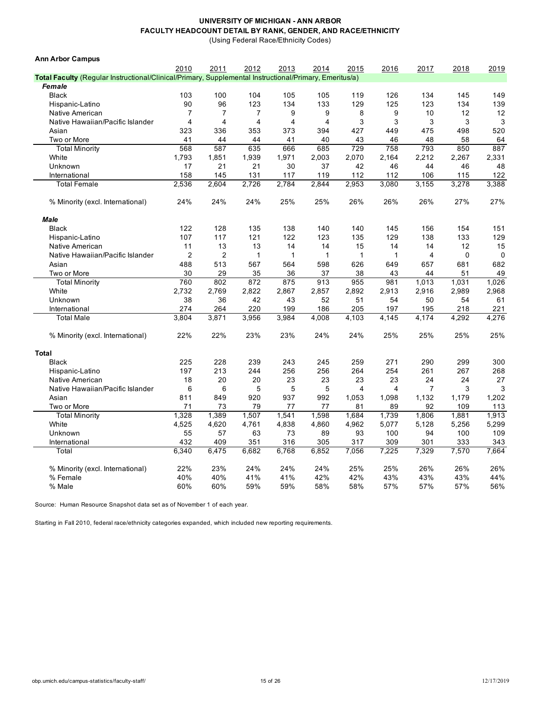(Using Federal Race/Ethnicity Codes)

| <b>Ann Arbor Campus</b>                                                                                |                |                |                |              |       |              |       |                |             |             |
|--------------------------------------------------------------------------------------------------------|----------------|----------------|----------------|--------------|-------|--------------|-------|----------------|-------------|-------------|
|                                                                                                        | 2010           | 2011           | 2012           | 2013         | 2014  | 2015         | 2016  | 2017           | 2018        | 2019        |
| Total Faculty (Regular Instructional/Clinical/Primary, Supplemental Instructional/Primary, Emeritus/a) |                |                |                |              |       |              |       |                |             |             |
| Female                                                                                                 |                |                |                |              |       |              |       |                |             |             |
| <b>Black</b>                                                                                           | 103            | 100            | 104            | 105          | 105   | 119          | 126   | 134            | 145         | 149         |
| Hispanic-Latino                                                                                        | 90             | 96             | 123            | 134          | 133   | 129          | 125   | 123            | 134         | 139         |
| Native American                                                                                        | $\overline{7}$ | $\overline{7}$ | $\overline{7}$ | 9            | 9     | 8            | 9     | 10             | 12          | 12          |
| Native Hawaiian/Pacific Islander                                                                       | $\overline{4}$ | 4              | 4              | 4            | 4     | 3            | 3     | 3              | 3           | 3           |
| Asian                                                                                                  | 323            | 336            | 353            | 373          | 394   | 427          | 449   | 475            | 498         | 520         |
| Two or More                                                                                            | 41             | 44             | 44             | 41           | 40    | 43           | 46    | 48             | 58          | 64          |
| <b>Total Minority</b>                                                                                  | 568            | 587            | 635            | 666          | 685   | 729          | 758   | 793            | 850         | 887         |
| White                                                                                                  | 1,793          | 1,851          | 1,939          | 1,971        | 2,003 | 2,070        | 2,164 | 2,212          | 2,267       | 2,331       |
| Unknown                                                                                                | 17             | 21             | 21             | 30           | 37    | 42           | 46    | 44             | 46          | 48          |
| International                                                                                          | 158            | 145            | 131            | 117          | 119   | 112          | 112   | 106            | 115         | 122         |
| <b>Total Female</b>                                                                                    | 2,536          | 2,604          | 2,726          | 2.784        | 2.844 | 2,953        | 3,080 | 3,155          | 3,278       | 3,388       |
| % Minority (excl. International)                                                                       | 24%            | 24%            | 24%            | 25%          | 25%   | 26%          | 26%   | 26%            | 27%         | 27%         |
| Male                                                                                                   |                |                |                |              |       |              |       |                |             |             |
| <b>Black</b>                                                                                           | 122            | 128            | 135            | 138          | 140   | 140          | 145   | 156            | 154         | 151         |
| Hispanic-Latino                                                                                        | 107            | 117            | 121            | 122          | 123   | 135          | 129   | 138            | 133         | 129         |
| Native American                                                                                        | 11             | 13             | 13             | 14           | 14    | 15           | 14    | 14             | 12          | 15          |
| Native Hawaiian/Pacific Islander                                                                       | $\overline{2}$ | $\overline{c}$ | $\mathbf{1}$   | $\mathbf{1}$ | 1     | $\mathbf{1}$ | 1     | $\overline{4}$ | $\mathbf 0$ | $\mathbf 0$ |
| Asian                                                                                                  | 488            | 513            | 567            | 564          | 598   | 626          | 649   | 657            | 681         | 682         |
| Two or More                                                                                            | 30             | 29             | 35             | 36           | 37    | 38           | 43    | 44             | 51          | 49          |
| <b>Total Minority</b>                                                                                  | 760            | 802            | 872            | 875          | 913   | 955          | 981   | 1,013          | 1,031       | 1,026       |
| White                                                                                                  | 2,732          | 2,769          | 2,822          | 2,867        | 2,857 | 2,892        | 2,913 | 2,916          | 2,989       | 2,968       |
| Unknown                                                                                                | 38             | 36             | 42             | 43           | 52    | 51           | 54    | 50             | 54          | 61          |
| International                                                                                          | 274            | 264            | 220            | 199          | 186   | 205          | 197   | 195            | 218         | 221         |
| <b>Total Male</b>                                                                                      | 3,804          | 3,871          | 3,956          | 3,984        | 4,008 | 4,103        | 4,145 | 4,174          | 4,292       | 4,276       |
| % Minority (excl. International)                                                                       | 22%            | 22%            | 23%            | 23%          | 24%   | 24%          | 25%   | 25%            | 25%         | 25%         |
| <b>Total</b>                                                                                           |                |                |                |              |       |              |       |                |             |             |
| <b>Black</b>                                                                                           | 225            | 228            | 239            | 243          | 245   | 259          | 271   | 290            | 299         | 300         |
| Hispanic-Latino                                                                                        | 197            | 213            | 244            | 256          | 256   | 264          | 254   | 261            | 267         | 268         |
| Native American                                                                                        | 18             | 20             | 20             | 23           | 23    | 23           | 23    | 24             | 24          | 27          |
| Native Hawaiian/Pacific Islander                                                                       | 6              | 6              | 5              | 5            | 5     | 4            | 4     | 7              | 3           | 3           |
| Asian                                                                                                  | 811            | 849            | 920            | 937          | 992   | 1,053        | 1,098 | 1,132          | 1,179       | 1,202       |
| Two or More                                                                                            | 71             | 73             | 79             | 77           | 77    | 81           | 89    | 92             | 109         | 113         |
| <b>Total Minority</b>                                                                                  | 1,328          | 1,389          | 1,507          | 1,541        | 1,598 | 1,684        | 1,739 | 1,806          | 1,881       | 1,913       |
| White                                                                                                  | 4,525          | 4,620          | 4,761          | 4,838        | 4,860 | 4,962        | 5,077 | 5,128          | 5,256       | 5,299       |
| Unknown                                                                                                | 55             | 57             | 63             | 73           | 89    | 93           | 100   | 94             | 100         | 109         |
| International                                                                                          | 432            | 409            | 351            | 316          | 305   | 317          | 309   | 301            | 333         | 343         |
| Total                                                                                                  | 6,340          | 6.475          | 6,682          | 6,768        | 6,852 | 7,056        | 7,225 | 7,329          | 7.570       | 7.664       |
| % Minority (excl. International)                                                                       | 22%            | 23%            | 24%            | 24%          | 24%   | 25%          | 25%   | 26%            | 26%         | 26%         |
| % Female                                                                                               | 40%            | 40%            | 41%            | 41%          | 42%   | 42%          | 43%   | 43%            | 43%         | 44%         |
| % Male                                                                                                 | 60%            | 60%            | 59%            | 59%          | 58%   | 58%          | 57%   | 57%            | 57%         | 56%         |
|                                                                                                        |                |                |                |              |       |              |       |                |             |             |

Source: Human Resource Snapshot data set as of November 1 of each year.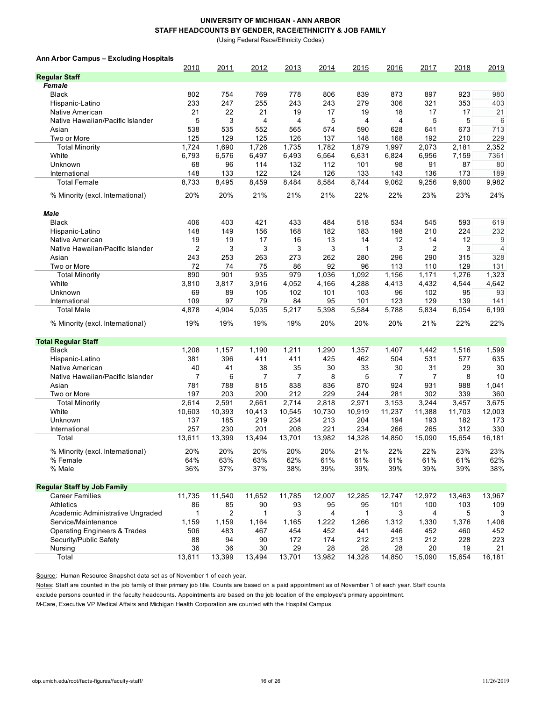(Using Federal Race/Ethnicity Codes)

**Ann Arbor Campus – Excluding Hospitals**

|                                         | 2010         | 2011           | 2012         | 2013           | 2014         | 2015         | 2016           | 2017           | 2018         | 2019           |
|-----------------------------------------|--------------|----------------|--------------|----------------|--------------|--------------|----------------|----------------|--------------|----------------|
| <b>Regular Staff</b>                    |              |                |              |                |              |              |                |                |              |                |
| Female                                  |              |                |              |                |              |              |                |                |              |                |
| <b>Black</b>                            | 802          | 754            | 769          | 778            | 806          | 839          | 873            | 897            | 923          | 980            |
| Hispanic-Latino                         | 233          | 247            | 255          | 243            | 243          | 279          | 306            | 321            | 353          | 403            |
| Native American                         | 21           | 22             | 21           | 19             | 17           | 19           | 18             | 17             | 17           | 21             |
| Native Hawaiian/Pacific Islander        | 5            | 3              | 4            | $\overline{4}$ | 5            | 4            | 4              | 5              | 5            | 6              |
| Asian                                   | 538          | 535            | 552          | 565            | 574          | 590          | 628            | 641            | 673          | 713            |
| Two or More                             | 125          | 129            | 125          | 126            | 137          | 148          | 168            | 192            | 210          | 229            |
| <b>Total Minority</b>                   | 1,724        | 1,690          | 1,726        | 1,735          | 1,782        | 1,879        | 1,997          | 2,073          | 2,181        | 2,352          |
| White                                   | 6,793        | 6,576          | 6,497        | 6,493          | 6,564        | 6,631        | 6,824          | 6,956          | 7,159        | 7361           |
| Unknown                                 | 68           | 96             | 114          | 132            | 112          | 101          | 98             | 91             | 87           | 80             |
| International                           | 148          | 133            | 122          | 124            | 126          | 133          | 143            | 136            | 173          | 189            |
| <b>Total Female</b>                     | 8,733        | 8,495          | 8,459        | 8,484          | 8,584        | 8,744        | 9,062          | 9,256          | 9,600        | 9,982          |
| % Minority (excl. International)        | 20%          | 20%            | 21%          | 21%            | 21%          | 22%          | 22%            | 23%            | 23%          | 24%            |
| <b>Male</b>                             |              |                |              |                |              |              |                |                |              |                |
| <b>Black</b>                            | 406          | 403            | 421          | 433            | 484          | 518          | 534            | 545            | 593          | 619            |
| Hispanic-Latino                         | 148          | 149            | 156          | 168            | 182          | 183          | 198            | 210            | 224          | 232            |
| Native American                         | 19           | 19             | 17           | 16             | 13           | 14           | 12             | 14             | 12           | 9              |
| Native Hawaiian/Pacific Islander        | 2            | 3              | 3            | 3              | 3            | $\mathbf{1}$ | 3              | $\overline{2}$ | 3            | $\overline{4}$ |
| Asian                                   | 243          | 253            | 263          | 273            | 262          | 280          | 296            | 290            | 315          | 328            |
| Two or More                             | 72           | 74             | 75           | 86             | 92           | 96           | 113            | 110            | 129          | 131            |
| <b>Total Minority</b>                   | 890          | 901            | 935          | 979            | 1,036        | 1,092        | 1,156          | 1,171          | 1,276        | 1,323          |
| White                                   | 3,810        | 3,817          | 3,916        | 4,052          | 4,166        | 4,288        | 4,413          | 4,432          | 4,544        | 4,642          |
| Unknown                                 | 69           | 89             | 105          | 102            | 101          | 103          | 96             | 102            | 95           | 93             |
| International                           | 109          | 97             | 79           | 84             | 95           | 101          | 123            | 129            | 139          | 141            |
| <b>Total Male</b>                       | 4,878        | 4,904          | 5,035        | 5,217          | 5,398        | 5,584        | 5,788          | 5,834          | 6,054        | 6,199          |
| % Minority (excl. International)        | 19%          | 19%            | 19%          | 19%            | 20%          | 20%          | 20%            | 21%            | 22%          | 22%            |
| <b>Total Regular Staff</b>              |              |                |              |                |              |              |                |                |              |                |
| <b>Black</b>                            | 1,208        | 1,157          | 1,190        | 1,211          | 1,290        | 1,357        | 1,407          | 1,442          | 1,516        | 1,599          |
| Hispanic-Latino                         | 381          | 396            | 411          | 411            | 425          | 462          | 504            | 531            | 577          | 635            |
| Native American                         | 40           | 41             | 38           | 35             | 30           | 33           | 30             | 31             | 29           | 30             |
| Native Hawaiian/Pacific Islander        | 7            | 6              | 7            | 7              | 8            | 5            | $\overline{7}$ | 7              | 8            | 10             |
| Asian                                   | 781          | 788            | 815          | 838            | 836          | 870          | 924            | 931            | 988          | 1,041          |
| Two or More                             | 197          | 203            | 200          | 212            | 229          | 244          | 281            | 302            | 339          | 360            |
| <b>Total Minority</b>                   | 2,614        | 2,591          | 2,661        | 2,714          | 2,818        | 2,971        | 3,153          | 3,244          | 3,457        | 3,675          |
| White                                   | 10,603       | 10,393         | 10,413       | 10,545         | 10,730       | 10,919       | 11,237         | 11,388         | 11,703       | 12,003         |
| Unknown                                 | 137          | 185            | 219          | 234            | 213          | 204          | 194            | 193            | 182          | 173            |
| International                           | 257          | 230            | 201          | 208            | 221          | 234          | 266            | 265            | 312          | 330            |
| Total                                   | 13,611       | 13,399         | 13,494       | 13,701         | 13,982       | 14,328       | 14,850         | 15,090         | 15,654       | 16,181         |
| % Minority (excl. International)        | 20%          | 20%            | 20%          | 20%            | 20%          | 21%          | 22%            | 22%            | 23%          | 23%            |
| % Female                                | 64%          | 63%            | 63%          | 62%            | 61%          | 61%          | 61%            | 61%            | 61%          | 62%            |
| % Male                                  | 36%          | 37%            | 37%          | 38%            | 39%          | 39%          | 39%            | 39%            | 39%          | 38%            |
| <b>Regular Staff by Job Family</b>      |              |                |              |                |              |              |                |                |              |                |
| <b>Career Families</b>                  | 11,735       | 11,540         | 11,652       | 11,785         | 12,007       | 12,285       | 12,747         | 12,972         | 13,463       | 13,967         |
| <b>Athletics</b>                        | 86           | 85             | 90           | 93             | 95           | 95           | 101            | 100            | 103          | 109            |
| Academic Administrative Ungraded        | 1            | $\overline{2}$ | 1            | 3              | 4            | 1            | 3              | 4              | 5            | 3              |
| Service/Maintenance                     | 1,159        | 1,159          | 1,164        | 1,165          | 1,222        | 1,266        | 1,312          | 1,330          | 1,376        | 1,406          |
| <b>Operating Engineers &amp; Trades</b> | 506          | 483            | 467          | 454            | 452          | 441          | 446            | 452            | 460          | 452            |
| Security/Public Safety                  | 88           | 94             | 90           | 172            | 174          | 212          | 213            | 212            | 228          | 223            |
| Nursing                                 | 36<br>13,611 | 36<br>13,399   | 30<br>13,494 | 29<br>13,701   | 28<br>13,982 | 28<br>14,328 | 28<br>14,850   | 20<br>15,090   | 19<br>15,654 | 21<br>16,181   |
| Total                                   |              |                |              |                |              |              |                |                |              |                |

Source: Human Resource Snapshot data set as of November 1 of each year.

Notes: Staff are counted in the job family of their primary job title. Counts are based on a paid appointment as of November 1 of each year. Staff counts

exclude persons counted in the faculty headcounts. Appointments are based on the job location of the employee's primary appointment.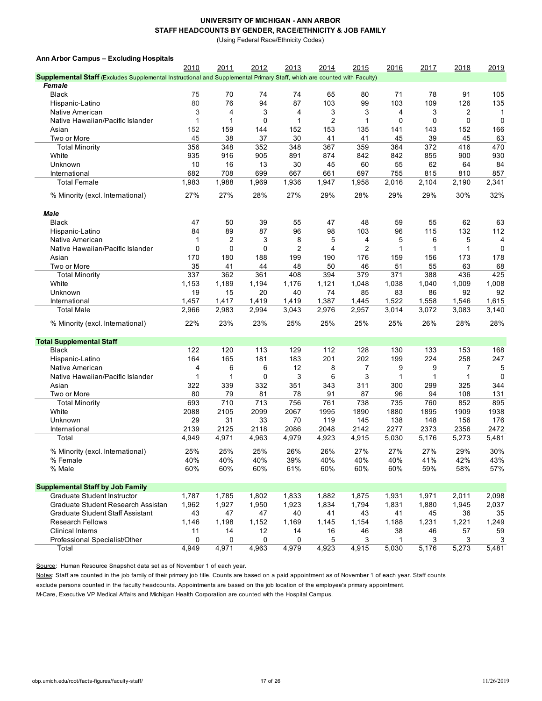(Using Federal Race/Ethnicity Codes)

| Ann Arbor Campus - Excluding Hospitals                                                                                         |               |               |               |               |               |                |               |               |               |               |
|--------------------------------------------------------------------------------------------------------------------------------|---------------|---------------|---------------|---------------|---------------|----------------|---------------|---------------|---------------|---------------|
|                                                                                                                                | 2010          | 2011          | 2012          | 2013          | 2014          | 2015           | 2016          | 2017          | 2018          | 2019          |
| <b>Supplemental Staff</b> (Excludes Supplemental Instructional and Supplemental Primary Staff, which are counted with Faculty) |               |               |               |               |               |                |               |               |               |               |
| Female                                                                                                                         |               |               |               |               |               |                |               |               |               |               |
| <b>Black</b>                                                                                                                   | 75            | 70            | 74            | 74            | 65            | 80             | 71            | 78            | 91            | 105           |
| Hispanic-Latino                                                                                                                | 80            | 76            | 94            | 87            | 103           | 99             | 103           | 109           | 126           | 135           |
| Native American                                                                                                                | 3             | 4             | 3             | 4             | 3             | 3              | 4             | 3             | 2             | -1            |
| Native Hawaiian/Pacific Islander                                                                                               | $\mathbf{1}$  | 1             | $\mathbf 0$   | 1             | 2             | $\mathbf{1}$   | $\mathbf 0$   | 0             | $\mathbf 0$   | $\mathbf 0$   |
| Asian                                                                                                                          | 152           | 159           | 144           | 152           | 153           | 135            | 141           | 143           | 152           | 166           |
| Two or More                                                                                                                    | 45            | 38            | 37            | 30            | 41            | 41             | 45            | 39            | 45            | 63            |
| <b>Total Minority</b>                                                                                                          | 356           | 348           | 352           | 348           | 367           | 359            | 364           | 372           | 416           | 470           |
| White                                                                                                                          | 935           | 916           | 905           | 891           | 874           | 842            | 842           | 855           | 900           | 930           |
| Unknown                                                                                                                        | 10            |               |               |               |               | 60             |               |               |               |               |
|                                                                                                                                |               | 16            | 13            | 30            | 45            |                | 55            | 62            | 64            | 84            |
| International                                                                                                                  | 682           | 708           | 699           | 667           | 661           | 697            | 755           | 815           | 810           | 857           |
| <b>Total Female</b>                                                                                                            | 1,983         | 1,988         | 1,969         | 1,936         | 1,947         | 1,958          | 2,016         | 2,104         | 2,190         | 2,341         |
| % Minority (excl. International)                                                                                               | 27%           | 27%           | 28%           | 27%           | 29%           | 28%            | 29%           | 29%           | 30%           | 32%           |
| Male                                                                                                                           |               |               |               |               |               |                |               |               |               |               |
| <b>Black</b>                                                                                                                   | 47            | 50            | 39            | 55            | 47            | 48             | 59            | 55            | 62            | 63            |
| Hispanic-Latino                                                                                                                | 84            | 89            | 87            | 96            | 98            | 103            | 96            | 115           | 132           | 112           |
| Native American                                                                                                                | 1             | 2             | 3             | 8             | 5             | 4              | 5             | 6             | 5             | 4             |
| Native Hawaiian/Pacific Islander                                                                                               | 0             | $\mathbf 0$   | 0             | 2             | 4             | $\overline{2}$ | 1             | 1             | $\mathbf{1}$  | $\Omega$      |
| Asian                                                                                                                          | 170           | 180           | 188           | 199           | 190           | 176            | 159           | 156           | 173           | 178           |
| Two or More                                                                                                                    | 35            | 41            | 44            | 48            | 50            | 46             | 51            | 55            | 63            | 68            |
| <b>Total Minority</b>                                                                                                          | 337           | 362           | 361           | 408           | 394           | 379            | 371           | 388           | 436           | 425           |
| White                                                                                                                          | 1,153         | 1,189         | 1,194         | 1,176         | 1,121         | 1,048          | 1,038         | 1,040         | 1,009         | 1,008         |
| Unknown                                                                                                                        | 19            | 15            | 20            | 40            | 74            | 85             | 83            | 86            | 92            | 92            |
| International                                                                                                                  | 1,457         | 1,417         | 1,419         | 1,419         | 1,387         | 1,445          | 1,522         | 1,558         | 1,546         | 1,615         |
| <b>Total Male</b>                                                                                                              | 2,966         | 2,983         | 2,994         | 3,043         | 2,976         | 2,957          | 3,014         | 3,072         | 3,083         | 3,140         |
|                                                                                                                                |               |               |               |               |               |                |               |               |               |               |
| % Minority (excl. International)                                                                                               | 22%           | 23%           | 23%           | 25%           | 25%           | 25%            | 25%           | 26%           | 28%           | 28%           |
| <b>Total Supplemental Staff</b>                                                                                                |               |               |               |               |               |                |               |               |               |               |
| <b>Black</b>                                                                                                                   | 122           | 120           | 113           | 129           | 112           | 128            | 130           | 133           | 153           | 168           |
| Hispanic-Latino                                                                                                                | 164           | 165           | 181           | 183           | 201           | 202            | 199           | 224           | 258           | 247           |
| Native American                                                                                                                | 4             | 6             | 6             | 12            | 8             | 7              | 9             | 9             | 7             | 5             |
| Native Hawaiian/Pacific Islander                                                                                               | 1             | 1             | $\mathbf 0$   | 3             | 6             | 3              | 1             | 1             | $\mathbf{1}$  | 0             |
| Asian                                                                                                                          | 322           | 339           | 332           | 351           | 343           | 311            | 300           | 299           | 325           | 344           |
| Two or More                                                                                                                    | 80            | 79            | 81            | 78            | 91            | 87             | 96            | 94            | 108           | 131           |
| <b>Total Minority</b>                                                                                                          | 693           | 710           | 713           | 756           | 761           | 738            | 735           | 760           | 852           | 895           |
| White                                                                                                                          | 2088          | 2105          | 2099          | 2067          | 1995          | 1890           | 1880          | 1895          | 1909          | 1938          |
|                                                                                                                                |               | 31            |               | 70            |               |                |               |               | 156           | 176           |
| Unknown                                                                                                                        | 29            |               | 33            |               | 119           | 145            | 138           | 148           |               |               |
| International<br>Total                                                                                                         | 2139<br>4,949 | 2125<br>4,971 | 2118<br>4,963 | 2086<br>4,979 | 2048<br>4,923 | 2142<br>4,915  | 2277<br>5,030 | 2373<br>5,176 | 2356<br>5,273 | 2472<br>5,481 |
|                                                                                                                                |               |               |               |               |               |                |               |               |               |               |
| % Minority (excl. International)                                                                                               | 25%           | 25%           | 25%           | 26%           | 26%           | 27%            | 27%           | 27%           | 29%           | 30%           |
| % Female                                                                                                                       | 40%           | 40%           | 40%           | 39%           | 40%           | 40%            | 40%           | 41%           | 42%           | 43%           |
| % Male                                                                                                                         | 60%           | 60%           | 60%           | 61%           | 60%           | 60%            | 60%           | 59%           | 58%           | 57%           |
| <b>Supplemental Staff by Job Family</b>                                                                                        |               |               |               |               |               |                |               |               |               |               |
| Graduate Student Instructor                                                                                                    | 1,787         | 1,785         | 1,802         | 1,833         | 1,882         | 1,875          | 1,931         | 1,971         | 2,011         | 2,098         |
| Graduate Student Research Assistan                                                                                             | 1,962         | 1,927         | 1,950         | 1,923         | 1,834         | 1,794          | 1,831         | 1,880         | 1,945         | 2,037         |
| Graduate Student Staff Assistant                                                                                               | 43            | 47            | 47            | 40            | 41            | 43             | 41            | 45            | 36            | 35            |
| <b>Research Fellows</b>                                                                                                        | 1,146         | 1,198         | 1,152         | 1,169         | 1,145         | 1,154          | 1,188         | 1,231         | 1,221         | 1,249         |
| <b>Clinical Interns</b>                                                                                                        | 11            | 14            | 12            | 14            | 16            | 46             | 38            | 46            | 57            | 59            |
| Professional Specialist/Other                                                                                                  | 0             | 0             | 0             | 0             | 5             | 3              | 1             | 3             | 3             | 3             |
| Total                                                                                                                          | 4,949         | 4,971         | 4,963         | 4,979         | 4,923         | 4,915          | 5,030         | 5,176         | 5,273         | 5,481         |

Source: Human Resource Snapshot data set as of November 1 of each year.

Notes: Staff are counted in the job family of their primary job title. Counts are based on a paid appointment as of November 1 of each year. Staff counts

exclude persons counted in the faculty headcounts. Appointments are based on the job location of the employee's primary appointment.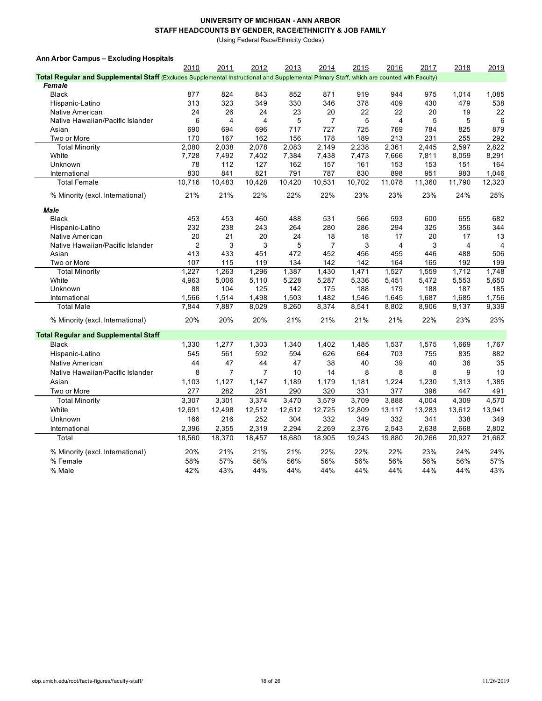(Using Federal Race/Ethnicity Codes)

| Ann Arbor Campus - Excluding Hospitals |  |
|----------------------------------------|--|
|----------------------------------------|--|

|                                                                                                                                           | 2010   | 2011           | 2012           | 2013   | 2014           | 2015   | 2016           | 2017   | 2018           | 2019           |
|-------------------------------------------------------------------------------------------------------------------------------------------|--------|----------------|----------------|--------|----------------|--------|----------------|--------|----------------|----------------|
| Total Regular and Supplemental Staff (Excludes Supplemental Instructional and Supplemental Primary Staff, which are counted with Faculty) |        |                |                |        |                |        |                |        |                |                |
| Female                                                                                                                                    |        |                |                |        |                |        |                |        |                |                |
| <b>Black</b>                                                                                                                              | 877    | 824            | 843            | 852    | 871            | 919    | 944            | 975    | 1,014          | 1,085          |
| Hispanic-Latino                                                                                                                           | 313    | 323            | 349            | 330    | 346            | 378    | 409            | 430    | 479            | 538            |
| Native American                                                                                                                           | 24     | 26             | 24             | 23     | 20             | 22     | 22             | 20     | 19             | 22             |
| Native Hawaiian/Pacific Islander                                                                                                          | 6      | $\overline{4}$ | 4              | 5      | $\overline{7}$ | 5      | $\overline{4}$ | 5      | 5              | 6              |
| Asian                                                                                                                                     | 690    | 694            | 696            | 717    | 727            | 725    | 769            | 784    | 825            | 879            |
| Two or More                                                                                                                               | 170    | 167            | 162            | 156    | 178            | 189    | 213            | 231    | 255            | 292            |
| <b>Total Minority</b>                                                                                                                     | 2,080  | 2,038          | 2,078          | 2,083  | 2,149          | 2,238  | 2,361          | 2,445  | 2,597          | 2,822          |
| White                                                                                                                                     | 7,728  | 7,492          | 7,402          | 7,384  | 7,438          | 7,473  | 7,666          | 7,811  | 8,059          | 8,291          |
| Unknown                                                                                                                                   | 78     | 112            | 127            | 162    | 157            | 161    | 153            | 153    | 151            | 164            |
| International                                                                                                                             | 830    | 841            | 821            | 791    | 787            | 830    | 898            | 951    | 983            | 1,046          |
| <b>Total Female</b>                                                                                                                       | 10,716 | 10,483         | 10,428         | 10,420 | 10,531         | 10,702 | 11,078         | 11,360 | 11,790         | 12,323         |
| % Minority (excl. International)                                                                                                          | 21%    | 21%            | 22%            | 22%    | 22%            | 23%    | 23%            | 23%    | 24%            | 25%            |
| <b>Male</b>                                                                                                                               |        |                |                |        |                |        |                |        |                |                |
| <b>Black</b>                                                                                                                              | 453    | 453            | 460            | 488    | 531            | 566    | 593            | 600    | 655            | 682            |
| Hispanic-Latino                                                                                                                           | 232    | 238            | 243            | 264    | 280            | 286    | 294            | 325    | 356            | 344            |
| Native American                                                                                                                           | 20     | 21             | 20             | 24     | 18             | 18     | 17             | 20     | 17             | 13             |
| Native Hawaiian/Pacific Islander                                                                                                          | 2      | 3              | 3              | 5      | $\overline{7}$ | 3      | 4              | 3      | $\overline{4}$ | $\overline{4}$ |
| Asian                                                                                                                                     | 413    | 433            | 451            | 472    | 452            | 456    | 455            | 446    | 488            | 506            |
| Two or More                                                                                                                               | 107    | 115            | 119            | 134    | 142            | 142    | 164            | 165    | 192            | 199            |
| <b>Total Minority</b>                                                                                                                     | 1.227  | 1.263          | 1,296          | 1,387  | 1,430          | 1,471  | 1,527          | 1,559  | 1,712          | 1,748          |
| White                                                                                                                                     | 4,963  | 5,006          | 5,110          | 5,228  | 5,287          | 5,336  | 5,451          | 5,472  | 5,553          | 5,650          |
| Unknown                                                                                                                                   | 88     | 104            | 125            | 142    | 175            | 188    | 179            | 188    | 187            | 185            |
| International                                                                                                                             | 1,566  | 1,514          | 1,498          | 1,503  | 1,482          | 1,546  | 1,645          | 1,687  | 1,685          | 1,756          |
| <b>Total Male</b>                                                                                                                         | 7,844  | 7,887          | 8,029          | 8,260  | 8,374          | 8,541  | 8,802          | 8,906  | 9,137          | 9,339          |
| % Minority (excl. International)                                                                                                          | 20%    | 20%            | 20%            | 21%    | 21%            | 21%    | 21%            | 22%    | 23%            | 23%            |
| <b>Total Regular and Supplemental Staff</b>                                                                                               |        |                |                |        |                |        |                |        |                |                |
| <b>Black</b>                                                                                                                              | 1,330  | 1,277          | 1,303          | 1,340  | 1,402          | 1,485  | 1,537          | 1,575  | 1,669          | 1,767          |
| Hispanic-Latino                                                                                                                           | 545    | 561            | 592            | 594    | 626            | 664    | 703            | 755    | 835            | 882            |
| Native American                                                                                                                           | 44     | 47             | 44             | 47     | 38             | 40     | 39             | 40     | 36             | 35             |
| Native Hawaiian/Pacific Islander                                                                                                          | 8      | $\overline{7}$ | $\overline{7}$ | 10     | 14             | 8      | 8              | 8      | 9              | 10             |
| Asian                                                                                                                                     | 1,103  | 1,127          | 1,147          | 1,189  | 1,179          | 1,181  | 1,224          | 1,230  | 1,313          | 1,385          |
| Two or More                                                                                                                               | 277    | 282            | 281            | 290    | 320            | 331    | 377            | 396    | 447            | 491            |
| <b>Total Minority</b>                                                                                                                     | 3,307  | 3,301          | 3,374          | 3,470  | 3,579          | 3,709  | 3,888          | 4,004  | 4,309          | 4,570          |
| White                                                                                                                                     | 12,691 | 12,498         | 12,512         | 12,612 | 12,725         | 12,809 | 13,117         | 13,283 | 13,612         | 13,941         |
| Unknown                                                                                                                                   | 166    | 216            | 252            | 304    | 332            | 349    | 332            | 341    | 338            | 349            |
| International                                                                                                                             | 2,396  | 2,355          | 2,319          | 2,294  | 2,269          | 2,376  | 2,543          | 2,638  | 2,668          | 2,802          |
| Total                                                                                                                                     | 18,560 | 18,370         | 18,457         | 18,680 | 18,905         | 19,243 | 19,880         | 20,266 | 20,927         | 21,662         |
|                                                                                                                                           |        |                |                |        |                |        |                |        |                |                |
| % Minority (excl. International)                                                                                                          | 20%    | 21%            | 21%            | 21%    | 22%            | 22%    | 22%            | 23%    | 24%            | 24%            |
| % Female                                                                                                                                  | 58%    | 57%            | 56%            | 56%    | 56%            | 56%    | 56%            | 56%    | 56%            | 57%            |
| % Male                                                                                                                                    | 42%    | 43%            | 44%            | 44%    | 44%            | 44%    | 44%            | 44%    | 44%            | 43%            |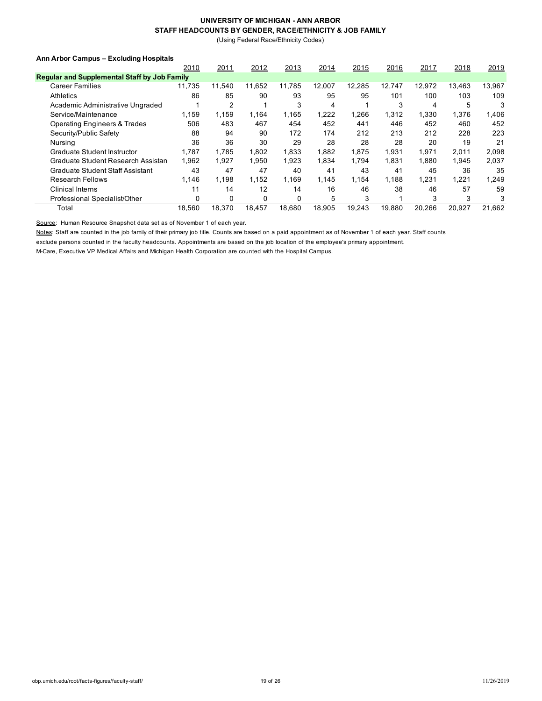(Using Federal Race/Ethnicity Codes)

#### **Ann Arbor Campus – Excluding Hospitals**

|                                                     | 2010   | 2011   | 2012   | 2013   | 2014   | 2015   | 2016   | 2017   | 2018   | 2019   |
|-----------------------------------------------------|--------|--------|--------|--------|--------|--------|--------|--------|--------|--------|
| <b>Regular and Supplemental Staff by Job Family</b> |        |        |        |        |        |        |        |        |        |        |
| <b>Career Families</b>                              | 11.735 | 11.540 | 11,652 | 11.785 | 12.007 | 12,285 | 12.747 | 12,972 | 13.463 | 13,967 |
| Athletics                                           | 86     | 85     | 90     | 93     | 95     | 95     | 101    | 100    | 103    | 109    |
| Academic Administrative Ungraded                    |        | 2      |        | 3      | 4      |        | 3      | 4      | 5      | 3      |
| Service/Maintenance                                 | 1.159  | 1.159  | 1,164  | 1.165  | 1,222  | 1,266  | 1,312  | 1,330  | 1,376  | 1,406  |
| <b>Operating Engineers &amp; Trades</b>             | 506    | 483    | 467    | 454    | 452    | 441    | 446    | 452    | 460    | 452    |
| Security/Public Safety                              | 88     | 94     | 90     | 172    | 174    | 212    | 213    | 212    | 228    | 223    |
| Nursina                                             | 36     | 36     | 30     | 29     | 28     | 28     | 28     | 20     | 19     | 21     |
| Graduate Student Instructor                         | 1.787  | 1.785  | 1.802  | 1.833  | 1.882  | 1.875  | 1.931  | 1,971  | 2,011  | 2,098  |
| Graduate Student Research Assistan                  | 1,962  | 1,927  | 1.950  | 1.923  | 1,834  | 1.794  | 1.831  | 1,880  | 1.945  | 2,037  |
| <b>Graduate Student Staff Assistant</b>             | 43     | 47     | 47     | 40     | 41     | 43     | 41     | 45     | 36     | 35     |
| <b>Research Fellows</b>                             | 1.146  | 1.198  | 1.152  | 1.169  | 1.145  | 1.154  | 1.188  | 1.231  | 1,221  | 1.249  |
| <b>Clinical Interns</b>                             | 11     | 14     | 12     | 14     | 16     | 46     | 38     | 46     | 57     | 59     |
| Professional Specialist/Other                       | 0      | 0      | 0      | 0      | 5      | 3      |        | 3      | 3      | 3      |
| Total                                               | 18.560 | 18.370 | 18.457 | 18.680 | 18,905 | 19.243 | 19.880 | 20.266 | 20.927 | 21,662 |

Source: Human Resource Snapshot data set as of November 1 of each year.

Notes: Staff are counted in the job family of their primary job title. Counts are based on a paid appointment as of November 1 of each year. Staff counts

exclude persons counted in the faculty headcounts. Appointments are based on the job location of the employee's primary appointment.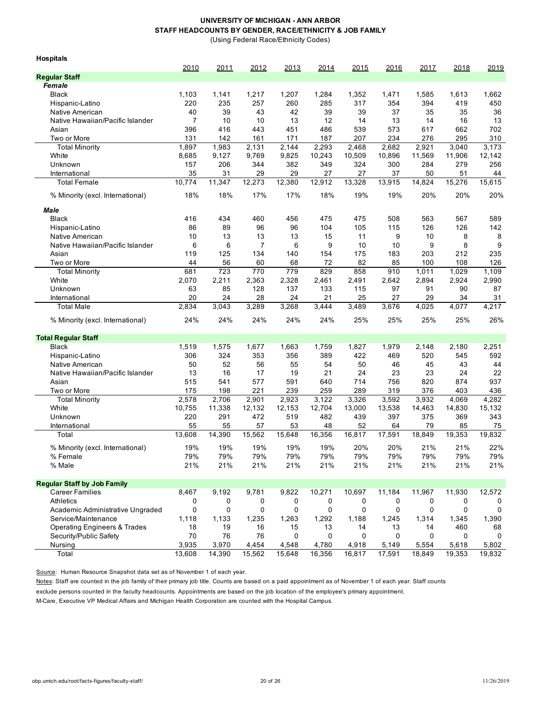(Using Federal Race/Ethnicity Codes)

| <b>Hospitals</b>                        |        |        |        |        |        |             |        |        |        |        |
|-----------------------------------------|--------|--------|--------|--------|--------|-------------|--------|--------|--------|--------|
|                                         | 2010   | 2011   | 2012   | 2013   | 2014   | 2015        | 2016   | 2017   | 2018   | 2019   |
| <b>Regular Staff</b><br>Female          |        |        |        |        |        |             |        |        |        |        |
|                                         |        |        |        |        |        |             |        |        |        |        |
| <b>Black</b>                            | 1,103  | 1,141  | 1,217  | 1,207  | 1,284  | 1,352       | 1,471  | 1,585  | 1,613  | 1,662  |
| Hispanic-Latino                         | 220    | 235    | 257    | 260    | 285    | 317         | 354    | 394    | 419    | 450    |
| Native American                         | 40     | 39     | 43     | 42     | 39     | 39          | 37     | 35     | 35     | 36     |
| Native Hawaiian/Pacific Islander        | 7      | 10     | 10     | 13     | 12     | 14          | 13     | 14     | 16     | 13     |
| Asian                                   | 396    | 416    | 443    | 451    | 486    | 539         | 573    | 617    | 662    | 702    |
| Two or More                             | 131    | 142    | 161    | 171    | 187    | 207         | 234    | 276    | 295    | 310    |
| <b>Total Minority</b>                   | 1,897  | 1,983  | 2,131  | 2,144  | 2,293  | 2,468       | 2.682  | 2,921  | 3,040  | 3.173  |
| White                                   | 8,685  | 9,127  | 9,769  | 9,825  | 10,243 | 10,509      | 10,896 | 11,569 | 11,906 | 12,142 |
| Unknown                                 | 157    | 206    | 344    | 382    | 349    | 324         | 300    | 284    | 279    | 256    |
| International                           | 35     | 31     | 29     | 29     | 27     | 27          | 37     | 50     | 51     | 44     |
| <b>Total Female</b>                     | 10,774 | 11,347 | 12,273 | 12,380 | 12,912 | 13,328      | 13,915 | 14,824 | 15,276 | 15,615 |
| % Minority (excl. International)        | 18%    | 18%    | 17%    | 17%    | 18%    | 19%         | 19%    | 20%    | 20%    | 20%    |
| Male                                    |        |        |        |        |        |             |        |        |        |        |
| <b>Black</b>                            | 416    | 434    | 460    | 456    | 475    | 475         | 508    | 563    | 567    | 589    |
| Hispanic-Latino                         | 86     | 89     | 96     | 96     | 104    | 105         | 115    | 126    | 126    | 142    |
| Native American                         | 10     | 13     | 13     | 13     | 15     | 11          | 9      | 10     | 8      | 8      |
| Native Hawaiian/Pacific Islander        | 6      | 6      | 7      | 6      | 9      | 10          | 10     | 9      | 8      | 9      |
| Asian                                   | 119    | 125    | 134    | 140    | 154    | 175         | 183    | 203    | 212    | 235    |
| Two or More                             | 44     | 56     | 60     | 68     | 72     | 82          | 85     | 100    | 108    | 126    |
| <b>Total Minority</b>                   | 681    | 723    | 770    | 779    | 829    | 858         | 910    | 1,011  | 1,029  | 1,109  |
| White                                   | 2,070  | 2,211  | 2,363  | 2,328  | 2,461  | 2,491       | 2,642  | 2,894  | 2,924  | 2,990  |
| Unknown                                 | 63     | 85     | 128    | 137    | 133    | 115         | 97     | 91     | 90     | 87     |
| International                           | 20     | 24     | 28     | 24     | 21     | 25          | 27     | 29     | 34     | 31     |
| <b>Total Male</b>                       | 2,834  | 3,043  | 3,289  | 3,268  | 3,444  | 3,489       | 3,676  | 4,025  | 4,077  | 4,217  |
| % Minority (excl. International)        | 24%    | 24%    | 24%    | 24%    | 24%    | 25%         | 25%    | 25%    | 25%    | 26%    |
| <b>Total Regular Staff</b>              |        |        |        |        |        |             |        |        |        |        |
| <b>Black</b>                            | 1,519  | 1,575  | 1,677  | 1,663  | 1,759  | 1,827       | 1,979  | 2,148  | 2,180  | 2,251  |
| Hispanic-Latino                         | 306    | 324    | 353    | 356    | 389    | 422         | 469    | 520    | 545    | 592    |
| Native American                         | 50     | 52     | 56     | 55     | 54     | 50          | 46     | 45     | 43     | 44     |
| Native Hawaiian/Pacific Islander        | 13     | 16     | 17     | 19     | 21     | 24          | 23     | 23     | 24     | 22     |
| Asian                                   | 515    | 541    | 577    | 591    | 640    | 714         | 756    | 820    | 874    | 937    |
| Two or More                             | 175    | 198    | 221    | 239    | 259    | 289         | 319    | 376    | 403    | 436    |
| <b>Total Minority</b>                   | 2,578  | 2,706  | 2,901  | 2,923  | 3,122  | 3,326       | 3,592  | 3,932  | 4,069  | 4,282  |
| White                                   | 10,755 | 11,338 | 12,132 | 12,153 | 12,704 | 13,000      | 13,538 | 14,463 | 14,830 | 15,132 |
| Unknown                                 | 220    | 291    | 472    | 519    | 482    | 439         | 397    | 375    | 369    | 343    |
| International                           | 55     | 55     | 57     | 53     | 48     | 52          | 64     | 79     | 85     | 75     |
| Total                                   | 13,608 | 14,390 | 15,562 | 15,648 | 16,356 | 16,817      | 17,591 | 18,849 | 19,353 | 19,832 |
| % Minority (excl. International)        | 19%    | 19%    | 19%    | 19%    | 19%    | 20%         | 20%    | 21%    | 21%    | 22%    |
| % Female                                | 79%    | 79%    | 79%    | 79%    | 79%    | 79%         | 79%    | 79%    | 79%    | 79%    |
| % Male                                  | 21%    | 21%    | 21%    | 21%    | 21%    | 21%         | 21%    | 21%    | 21%    | 21%    |
|                                         |        |        |        |        |        |             |        |        |        |        |
| <b>Regular Staff by Job Family</b>      |        |        |        |        |        |             |        |        |        |        |
| <b>Career Families</b>                  | 8,467  | 9,192  | 9,781  | 9,822  | 10,271 | 10,697      | 11,184 | 11,967 | 11,930 | 12,572 |
| <b>Athletics</b>                        | 0      | 0      | 0      | 0      | 0      | 0           | 0      | 0      | 0      | 0      |
| Academic Administrative Ungraded        | 0      | 0      | 0      | 0      | 0      | $\mathbf 0$ | 0      | 0      | 0      | 0      |
| Service/Maintenance                     | 1,118  | 1,133  | 1,235  | 1,263  | 1,292  | 1,188       | 1,245  | 1,314  | 1,345  | 1,390  |
| <b>Operating Engineers &amp; Trades</b> | 18     | 19     | 16     | 15     | 13     | 14          | 13     | 14     | 460    | 68     |
| Security/Public Safety                  | 70     | 76     | 76     | 0      | 0      | 0           | 0      | 0      | 0      | 0      |
| Nursing                                 | 3,935  | 3,970  | 4,454  | 4,548  | 4,780  | 4,918       | 5,149  | 5,554  | 5,618  | 5,802  |
| Total                                   | 13,608 | 14,390 | 15,562 | 15,648 | 16,356 | 16,817      | 17,591 | 18,849 | 19,353 | 19,832 |

Source: Human Resource Snapshot data set as of November 1 of each year.

Notes: Staff are counted in the job family of their primary job title. Counts are based on a paid appointment as of November 1 of each year. Staff counts

exclude persons counted in the faculty headcounts. Appointments are based on the job location of the employee's primary appointment.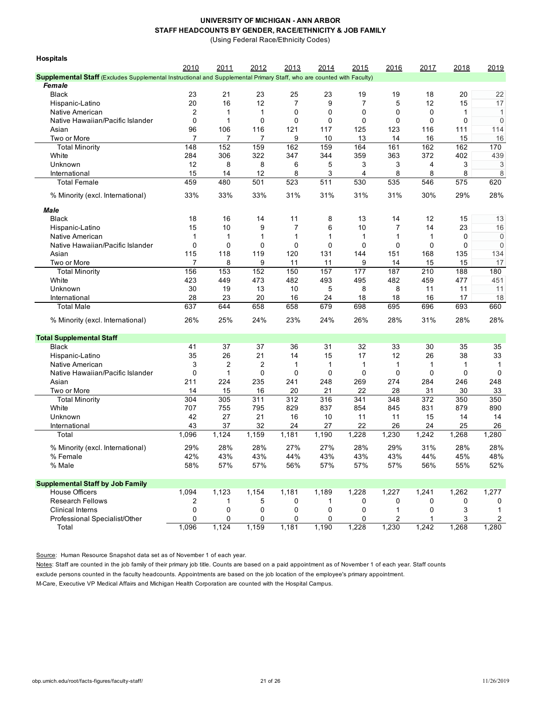(Using Federal Race/Ethnicity Codes)

| <b>Hospitals</b>                                                                                                      |                |             |                |                |                  |                |              |       |                  |              |
|-----------------------------------------------------------------------------------------------------------------------|----------------|-------------|----------------|----------------|------------------|----------------|--------------|-------|------------------|--------------|
|                                                                                                                       | 2010           | 2011        | 2012           | 2013           | 2014             | 2015           | 2016         | 2017  | 2018             | 2019         |
| Supplemental Staff (Excludes Supplemental Instructional and Supplemental Primary Staff, who are counted with Faculty) |                |             |                |                |                  |                |              |       |                  |              |
| Female                                                                                                                |                |             |                |                |                  |                |              |       |                  |              |
| <b>Black</b>                                                                                                          | 23             | 21          | 23             | 25             | 23               | 19             | 19           | 18    | 20               | 22           |
| Hispanic-Latino                                                                                                       | 20             | 16          | 12             | $\overline{7}$ | 9                | $\overline{7}$ | 5            | 12    | 15               | 17           |
| <b>Native American</b>                                                                                                | $\overline{c}$ | 1           | 1              | 0              | 0                | 0              | 0            | 0     | 1                | $\mathbf{1}$ |
| Native Hawaiian/Pacific Islander                                                                                      | $\mathbf 0$    | 1           | 0              | 0              | 0                | 0              | $\mathbf 0$  | 0     | 0                | $\mathbf 0$  |
| Asian                                                                                                                 | 96             | 106         | 116            | 121            | 117              | 125            | 123          | 116   | 111              | 114          |
| Two or More                                                                                                           | 7              | 7           | 7              | 9              | 10               | 13             | 14           | 16    | 15               | 16           |
| <b>Total Minority</b>                                                                                                 | 148            | 152         | 159            | 162            | 159              | 164            | 161          | 162   | 162              | 170          |
| White                                                                                                                 | 284            | 306         | 322            | 347            | 344              | 359            | 363          | 372   | 402              | 439          |
| Unknown                                                                                                               | 12             | 8           | 8              | 6              | 5                | 3              | 3            | 4     | 3                | 3            |
| International                                                                                                         | 15             | 14          | 12             | 8              | 3                | 4              | 8            | 8     | 8                | 8            |
| <b>Total Female</b>                                                                                                   | 459            | 480         | 501            | 523            | $\overline{511}$ | 530            | 535          | 546   | $\overline{575}$ | 620          |
|                                                                                                                       |                |             |                |                |                  |                |              |       |                  |              |
| % Minority (excl. International)                                                                                      | 33%            | 33%         | 33%            | 31%            | 31%              | 31%            | 31%          | 30%   | 29%              | 28%          |
| <b>Male</b>                                                                                                           |                |             |                |                |                  |                |              |       |                  |              |
| <b>Black</b>                                                                                                          | 18             | 16          | 14             | 11             | 8                | 13             | 14           | 12    | 15               | 13           |
| Hispanic-Latino                                                                                                       | 15             | 10          | 9              | 7              | 6                | 10             | 7            | 14    | 23               | 16           |
| Native American                                                                                                       | 1              | 1           | 1              | 1              | 1                | 1              | 1            | 1     | 0                | $\mathbf 0$  |
| Native Hawaiian/Pacific Islander                                                                                      | $\mathbf 0$    | $\mathbf 0$ | 0              | $\mathbf 0$    | 0                | $\mathbf 0$    | $\mathbf 0$  | 0     | $\mathbf 0$      | $\mathbf 0$  |
| Asian                                                                                                                 | 115            | 118         | 119            | 120            | 131              | 144            | 151          | 168   | 135              | 134          |
| Two or More                                                                                                           | 7              | 8           | 9              | 11             | 11               | 9              | 14           | 15    | 15               | 17           |
| <b>Total Minority</b>                                                                                                 | 156            | 153         | 152            | 150            | 157              | 177            | 187          | 210   | 188              | 180          |
| White                                                                                                                 | 423            | 449         | 473            | 482            | 493              | 495            | 482          | 459   | 477              | 451          |
| Unknown                                                                                                               | 30             | 19          | 13             | 10             | 5                | 8              | 8            | 11    | 11               | 11           |
| International                                                                                                         | 28             | 23          | 20             | 16             | 24               | 18             | 18           | 16    | 17               | 18           |
| <b>Total Male</b>                                                                                                     | 637            | 644         | 658            | 658            | 679              | 698            | 695          | 696   | 693              | 660          |
|                                                                                                                       |                |             |                |                |                  |                |              |       |                  |              |
| % Minority (excl. International)                                                                                      | 26%            | 25%         | 24%            | 23%            | 24%              | 26%            | 28%          | 31%   | 28%              | 28%          |
| <b>Total Supplemental Staff</b>                                                                                       |                |             |                |                |                  |                |              |       |                  |              |
| <b>Black</b>                                                                                                          | 41             | 37          | 37             | 36             | 31               | 32             | 33           | 30    | 35               | 35           |
| Hispanic-Latino                                                                                                       | 35             | 26          | 21             | 14             | 15               | 17             | 12           | 26    | 38               | 33           |
| Native American                                                                                                       | 3              | 2           | $\overline{2}$ | $\mathbf{1}$   | 1                | $\mathbf{1}$   | $\mathbf{1}$ | 1     | 1                | $\mathbf{1}$ |
| Native Hawaiian/Pacific Islander                                                                                      | 0              | 1           | 0              | 0              | 0                | 0              | 0            | 0     | 0                | 0            |
| Asian                                                                                                                 | 211            | 224         | 235            | 241            | 248              | 269            | 274          | 284   | 246              | 248          |
| Two or More                                                                                                           | 14             | 15          | 16             | 20             | 21               | 22             | 28           | 31    | 30               | 33           |
| <b>Total Minority</b>                                                                                                 | 304            | 305         | 311            | 312            | 316              | 341            | 348          | 372   | 350              | 350          |
| White                                                                                                                 | 707            | 755         | 795            | 829            | 837              | 854            | 845          | 831   | 879              | 890          |
| Unknown                                                                                                               | 42             | 27          | 21             | 16             | 10               | 11             | 11           | 15    | 14               | 14           |
| International                                                                                                         | 43             | 37          | 32             | 24             | 27               | 22             | 26           | 24    | 25               | 26           |
| Total                                                                                                                 | 1,096          | 1,124       | 1,159          | 1,181          | 1,190            | 1,228          | 1,230        | 1,242 | 1,268            | 1,280        |
| % Minority (excl. International)                                                                                      | 29%            | 28%         | 28%            | 27%            | 27%              | 28%            | 29%          | 31%   | 28%              | 28%          |
| % Female                                                                                                              | 42%            | 43%         | 43%            | 44%            | 43%              | 43%            | 43%          | 44%   | 45%              | 48%          |
| % Male                                                                                                                | 58%            | 57%         | 57%            | 56%            | 57%              | 57%            | 57%          | 56%   | 55%              | 52%          |
|                                                                                                                       |                |             |                |                |                  |                |              |       |                  |              |
| <b>Supplemental Staff by Job Family</b>                                                                               |                |             |                |                |                  |                |              |       |                  |              |
| <b>House Officers</b>                                                                                                 | 1,094          | 1,123       | 1,154          | 1,181          | 1,189            | 1,228          | 1,227        | 1,241 | 1,262            | 1,277        |
| <b>Research Fellows</b>                                                                                               | 2              | 1           | 5              | 0              | 1                | 0              | 0            | 0     | 0                | 0            |
| <b>Clinical Interns</b>                                                                                               | 0              | 0           | 0              | 0              | 0                | 0              | 1            | 0     | 3                | 1            |
| Professional Specialist/Other                                                                                         | 0              | 0           | 0              | 0              | 0                | 0              | 2            |       | 3                | 2            |
| Total                                                                                                                 | 1,096          | 1,124       | 1,159          | 1,181          | 1,190            | 1,228          | 1,230        | 1,242 | 1,268            | 1,280        |

Source: Human Resource Snapshot data set as of November 1 of each year.

Notes: Staff are counted in the job family of their primary job title. Counts are based on a paid appointment as of November 1 of each year. Staff counts exclude persons counted in the faculty headcounts. Appointments are based on the job location of the employee's primary appointment.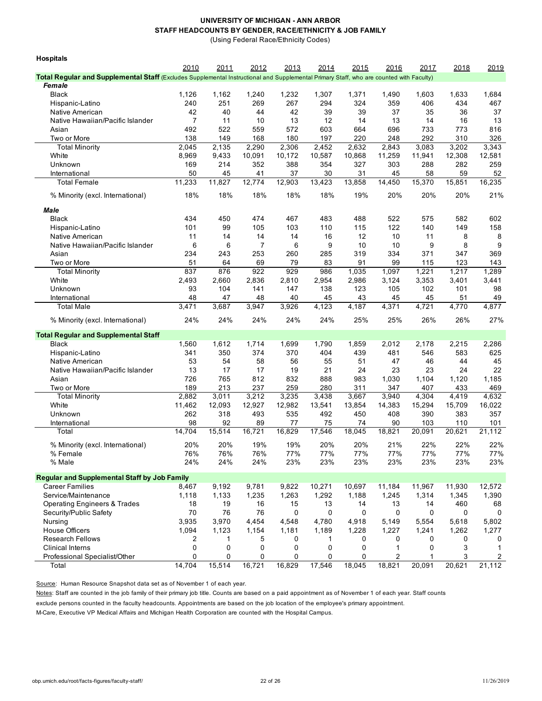(Using Federal Race/Ethnicity Codes)

| <b>Hospitals</b>                                                                                                                        |            |            |            |            |            |            |            |            |            |            |
|-----------------------------------------------------------------------------------------------------------------------------------------|------------|------------|------------|------------|------------|------------|------------|------------|------------|------------|
|                                                                                                                                         | 2010       | 2011       | 2012       | 2013       | 2014       | 2015       | 2016       | 2017       | 2018       | 2019       |
| Total Regular and Supplemental Staff (Excludes Supplemental Instructional and Supplemental Primary Staff, who are counted with Faculty) |            |            |            |            |            |            |            |            |            |            |
| Female                                                                                                                                  |            |            |            |            |            |            |            |            |            |            |
| <b>Black</b>                                                                                                                            | 1,126      | 1,162      | 1,240      | 1,232      | 1,307      | 1,371      | 1,490      | 1,603      | 1,633      | 1,684      |
| Hispanic-Latino                                                                                                                         | 240        | 251        | 269        | 267        | 294        | 324        | 359        | 406        | 434        | 467        |
| Native American                                                                                                                         | 42         | 40         | 44         | 42         | 39         | 39         | 37         | 35         | 36         | 37         |
| Native Hawaiian/Pacific Islander                                                                                                        | 7          | 11         | 10         | 13         | 12         | 14         | 13         | 14         | 16         | 13         |
| Asian                                                                                                                                   | 492<br>138 | 522<br>149 | 559<br>168 | 572<br>180 | 603<br>197 | 664<br>220 | 696<br>248 | 733<br>292 | 773<br>310 | 816<br>326 |
| Two or More<br><b>Total Minority</b>                                                                                                    | 2,045      | 2,135      | 2,290      | 2,306      | 2,452      | 2,632      | 2,843      | 3,083      | 3,202      | 3,343      |
| White                                                                                                                                   | 8,969      | 9,433      | 10,091     | 10,172     | 10,587     | 10,868     | 11,259     | 11,941     | 12,308     | 12,581     |
| Unknown                                                                                                                                 | 169        | 214        | 352        | 388        | 354        | 327        | 303        | 288        | 282        | 259        |
| International                                                                                                                           | 50         | 45         | 41         | 37         | 30         | 31         | 45         | 58         | 59         | 52         |
| <b>Total Female</b>                                                                                                                     | 11,233     | 11,827     | 12,774     | 12,903     | 13,423     | 13,858     | 14,450     | 15,370     | 15,851     | 16,235     |
| % Minority (excl. International)                                                                                                        | 18%        | 18%        | 18%        | 18%        | 18%        | 19%        | 20%        | 20%        | 20%        | 21%        |
|                                                                                                                                         |            |            |            |            |            |            |            |            |            |            |
| Male<br><b>Black</b>                                                                                                                    | 434        | 450        | 474        | 467        | 483        | 488        | 522        | 575        | 582        | 602        |
| Hispanic-Latino                                                                                                                         | 101        | 99         | 105        | 103        | 110        | 115        | 122        | 140        | 149        | 158        |
| Native American                                                                                                                         | 11         | 14         | 14         | 14         | 16         | 12         | 10         | 11         | 8          | 8          |
| Native Hawaiian/Pacific Islander                                                                                                        | 6          | 6          | 7          | 6          | 9          | 10         | 10         | 9          | 8          | 9          |
| Asian                                                                                                                                   | 234        | 243        | 253        | 260        | 285        | 319        | 334        | 371        | 347        | 369        |
| Two or More                                                                                                                             | 51         | 64         | 69         | 79         | 83         | 91         | 99         | 115        | 123        | 143        |
| <b>Total Minority</b>                                                                                                                   | 837        | 876        | 922        | 929        | 986        | 1,035      | 1,097      | 1,221      | 1,217      | 1,289      |
| White                                                                                                                                   | 2,493      | 2,660      | 2,836      | 2,810      | 2,954      | 2,986      | 3,124      | 3,353      | 3,401      | 3,441      |
| Unknown                                                                                                                                 | 93         | 104        | 141        | 147        | 138        | 123        | 105        | 102        | 101        | 98         |
| International                                                                                                                           | 48         | 47         | 48         | 40         | 45         | 43         | 45         | 45         | 51         | 49         |
| <b>Total Male</b>                                                                                                                       | 3,471      | 3,687      | 3,947      | 3,926      | 4,123      | 4,187      | 4,371      | 4,721      | 4,770      | 4,877      |
| % Minority (excl. International)                                                                                                        | 24%        | 24%        | 24%        | 24%        | 24%        | 25%        | 25%        | 26%        | 26%        | 27%        |
| <b>Total Regular and Supplemental Staff</b>                                                                                             |            |            |            |            |            |            |            |            |            |            |
| <b>Black</b>                                                                                                                            | 1,560      | 1,612      | 1,714      | 1,699      | 1,790      | 1,859      | 2,012      | 2,178      | 2,215      | 2,286      |
| Hispanic-Latino                                                                                                                         | 341        | 350        | 374        | 370        | 404        | 439        | 481        | 546        | 583        | 625        |
| Native American                                                                                                                         | 53         | 54         | 58         | 56         | 55         | 51         | 47         | 46         | 44         | 45         |
| Native Hawaiian/Pacific Islander                                                                                                        | 13         | 17         | 17         | 19         | 21         | 24         | 23         | 23         | 24         | 22         |
| Asian                                                                                                                                   | 726        | 765        | 812        | 832        | 888        | 983        | 1,030      | 1,104      | 1,120      | 1,185      |
| Two or More                                                                                                                             | 189        | 213        | 237        | 259        | 280        | 311        | 347        | 407        | 433        | 469        |
| <b>Total Minority</b>                                                                                                                   | 2,882      | 3,011      | 3,212      | 3,235      | 3,438      | 3,667      | 3,940      | 4,304      | 4,419      | 4,632      |
| White                                                                                                                                   | 11,462     | 12,093     | 12,927     | 12,982     | 13,541     | 13,854     | 14,383     | 15,294     | 15,709     | 16,022     |
| Unknown                                                                                                                                 | 262        | 318        | 493        | 535        | 492        | 450        | 408        | 390        | 383        | 357        |
| International                                                                                                                           | 98         | 92         | 89         | 77         | 75         | 74         | 90         | 103        | 110        | 101        |
| Total                                                                                                                                   | 14,704     | 15,514     | 16,721     | 16,829     | 17,546     | 18,045     | 18,821     | 20,091     | 20,621     | 21,112     |
| % Minority (excl. International)                                                                                                        | 20%        | 20%        | 19%        | 19%        | 20%        | 20%        | 21%        | 22%        | 22%        | 22%        |
| % Female                                                                                                                                | 76%        | 76%        | 76%        | 77%        | 77%        | 77%        | 77%        | 77%        | 77%        | 77%        |
| % Male                                                                                                                                  | 24%        | 24%        | 24%        | 23%        | 23%        | 23%        | 23%        | 23%        | 23%        | 23%        |
| <b>Regular and Supplemental Staff by Job Family</b>                                                                                     |            |            |            |            |            |            |            |            |            |            |
| <b>Career Families</b>                                                                                                                  | 8,467      | 9,192      | 9,781      | 9,822      | 10,271     | 10,697     | 11,184     | 11,967     | 11,930     | 12,572     |
| Service/Maintenance                                                                                                                     | 1,118      | 1,133      | 1,235      | 1,263      | 1,292      | 1,188      | 1,245      | 1,314      | 1,345      | 1,390      |
| <b>Operating Engineers &amp; Trades</b>                                                                                                 | 18         | 19         | 16         | 15         | 13         | 14         | 13         | 14         | 460        | 68         |
| Security/Public Safety                                                                                                                  | 70         | 76         | 76         | 0          | 0          | 0          | 0          | 0          | 0          | 0          |
| Nursing                                                                                                                                 | 3,935      | 3,970      | 4,454      | 4,548      | 4,780      | 4,918      | 5,149      | 5,554      | 5,618      | 5,802      |
| House Officers                                                                                                                          | 1,094      | 1,123      | 1,154      | 1,181      | 1,189      | 1,228      | 1,227      | 1,241      | 1,262      | 1,277      |
| <b>Research Fellows</b>                                                                                                                 | 2          | 1          | 5          | 0          | 1          | 0          | 0          | 0          | 0          | 0          |
| <b>Clinical Interns</b>                                                                                                                 | 0          | 0          | 0          | 0          | 0          | 0          | 1          | 0          | 3          | 1          |
| Professional Specialist/Other                                                                                                           | 0          | 0          | 0          | 0          | 0          | 0          | 2          | 1          | 3          | 2          |
| Total                                                                                                                                   | 14,704     | 15,514     | 16,721     | 16,829     | 17,546     | 18,045     | 18,821     | 20,091     | 20,621     | 21,112     |

Source: Human Resource Snapshot data set as of November 1 of each year.

Notes: Staff are counted in the job family of their primary job title. Counts are based on a paid appointment as of November 1 of each year. Staff counts

exclude persons counted in the faculty headcounts. Appointments are based on the job location of the employee's primary appointment.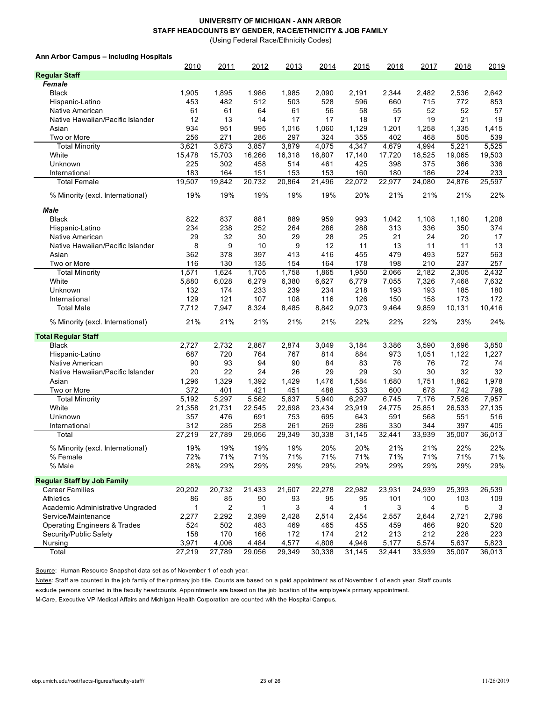(Using Federal Race/Ethnicity Codes)

#### **Ann Arbor Campus – Including Hospitals**

|                                         | 2010         | 2011   | 2012   | 2013   | 2014   | 2015         | 2016   | 2017   | 2018   | 2019   |
|-----------------------------------------|--------------|--------|--------|--------|--------|--------------|--------|--------|--------|--------|
| <b>Regular Staff</b>                    |              |        |        |        |        |              |        |        |        |        |
| Female                                  |              |        |        |        |        |              |        |        |        |        |
| <b>Black</b>                            | 1,905        | 1,895  | 1,986  | 1,985  | 2,090  | 2,191        | 2,344  | 2,482  | 2,536  | 2,642  |
| Hispanic-Latino                         | 453          | 482    | 512    | 503    | 528    | 596          | 660    | 715    | 772    | 853    |
| Native American                         | 61           | 61     | 64     | 61     | 56     | 58           | 55     | 52     | 52     | 57     |
| Native Hawaiian/Pacific Islander        | 12           | 13     | 14     | 17     | 17     | 18           | 17     | 19     | 21     | 19     |
| Asian                                   | 934          | 951    | 995    | 1,016  | 1,060  | 1,129        | 1,201  | 1,258  | 1,335  | 1,415  |
| Two or More                             | 256          | 271    | 286    | 297    | 324    | 355          | 402    | 468    | 505    | 539    |
| <b>Total Minority</b>                   | 3,621        | 3,673  | 3,857  | 3,879  | 4,075  | 4,347        | 4,679  | 4,994  | 5,221  | 5,525  |
| White                                   | 15,478       | 15,703 | 16,266 | 16,318 | 16,807 | 17,140       | 17,720 | 18,525 | 19,065 | 19,503 |
| Unknown                                 | 225          | 302    | 458    | 514    | 461    | 425          | 398    | 375    | 366    | 336    |
| International                           | 183          | 164    | 151    | 153    | 153    | 160          | 180    | 186    | 224    | 233    |
| <b>Total Female</b>                     | 19,507       | 19,842 | 20,732 | 20,864 | 21,496 | 22,072       | 22,977 | 24,080 | 24,876 | 25,597 |
| % Minority (excl. International)        | 19%          | 19%    | 19%    | 19%    | 19%    | 20%          | 21%    | 21%    | 21%    | 22%    |
| Male                                    |              |        |        |        |        |              |        |        |        |        |
| <b>Black</b>                            | 822          | 837    | 881    | 889    | 959    | 993          | 1,042  | 1,108  | 1,160  | 1,208  |
| Hispanic-Latino                         | 234          | 238    | 252    | 264    | 286    | 288          | 313    | 336    | 350    | 374    |
| Native American                         | 29           | 32     | 30     | 29     | 28     | 25           | 21     | 24     | 20     | 17     |
| Native Hawaiian/Pacific Islander        | 8            | 9      | 10     | 9      | 12     | 11           | 13     | 11     | 11     | 13     |
| Asian                                   | 362          | 378    | 397    | 413    | 416    | 455          | 479    | 493    | 527    | 563    |
| Two or More                             | 116          | 130    | 135    | 154    | 164    | 178          | 198    | 210    | 237    | 257    |
| <b>Total Minority</b>                   | 1,571        | 1,624  | 1,705  | 1,758  | 1,865  | 1,950        | 2,066  | 2,182  | 2,305  | 2,432  |
| White                                   | 5,880        | 6,028  | 6,279  | 6,380  | 6,627  | 6,779        | 7,055  | 7,326  | 7,468  | 7,632  |
| Unknown                                 | 132          | 174    | 233    | 239    | 234    | 218          | 193    | 193    | 185    | 180    |
| International                           | 129          | 121    | 107    | 108    | 116    | 126          | 150    | 158    | 173    | 172    |
| <b>Total Male</b>                       | 7,712        | 7,947  | 8,324  | 8,485  | 8,842  | 9,073        | 9,464  | 9,859  | 10,131 | 10,416 |
| % Minority (excl. International)        | 21%          | 21%    | 21%    | 21%    | 21%    | 22%          | 22%    | 22%    | 23%    | 24%    |
| <b>Total Regular Staff</b>              |              |        |        |        |        |              |        |        |        |        |
| <b>Black</b>                            | 2,727        | 2,732  | 2,867  | 2,874  | 3,049  | 3,184        | 3,386  | 3,590  | 3,696  | 3,850  |
| Hispanic-Latino                         | 687          | 720    | 764    | 767    | 814    | 884          | 973    | 1,051  | 1,122  | 1,227  |
| Native American                         | 90           | 93     | 94     | 90     | 84     | 83           | 76     | 76     | 72     | 74     |
| Native Hawaiian/Pacific Islander        | 20           | 22     | 24     | 26     | 29     | 29           | 30     | 30     | 32     | 32     |
| Asian                                   | 1,296        | 1,329  | 1,392  | 1,429  | 1,476  | 1,584        | 1,680  | 1,751  | 1,862  | 1,978  |
| Two or More                             | 372          | 401    | 421    | 451    | 488    | 533          | 600    | 678    | 742    | 796    |
| <b>Total Minority</b>                   | 5,192        | 5,297  | 5,562  | 5,637  | 5,940  | 6,297        | 6,745  | 7,176  | 7,526  | 7,957  |
| White                                   | 21,358       | 21,731 | 22,545 | 22,698 | 23,434 | 23,919       | 24,775 | 25,851 | 26,533 | 27,135 |
| Unknown                                 | 357          | 476    | 691    | 753    | 695    | 643          | 591    | 568    | 551    | 516    |
| International                           | 312          | 285    | 258    | 261    | 269    | 286          | 330    | 344    | 397    | 405    |
| Total                                   | 27,219       | 27,789 | 29,056 | 29,349 | 30,338 | 31,145       | 32,441 | 33,939 | 35,007 | 36,013 |
| % Minority (excl. International)        | 19%          | 19%    | 19%    | 19%    | 20%    | 20%          | 21%    | 21%    | 22%    | 22%    |
| % Female                                | 72%          | 71%    | $71\%$ | 71%    | 71%    | 71%          | 71%    | 71%    | 71%    | 71%    |
| % Male                                  | 28%          | 29%    | 29%    | 29%    | 29%    | 29%          | 29%    | 29%    | 29%    | 29%    |
| <b>Regular Staff by Job Family</b>      |              |        |        |        |        |              |        |        |        |        |
| Career Families                         | 20,202       | 20,732 | 21,433 | 21,607 | 22,278 | 22,982       | 23,931 | 24,939 | 25,393 | 26,539 |
| Athletics                               | 86           | 85     | 90     | 93     | 95     | 95           | 101    | 100    | 103    | 109    |
| Academic Administrative Ungraded        | $\mathbf{1}$ | 2      | 1      | 3      | 4      | $\mathbf{1}$ | 3      | 4      | 5      | 3      |
| Service/Maintenance                     | 2,277        | 2,292  | 2,399  | 2,428  | 2,514  | 2,454        | 2,557  | 2,644  | 2,721  | 2,796  |
| <b>Operating Engineers &amp; Trades</b> | 524          | 502    | 483    | 469    | 465    | 455          | 459    | 466    | 920    | 520    |
| Security/Public Safety                  | 158          | 170    | 166    | 172    | 174    | 212          | 213    | 212    | 228    | 223    |
| Nursing                                 | 3,971        | 4,006  | 4,484  | 4,577  | 4,808  | 4,946        | 5,177  | 5,574  | 5,637  | 5,823  |
| Total                                   | 27,219       | 27,789 | 29,056 | 29,349 | 30,338 | 31,145       | 32,441 | 33,939 | 35,007 | 36,013 |

Source: Human Resource Snapshot data set as of November 1 of each year.

Notes: Staff are counted in the job family of their primary job title. Counts are based on a paid appointment as of November 1 of each year. Staff counts

exclude persons counted in the faculty headcounts. Appointments are based on the job location of the employee's primary appointment.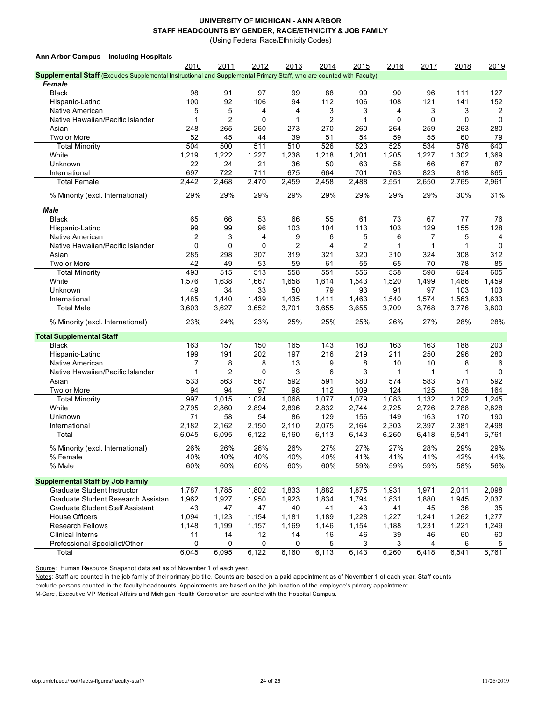(Using Federal Race/Ethnicity Codes)

**Ann Arbor Campus – Including Hospitals**

|                                                                                                                       | 2010           | 2011           | 2012        | 2013  | 2014           | 2015           | 2016  | 2017         | 2018         | 2019           |
|-----------------------------------------------------------------------------------------------------------------------|----------------|----------------|-------------|-------|----------------|----------------|-------|--------------|--------------|----------------|
| Supplemental Staff (Excludes Supplemental Instructional and Supplemental Primary Staff, who are counted with Faculty) |                |                |             |       |                |                |       |              |              |                |
| Female                                                                                                                |                |                |             |       |                |                |       |              |              |                |
| <b>Black</b>                                                                                                          | 98             | 91             | 97          | 99    | 88             | 99             | 90    | 96           | 111          | 127            |
| Hispanic-Latino                                                                                                       | 100            | 92             | 106         | 94    | 112            | 106            | 108   | 121          | 141          | 152            |
| Native American                                                                                                       | 5              | 5              | 4           | 4     | 3              | 3              | 4     | 3            | 3            | 2              |
| Native Hawaiian/Pacific Islander                                                                                      | 1              | $\overline{c}$ | $\mathbf 0$ | 1     | $\overline{2}$ | 1              | 0     | $\mathbf 0$  | 0            | 0              |
| Asian                                                                                                                 | 248            | 265            | 260         | 273   | 270            | 260            | 264   | 259          | 263          | 280            |
| Two or More                                                                                                           | 52             | 45             | 44          | 39    | 51             | 54             | 59    | 55           | 60           | 79             |
| <b>Total Minority</b>                                                                                                 | 504            | 500            | 511         | 510   | 526            | 523            | 525   | 534          | 578          | 640            |
| White                                                                                                                 | 1,219          | 1,222          | 1,227       | 1,238 | 1,218          | 1,201          | 1,205 | 1,227        | 1,302        | 1,369          |
| Unknown                                                                                                               | 22             | 24             | 21          | 36    | 50             | 63             | 58    | 66           | 67           | 87             |
| International                                                                                                         | 697            | 722            | 711         | 675   | 664            | 701            | 763   | 823          | 818          | 865            |
| <b>Total Female</b>                                                                                                   | 2,442          | 2,468          | 2,470       | 2,459 | 2,458          | 2,488          | 2,551 | 2,650        | 2,765        | 2,961          |
| % Minority (excl. International)                                                                                      | 29%            | 29%            | 29%         | 29%   | 29%            | 29%            | 29%   | 29%          | 30%          | 31%            |
| Male                                                                                                                  |                |                |             |       |                |                |       |              |              |                |
| <b>Black</b>                                                                                                          | 65             | 66             | 53          | 66    | 55             | 61             | 73    | 67           | 77           | 76             |
| Hispanic-Latino                                                                                                       | 99             | 99             | 96          | 103   | 104            | 113            | 103   | 129          | 155          | 128            |
| Native American                                                                                                       | $\overline{2}$ | 3              | 4           | 9     | 6              | 5              | 6     | 7            | 5            | $\overline{4}$ |
| Native Hawaiian/Pacific Islander                                                                                      | $\mathbf 0$    | 0              | 0           | 2     | $\overline{4}$ | $\overline{c}$ | 1     | $\mathbf{1}$ | $\mathbf{1}$ | 0              |
| Asian                                                                                                                 | 285            | 298            | 307         | 319   | 321            | 320            | 310   | 324          | 308          | 312            |
| Two or More                                                                                                           | 42             | 49             | 53          | 59    | 61             | 55             | 65    | 70           | 78           | 85             |
| <b>Total Minority</b>                                                                                                 | 493            | 515            | 513         | 558   | 551            | 556            | 558   | 598          | 624          | 605            |
| White                                                                                                                 | 1,576          | 1,638          | 1,667       | 1,658 | 1,614          | 1,543          | 1,520 | 1,499        | 1,486        | 1,459          |
| Unknown                                                                                                               | 49             | 34             | 33          | 50    | 79             | 93             | 91    | 97           | 103          | 103            |
| International                                                                                                         | 1,485          | 1,440          | 1,439       | 1,435 | 1,411          | 1,463          | 1,540 | 1,574        | 1,563        | 1,633          |
| Total Male                                                                                                            | 3,603          | 3,627          | 3,652       | 3,701 | 3,655          | 3,655          | 3,709 | 3,768        | 3,776        | 3,800          |
| % Minority (excl. International)                                                                                      | 23%            | 24%            | 23%         | 25%   | 25%            | 25%            | 26%   | 27%          | 28%          | 28%            |
| <b>Total Supplemental Staff</b>                                                                                       |                |                |             |       |                |                |       |              |              |                |
| <b>Black</b>                                                                                                          | 163            | 157            | 150         | 165   | 143            | 160            | 163   | 163          | 188          | 203            |
| Hispanic-Latino                                                                                                       | 199            | 191            | 202         | 197   | 216            | 219            | 211   | 250          | 296          | 280            |
| Native American                                                                                                       | 7              | 8              | 8           | 13    | 9              | 8              | 10    | 10           | 8            | 6              |
| Native Hawaiian/Pacific Islander                                                                                      |                | $\overline{2}$ | 0           | 3     | 6              | 3              |       | 1            | 1            | $\Omega$       |
| Asian                                                                                                                 | 533            | 563            | 567         | 592   | 591            | 580            | 574   | 583          | 571          | 592            |
| Two or More                                                                                                           | 94             | 94             | 97          | 98    | 112            | 109            | 124   | 125          | 138          | 164            |
| <b>Total Minority</b>                                                                                                 | 997            | 1,015          | 1,024       | 1,068 | 1,077          | 1,079          | 1,083 | 1,132        | 1,202        | 1,245          |
| White                                                                                                                 | 2,795          | 2,860          | 2,894       | 2,896 | 2,832          | 2,744          | 2,725 | 2,726        | 2,788        | 2,828          |
| Unknown                                                                                                               | 71             | 58             | 54          | 86    | 129            | 156            | 149   | 163          | 170          | 190            |
| International                                                                                                         | 2,182          | 2,162          | 2,150       | 2,110 | 2,075          | 2,164          | 2,303 | 2,397        | 2,381        | 2,498          |
| Total                                                                                                                 | 6,045          | 6,095          | 6,122       | 6,160 | 6,113          | 6,143          | 6,260 | 6,418        | 6,541        | 6,761          |
| % Minority (excl. International)                                                                                      | 26%            | 26%            | 26%         | 26%   | 27%            | 27%            | 27%   | 28%          | 29%          | 29%            |
| % Female                                                                                                              | 40%            | 40%            | 40%         | 40%   | 40%            | 41%            | 41%   | 41%          | 42%          | 44%            |
| % Male                                                                                                                | 60%            | 60%            | 60%         | 60%   | 60%            | 59%            | 59%   | 59%          | 58%          | 56%            |
| <b>Supplemental Staff by Job Family</b>                                                                               |                |                |             |       |                |                |       |              |              |                |
| Graduate Student Instructor                                                                                           | 1,787          | 1,785          | 1,802       | 1,833 | 1,882          | 1,875          | 1,931 | 1,971        | 2,011        | 2,098          |
| Graduate Student Research Assistan                                                                                    | 1,962          | 1,927          | 1,950       | 1,923 | 1,834          | 1,794          | 1,831 | 1,880        | 1,945        | 2,037          |
| Graduate Student Staff Assistant                                                                                      | 43             | 47             | 47          | 40    | 41             | 43             | 41    | 45           | 36           | 35             |
| <b>House Officers</b>                                                                                                 | 1,094          | 1,123          | 1,154       | 1,181 | 1,189          | 1,228          | 1,227 | 1,241        | 1,262        | 1,277          |
| <b>Research Fellows</b>                                                                                               | 1,148          | 1,199          | 1,157       | 1,169 | 1,146          | 1,154          | 1,188 | 1,231        | 1,221        | 1,249          |
| <b>Clinical Interns</b>                                                                                               | 11             | 14             | 12          | 14    | 16             | 46             | 39    | 46           | 60           | 60             |
| Professional Specialist/Other                                                                                         | 0              | 0              | 0           | 0     | 5              | 3              | 3     | 4            | 6            | 5              |
| Total                                                                                                                 | 6,045          | 6,095          | 6,122       | 6,160 | 6,113          | 6,143          | 6,260 | 6,418        | 6,541        | 6,761          |

Source: Human Resource Snapshot data set as of November 1 of each year.

Notes: Staff are counted in the job family of their primary job title. Counts are based on a paid appointment as of November 1 of each year. Staff counts

exclude persons counted in the faculty headcounts. Appointments are based on the job location of the employee's primary appointment.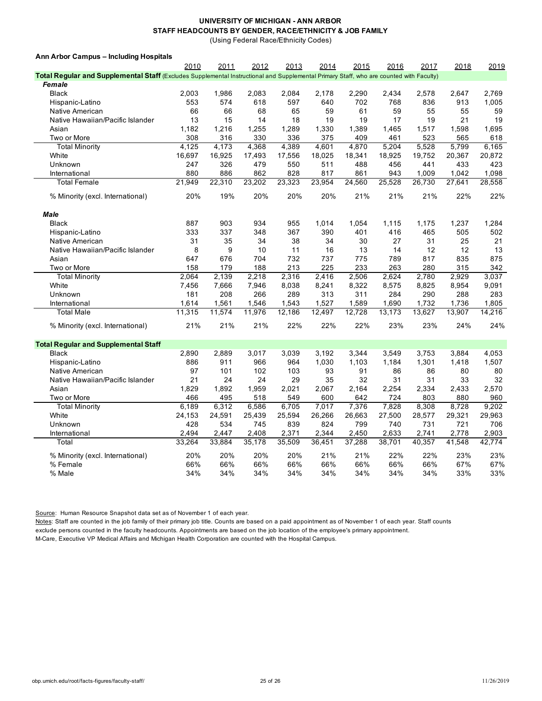(Using Federal Race/Ethnicity Codes)

#### **Ann Arbor Campus – Including Hospitals**

|                                                                                                                                         | 2010   | 2011   | 2012   | 2013   | 2014   | 2015   | 2016   | 2017   | 2018   | 2019   |
|-----------------------------------------------------------------------------------------------------------------------------------------|--------|--------|--------|--------|--------|--------|--------|--------|--------|--------|
| Total Regular and Supplemental Staff (Excludes Supplemental Instructional and Supplemental Primary Staff, who are counted with Faculty) |        |        |        |        |        |        |        |        |        |        |
| Female                                                                                                                                  |        |        |        |        |        |        |        |        |        |        |
| <b>Black</b>                                                                                                                            | 2,003  | 1,986  | 2,083  | 2,084  | 2,178  | 2,290  | 2,434  | 2,578  | 2,647  | 2,769  |
| Hispanic-Latino                                                                                                                         | 553    | 574    | 618    | 597    | 640    | 702    | 768    | 836    | 913    | 1,005  |
| Native American                                                                                                                         | 66     | 66     | 68     | 65     | 59     | 61     | 59     | 55     | 55     | 59     |
| Native Hawaiian/Pacific Islander                                                                                                        | 13     | 15     | 14     | 18     | 19     | 19     | 17     | 19     | 21     | 19     |
| Asian                                                                                                                                   | 1,182  | 1,216  | 1,255  | 1,289  | 1,330  | 1,389  | 1,465  | 1,517  | 1,598  | 1,695  |
| Two or More                                                                                                                             | 308    | 316    | 330    | 336    | 375    | 409    | 461    | 523    | 565    | 618    |
| <b>Total Minority</b>                                                                                                                   | 4,125  | 4,173  | 4,368  | 4,389  | 4,601  | 4,870  | 5,204  | 5,528  | 5,799  | 6,165  |
| White                                                                                                                                   | 16,697 | 16,925 | 17,493 | 17,556 | 18,025 | 18,341 | 18,925 | 19,752 | 20,367 | 20,872 |
| Unknown                                                                                                                                 | 247    | 326    | 479    | 550    | 511    | 488    | 456    | 441    | 433    | 423    |
| International                                                                                                                           | 880    | 886    | 862    | 828    | 817    | 861    | 943    | 1,009  | 1,042  | 1,098  |
| <b>Total Female</b>                                                                                                                     | 21,949 | 22,310 | 23,202 | 23,323 | 23,954 | 24,560 | 25,528 | 26,730 | 27,641 | 28,558 |
| % Minority (excl. International)                                                                                                        | 20%    | 19%    | 20%    | 20%    | 20%    | 21%    | 21%    | 21%    | 22%    | 22%    |
| <b>Male</b>                                                                                                                             |        |        |        |        |        |        |        |        |        |        |
| <b>Black</b>                                                                                                                            | 887    | 903    | 934    | 955    | 1,014  | 1,054  | 1,115  | 1,175  | 1,237  | 1,284  |
| Hispanic-Latino                                                                                                                         | 333    | 337    | 348    | 367    | 390    | 401    | 416    | 465    | 505    | 502    |
| Native American                                                                                                                         | 31     | 35     | 34     | 38     | 34     | 30     | 27     | 31     | 25     | 21     |
| Native Hawaiian/Pacific Islander                                                                                                        | 8      | 9      | 10     | 11     | 16     | 13     | 14     | 12     | 12     | 13     |
| Asian                                                                                                                                   | 647    | 676    | 704    | 732    | 737    | 775    | 789    | 817    | 835    | 875    |
| Two or More                                                                                                                             | 158    | 179    | 188    | 213    | 225    | 233    | 263    | 280    | 315    | 342    |
| <b>Total Minority</b>                                                                                                                   | 2,064  | 2,139  | 2,218  | 2,316  | 2,416  | 2,506  | 2,624  | 2,780  | 2,929  | 3,037  |
| White                                                                                                                                   | 7,456  | 7,666  | 7,946  | 8,038  | 8,241  | 8,322  | 8,575  | 8,825  | 8,954  | 9,091  |
| Unknown                                                                                                                                 | 181    | 208    | 266    | 289    | 313    | 311    | 284    | 290    | 288    | 283    |
| International                                                                                                                           | 1,614  | 1,561  | 1,546  | 1,543  | 1,527  | 1,589  | 1,690  | 1,732  | 1,736  | 1,805  |
| <b>Total Male</b>                                                                                                                       | 11,315 | 11,574 | 11,976 | 12,186 | 12,497 | 12,728 | 13,173 | 13,627 | 13,907 | 14,216 |
| % Minority (excl. International)                                                                                                        | 21%    | 21%    | 21%    | 22%    | 22%    | 22%    | 23%    | 23%    | 24%    | 24%    |
| <b>Total Regular and Supplemental Staff</b>                                                                                             |        |        |        |        |        |        |        |        |        |        |
| <b>Black</b>                                                                                                                            | 2,890  | 2,889  | 3,017  | 3,039  | 3,192  | 3,344  | 3,549  | 3,753  | 3,884  | 4,053  |
| Hispanic-Latino                                                                                                                         | 886    | 911    | 966    | 964    | 1,030  | 1,103  | 1,184  | 1,301  | 1,418  | 1,507  |
| Native American                                                                                                                         | 97     | 101    | 102    | 103    | 93     | 91     | 86     | 86     | 80     | 80     |
| Native Hawaiian/Pacific Islander                                                                                                        | 21     | 24     | 24     | 29     | 35     | 32     | 31     | 31     | 33     | 32     |
| Asian                                                                                                                                   | 1,829  | 1,892  | 1,959  | 2,021  | 2,067  | 2,164  | 2,254  | 2,334  | 2,433  | 2,570  |
| Two or More                                                                                                                             | 466    | 495    | 518    | 549    | 600    | 642    | 724    | 803    | 880    | 960    |
| <b>Total Minority</b>                                                                                                                   | 6.189  | 6,312  | 6,586  | 6,705  | 7,017  | 7,376  | 7,828  | 8,308  | 8,728  | 9,202  |
| White                                                                                                                                   | 24,153 | 24,591 | 25,439 | 25,594 | 26,266 | 26,663 | 27,500 | 28,577 | 29,321 | 29,963 |
| Unknown                                                                                                                                 | 428    | 534    | 745    | 839    | 824    | 799    | 740    | 731    | 721    | 706    |
| International                                                                                                                           | 2,494  | 2,447  | 2,408  | 2,371  | 2,344  | 2,450  | 2,633  | 2,741  | 2,778  | 2,903  |
| Total                                                                                                                                   | 33,264 | 33,884 | 35,178 | 35,509 | 36,451 | 37,288 | 38,701 | 40,357 | 41,548 | 42,774 |
| % Minority (excl. International)                                                                                                        | 20%    | 20%    | 20%    | 20%    | 21%    | 21%    | 22%    | 22%    | 23%    | 23%    |
| % Female                                                                                                                                | 66%    | 66%    | 66%    | 66%    | 66%    | 66%    | 66%    | 66%    | 67%    | 67%    |
| % Male                                                                                                                                  | 34%    | 34%    | 34%    | 34%    | 34%    | 34%    | 34%    | 34%    | 33%    | 33%    |

Source: Human Resource Snapshot data set as of November 1 of each year.

Notes: Staff are counted in the job family of their primary job title. Counts are based on a paid appointment as of November 1 of each year. Staff counts

exclude persons counted in the faculty headcounts. Appointments are based on the job location of the employee's primary appointment.